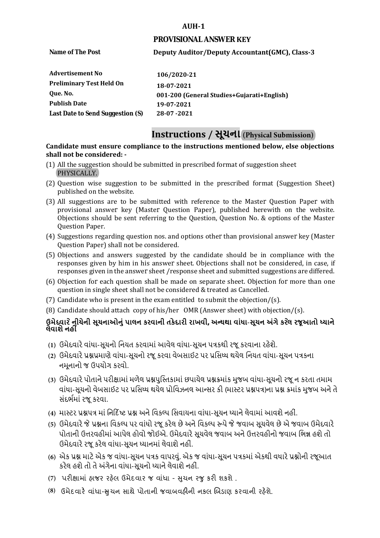#### **AUH-1**

#### **PROVISIONAL ANSWER KEY**

**Name of The Post** 

# **Deputy Auditor/Deputy Accountant(GMC), Class-3**

| 106/2020-21                                |
|--------------------------------------------|
| 18-07-2021                                 |
| 001-200 (General Studies+Gujarati+English) |
| 19-07-2021                                 |
| 28-07-2021                                 |
|                                            |

# **Instructions / સૂચના (Physical Submission)**

#### **shall not be considered: - Candidate must ensure compliance to the instructions mentioned below, else objections**

- (1) All the suggestion should be submitted in prescribed format of suggestion sheet PHYSICALLY.
- (2) Question wise suggestion to be submitted in the prescribed format (Suggestion Sheet) published on the website.
- (3) All suggestions are to be submitted with reference to the Master Question Paper with provisional answer key (Master Question Paper), published herewith on the website. Objections should be sent referring to the Question, Question No. & options of the Master Question Paper.
- (4) Suggestions regarding question nos. and options other than provisional answer key (Master Question Paper) shall not be considered.
- (5) Objections and answers suggested by the candidate should be in compliance with the responses given by him in his answer sheet. Objections shall not be considered, in case, if responses given in the answer sheet /response sheet and submitted suggestions are differed.
- (6) Objection for each question shall be made on separate sheet. Objection for more than one question in single sheet shall not be considered & treated as Cancelled.
- (7) Candidate who is present in the exam entitled to submit the objection/ $(s)$ .
- (8) Candidate should attach copy of his/her OMR (Answer sheet) with objection/(s).

# **ઉમેદવાર ેનીચેની સૂચનાઓનું પાલન કરવાની તકેદારી રાખવી, અլયથા વાંધા-સૂચન અંગેકરલે રજૂઆતો իયાને લેવાશેનહીં**

- **(1)** ઉમેદવારેવાંધા**-**સૂચનો િનયત કરવામાં આવેલ વાંધા-સૂચન પԋકથી રજૂ કરવાના રહેશે**.**
- **(2)** ઉમેદવારેԐՇԐમાણે વાંધા**-**સૂચનો રજૂકરવા વેબસાઈટ પર Ԑિસիધ થયેલ િનયત વાંધા-સૂચન પԋકના નમૂનાનો જ ઉપયોગ કરવો**.**
- **(3)** ઉમેદવારેપોતાનેપરીԟામાંમળેલ ԐՇપુિչતકામાંછપાયેલ ԐՇԃમાંક મુજબ વાંધા**-**સૂચનો રજૂન કરતા તમામ વાંધા**-**સૂચનો વેબસાઈટ પર Ԑિસիધ થયેલ Ԑોિવઝનલ આլસર કી **(**માչટર ԐՇપԋ**)**ના ԐՇ ԃમાંક મુજબ અનેતે સંદભӪમાં રજૂકરવા**.**
- **(4)** માչટર ԐՇપԋ માં િન�દ�ષ્ટ ԐՇ અનેિવકճપ િસવાયના વાંધા**-**સૂચન իયાનેલેવામાંઆવશેનહીં**.**
- **(5)** ઉમેદવારેજેԐՇના િવકճપ પર વાંધો રજૂકરેલ છેઅનેિવકճપ ԁપેજેજવાબ સૂચવેલ છેએ જવાબ ઉમેદવારે પોતાની ઉԱરવહીમાંઆપેલ હોવો જોઈએ**.** ઉમેદવારેસૂચવેલ જવાબ અનેઉԱરવહીનો જવાબ િભՂ હશેતો ઉમેદવારેરજૂ કરેલ વાંધા**-**સૂચન իયાનમાંલેવાશેનહીં**.**
- **(6)** એક ԐՇ માટેએક જ વાંધા**-**સૂચન પԋક વાપરવું**.** એક જ વાંધા**-**સૂચન પԋકમાંએકથી વધારેԐՇોની રજૂઆત કરેલ હશેતો તેઅંગેના વાંધા**-**સૂચનો իયાનેલેવાશેનહીં**.**
- (7) પરીક્ષામાં હાજર રહેલ ઉમેદવાર જ વાંધા સુચન રજુ કરી શકશે .
- **(8)** ઉમેદવાર**�** વાંધા-**�**ુચન સાથે પોતાની જવાબવહ**�**ની નકલ **�**બડાણ કરવાની રહ**�**શે.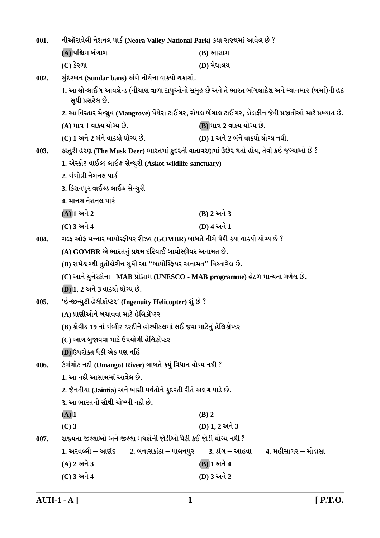| 001. | નીઑરાવેલી નેશનલ પાર્ક (Neora Valley National Park) કયા રાજ્યમાં આવેલ છે ?               |                                                                                                            |  |  |
|------|-----------------------------------------------------------------------------------------|------------------------------------------------------------------------------------------------------------|--|--|
|      | (A) પશ્ચિમ બંગાળ                                                                        | (B) આસામ                                                                                                   |  |  |
|      | $(C)$ કેરળા                                                                             | (D) મેઘાલય                                                                                                 |  |  |
| 002. | સુંદરબન (Sundar bans) અંગે નીચેના વાક્યો ચકાસો.                                         |                                                                                                            |  |  |
|      | સુધી પ્રસરેલ છે.                                                                        | 1. આ લો-લાઈગ આયલેન્ડ (નીચાણ વાળા ટાપુઓનો સમુહ છે અને તે ભારત બાંગલાદેશ અને મ્યાનમાર (બર્મા)ની હદ           |  |  |
|      |                                                                                         | 2. આ વિસ્તાર મેન્ગ્રુવ (Mangrove) પેંથેરા ટાઈગર, રૉયલ બેંગાલ ટાઈગર, ડૉલફીન જેવી પ્રજાતીઓ માટે પ્રખ્યાત છે. |  |  |
|      | (A) માત્ર 1 વાક્ય યોગ્ય છે.                                                             | (B) માત્ર 2 વાક્ય યોગ્ય છે.                                                                                |  |  |
|      | (C) 1 અને 2 બંને વાક્યો યોગ્ય છે.                                                       | (D) 1 અને 2 બંને વાક્યો યોગ્ય નથી.                                                                         |  |  |
| 003. | કસ્તુરી હરણ (The Musk Deer) ભારતમાં કુદરતી વાતાવરણમાં ઉછેર થતો હોય, તેવી કઈ જગ્યાઓ છે ? |                                                                                                            |  |  |
|      | 1. એસ્કોટ વાઈલ્ડ લાઈફ સેન્ચુરી (Askot wildlife sanctuary)                               |                                                                                                            |  |  |
|      | 2. ગંગોત્રી નેશનલ પાર્ક                                                                 |                                                                                                            |  |  |
|      | 3. કિશનપુર વાઈલ્ડ લાઈફ સેન્ચુરી                                                         |                                                                                                            |  |  |
|      | 4. માનસ નેશનલ પાર્ક                                                                     |                                                                                                            |  |  |
|      | $(A)$ ી અને 2                                                                           | (B) 2 અને 3                                                                                                |  |  |
|      | (C) 3 અને 4                                                                             | (D) 4 અને 1                                                                                                |  |  |
| 004. | ગલ્ફ ઑફ મન્નાર બાયોસ્ફીયર રીઝર્વ (GOMBR) બાબતે નીચે પૈકી કયા વાક્યો યોગ્ય છે ?          |                                                                                                            |  |  |
|      | (A) GOMBR એ ભારતનું પ્રથમ દરિયાઈ બાયોસ્ફીયર અનામત છે.                                   |                                                                                                            |  |  |
|      | (B) રામેશ્વરથી તુતીકોરીન સુધી આ "બાયોસ્ફિયર અનામત" વિસ્તારેલ છે.                        |                                                                                                            |  |  |
|      | (C) આને યુનેસ્કોના - MAB પ્રોગ્રામ (UNESCO - MAB programme) હેઠળ માન્યતા મળેલ છે.       |                                                                                                            |  |  |
|      | (D) 1, 2 અને 3 વાક્યો યોગ્ય છે.                                                         |                                                                                                            |  |  |
| 005. | 'ઈન્જીન્યુટી હેલીકૉપ્ટર' (Ingenuity Helicopter) શું છે ?                                |                                                                                                            |  |  |
|      | (A) પ્રાણીઓને બચાવવા માટે હેલિકૉપ્ટર                                                    |                                                                                                            |  |  |
|      | (B) કોવીડ-19 નાં ગંભીર દરદીને હૉસ્પીટલમાં લઈ જવા માટેનું હેલિકૉપ્ટર                     |                                                                                                            |  |  |
|      | (C) આગ બુજાવવા માટે ઉપયોગી હેલિકૉપ્ટર                                                   |                                                                                                            |  |  |
|      | (D) ઉપરોક્ત પૈકી એક પણ નહિં                                                             |                                                                                                            |  |  |
| 006. | ઉમંગોટ નદી (Umangot River) બાબતે કયું વિધાન યોગ્ય નથી ?                                 |                                                                                                            |  |  |
|      | 1. આ નદી આસામમાં આવેલ છે.                                                               |                                                                                                            |  |  |
|      | 2. જૈનતીયા (Jaintia) અને ખાસી પર્વતોને કુદરતી રીતે અલગ પાડે છે.                         |                                                                                                            |  |  |
|      | 3. આ ભારતની સૌથી ચોખ્ખી નદી છે.                                                         |                                                                                                            |  |  |
|      | $(A)$ 1                                                                                 | $(B)$ 2                                                                                                    |  |  |
|      | $(C)$ 3                                                                                 | (D) 1, 2 અને 3                                                                                             |  |  |
| 007. | રાજ્યના જીલ્લાઓ અને જીલ્લા મથકોની જોડીઓ પૈકી કઈ જોડી યોગ્ય નથી ?                        |                                                                                                            |  |  |
|      | 1. અરવલ્લી – આણંદ        2. બનાસકાંઠા – પાલનપુર                                         | 4. મહીસાગર – મોડાસા<br><u>3. ડાંગ – આહવા</u>                                                               |  |  |
|      | $(A)$ 2 અને 3                                                                           | (B) 1 અને 4                                                                                                |  |  |
|      | (C) 3 અને 4                                                                             | (D) 3 અને 2                                                                                                |  |  |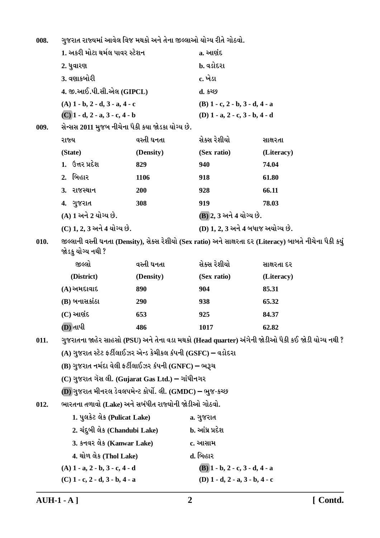ગુજરાત રાજ્યમાં આવેલ વિજ મથકો અને તેના જીલ્લાઓ યોગ્ય રીતે ગોઠવો. 008.

|      | 1. અકરી મોટા થર્મલ પાવર સ્ટેશન                                |            | a. આણંદ                                   |                                                                                                           |  |  |  |
|------|---------------------------------------------------------------|------------|-------------------------------------------|-----------------------------------------------------------------------------------------------------------|--|--|--|
|      | 2. ધુવારણ                                                     |            | b. વડોદરા                                 |                                                                                                           |  |  |  |
|      | 3. વણાકબોરી                                                   |            | c. ખેડા                                   |                                                                                                           |  |  |  |
|      | 4. જી.આઈ.પી.સી.એલ (GIPCL)                                     |            | d. કચ્છ                                   |                                                                                                           |  |  |  |
|      | $(A)$ 1 - b, 2 - d, 3 - a, 4 - c                              |            | $(B)$ 1 - c, 2 - b, 3 - d, 4 - a          |                                                                                                           |  |  |  |
|      | $(C)$ 1 - d, 2 - a, 3 - c, 4 - b                              |            | (D) $1 - a$ , $2 - c$ , $3 - b$ , $4 - d$ |                                                                                                           |  |  |  |
| 009. | સેન્સસ 2011 મુજબ નીચેના પૈકી કયા જોડકા યોગ્ય છે.              |            |                                           |                                                                                                           |  |  |  |
|      | રાજ્ય                                                         | વસ્તી ઘનતા | સેક્સ રેશીયો                              | સાક્ષરતા                                                                                                  |  |  |  |
|      | (State)                                                       | (Density)  | (Sex ratio)                               | (Literacy)                                                                                                |  |  |  |
|      | 1. ઉત્તર પ્રદેશ                                               | 829        | 940                                       | 74.04                                                                                                     |  |  |  |
|      | 2. બિહાર                                                      | 1106       | 918                                       | 61.80                                                                                                     |  |  |  |
|      | 3. રાજસ્થાન                                                   | 200        | 928                                       | 66.11                                                                                                     |  |  |  |
|      | 4. ગુજરાત                                                     | 308        | 919                                       | 78.03                                                                                                     |  |  |  |
|      | (A) 1 અને 2 યોગ્ય છે.                                         |            |                                           | (B) 2, 3 અને 4 યોગ્ય છે.                                                                                  |  |  |  |
|      | (C) 1, 2, 3 અને 4 યોગ્ય છે.                                   |            | (D) 1, 2, 3 અને 4 બધાજ અયોગ્ય છે.         |                                                                                                           |  |  |  |
| 010. | જોડકુ યોગ્ય નથી ?                                             |            |                                           | જીલ્લાની વસ્તી ઘનતા (Density), સેક્સ રેશીયો (Sex ratio) અને સાક્ષરતા દર (Literacy) બાબતે નીચેના પૈકી કયું |  |  |  |
|      | જીલ્લો                                                        | વસ્તી ઘનતા | સેક્સ રેશીયો                              | સાક્ષરતા દર                                                                                               |  |  |  |
|      | (District)                                                    | (Density)  | (Sex ratio)                               | (Literacy)                                                                                                |  |  |  |
|      | $(A)$ અમદાવાદ                                                 | 890        | 904                                       | 85.31                                                                                                     |  |  |  |
|      | (B) બનાસકાંઠા                                                 | 290        | 938                                       | 65.32                                                                                                     |  |  |  |
|      | $(C)$ આણંદ                                                    | 653        | 925                                       | 84.37                                                                                                     |  |  |  |
|      | (D) તાપી                                                      | 486        | 1017                                      | 62.82                                                                                                     |  |  |  |
| 011. |                                                               |            |                                           | ગુજરાતના જાહેર સાહસો (PSU) અને તેના વડા મથકો (Head quarter) અંગેની જોડીઓ પૈકી કઈ જોડી યોગ્ય નથી ?         |  |  |  |
|      | (A) ગુજરાત સ્ટેટ ફર્ટીલાઈઝર એન્ડ કેમીકલ કંપની (GSFC) – વડોદરા |            |                                           |                                                                                                           |  |  |  |
|      | (B) ગુજરાત નર્મદા વેલી ફર્ટીલાઈઝર કંપની (GNFC) – ભરૂચ         |            |                                           |                                                                                                           |  |  |  |
|      | $(C)$ ગુજરાત ગૅસ લી. (Gujarat Gas Ltd.) — ગાંધીનગર            |            |                                           |                                                                                                           |  |  |  |
|      | (D) ગુજરાત મીનરલ ડેવલપમેન્ટ કોર્પો. લી. (GMDC) – ભુજ-કચ્છ     |            |                                           |                                                                                                           |  |  |  |
| 012. | ભારતના તળાવો (Lake) અને સબંધીત રાજ્યોની જોડીઓ ગોઠવો.          |            |                                           |                                                                                                           |  |  |  |
|      | 1. પુલકેટ લેક (Pulicat Lake)                                  |            | a. ગુજરાત                                 |                                                                                                           |  |  |  |
|      | 2. ચંદુબી લેક (Chandubi Lake)                                 |            | b. આંધ્ર પ્રદેશ                           |                                                                                                           |  |  |  |
|      | 3. કનવર લેક (Kanwar Lake)                                     |            | c. આસામ                                   |                                                                                                           |  |  |  |
|      | 4. થોળ લેક (Thol Lake)                                        |            | d. બિહાર                                  |                                                                                                           |  |  |  |
|      | $(A)$ 1 - a, 2 - b, 3 - c, 4 - d                              |            | $(B)$ 1 - b, 2 - c, 3 - d, 4 - a          |                                                                                                           |  |  |  |
|      | $(C)$ 1 - c, 2 - d, 3 - b, 4 - a                              |            | (D) $1 - d$ , $2 - a$ , $3 - b$ , $4 - c$ |                                                                                                           |  |  |  |
|      |                                                               |            |                                           |                                                                                                           |  |  |  |

 $A U H-1 - A$ ]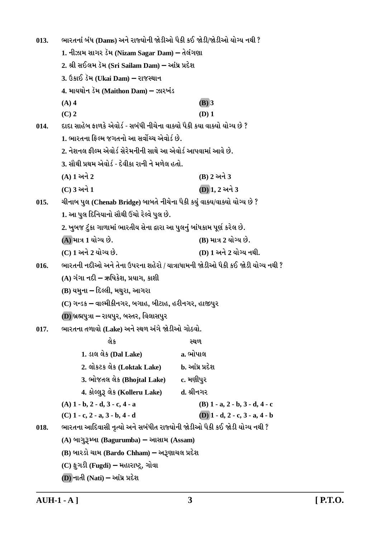ભારતનાં બંધ (Dams) અને રાજ્યોની જોડીઓ પૈકી કઈ જોડી/જોડીઓ યોગ્ય નથી ?  $013.$ 1. નીઝામ સાગર ડૅમ (Nizam Sagar Dam) – તેલંગણા 2. શ્રી સઈલમ ડૅમ (Sri Sailam Dam) – આંધ્ર પ્રદેશ 3. ઉકાઈ ડૅમ (Ukai Dam) – રાજસ્થાન 4. માયથોન ડૅમ (Maithon Dam) – ઝારખંડ  $(A)$  4  $(B)$  3  $(C)$  2  $(D)$  1 દાદા સાહેબ કાળકે એવોર્ડ - સબંધી નીચેના વાક્યો પૈકી કયા વાક્યો યોગ્ય છે ?  $014.$ 1. ભારતના કિલ્મ જગતનો આ સર્વોચ્ચ એવોર્ડ છે. 2. નેશનલ કીલ્મ એવોર્ડ સેરેમનીની સાથે આ એવોર્ડ આપવામાં આવે છે. 3. સૌથી પ્રથમ એવોર્ડ - દેવીકા રાની ને મળેલ હતો. (A) 1 અને 2 (B) 2 અને 3  $(C)$  3 અને 1  $(D)$ 1. 2 અને 3  $015.$ ચીનાબ પુલ (Chenab Bridge) બાબતે નીચેના પૈકી કયું વાક્ય/વાક્યો યોગ્ય છે ? 1. આ પુલ દિનિયાનો સૌથી ઉંચો રેલ્વે પુલ છે. 2. ખુબજ ટુંકા ગાળામાં ભારતીય સેના દ્વારા આ પુલનું બાંધકામ પૂર્ણ કરેલ છે. (A) માત્ર 1 યોગ્ય છે. (B) માત્ર 2 યોગ્ય છે. (C) 1 અને 2 યોગ્ય છે. (D) 1 અને 2 યોગ્ય નથી. ભારતની નદીઓ અને તેના ઉપરના શહેરો / યાત્રાધામની જોડીઓ પૈકી કઈ જોડી યોગ્ય નથી ?  $016.$ (A) ગંગા નદી – ઋષિકેશ. પ્રયાગ. કાશી (B) યમના – દિલ્લી, મથુરા, આગરા (C) ગન્ડક – વાલ્મીકીનગર, બગાહ, બીટાહ, હરીનગર, હાજીપુર (D) બ્રહ્મપુત્રા – રાયપુર, બસ્તર, વિલાસપુર ભારતના તળાવો (Lake) અને સ્થળ અંગે જોડીઓ ગોઠવો.  $017.$ લેક ວຍທ 1. ડાલ લેક (Dal Lake) a. ભોપાલ 2. લોકટક લેક (Loktak Lake) b. આંધ્ર પ્રદેશ 3. ભોજતલ લેક (Bhojtal Lake) c. મણીપર 4. કોલ્લુરૂ લેક (Kolleru Lake) d. શ્રીનગર  $(A)$  1 - b, 2 - d, 3 - c, 4 - a (B)  $1 - a$ ,  $2 - b$ ,  $3 - d$ ,  $4 - c$  $(D)$  1 - d, 2 - c, 3 - a, 4 - b  $(C)$  1 - c, 2 - a, 3 - b, 4 - d ભારતના આદિવાસી નૃત્યો અને સબંધીત રાજ્યોની જોડીઓ પૈકી કઈ જોડી યોગ્ય નથી ? 018. (A) બાગુરૂમ્બા (Bagurumba) – આસામ (Assam) (B) બારડો ચામ (Bardo Chham) – અરૂણાચલ પ્રદેશ  $(C)$  ફૂગડી (Fugdi) – મહારાષ્ટ્ર, ગોવા

 $(D)$  નાતી  $(Nati)$  – આંધ્ર પ્રદેશ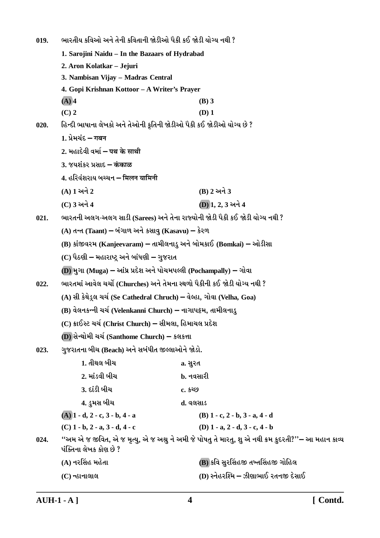ભારતીય કવિઓ અને તેની કવિતાની જોડીઓ પૈકી કઈ જોડી યોગ્ય નથી ?  $019.$ 1. Saroiini Naidu - In the Bazaars of Hydrabad 2. Aron Kolatkar - Jejuri 3. Nambisan Vijay - Madras Central 4. Gopi Krishnan Kottoor - A Writer's Prayer  $(A)$  4  $(B)$  3  $(C)$  2  $(D)$  1 હિન્દી ભાષાના લેખકો અને તેઓની કૃતિની જોડીઓ પૈકી કઈ જોડીઓ યોગ્ય છે ?  $020.$ 1. प्रेमयंद्र – गबन 2 भढ़ादेवी वर्मा – पथ्र के माथी 3. જયશંકર પ્રસાદ – कंकाळ 4. हरिवंशराय બચ્ચન – मिलन यामिनी (A) 1 અને 2 (B) 2 અને 3 (C) 3 અને 4 (D) 1, 2, 3 અને 4 ભારતની અલગ-અલગ સાડી (Sarees) અને તેના રાજ્યોની જોડી પૈકી કઈ જોડી યોગ્ય નથી ?  $021.$ (A) તન્ત (Taant) – બંગાળ અને કસાવુ (Kasavu) – કેરળ (B) કાંજીવરમ (Kanjeevaram) – તામીલનાડુ અને બોમકાઈ (Bomkai) – ઓડીસા (C) પૈઠણી – મહારાષ્ટ્ર અને બાંધણી – ગુજરાત (D) મુગા (Muga) – આંધ્ર પ્રદેશ અને પોચમપલ્લી (Pochampally) – ગોવા ભારતમાં આવેલ ચર્ચો (Churches) અને તેમના સ્થળો પૈકીની કઈ જોડી યોગ્ય નથી ?  $022.$ (A) સી કેથેડ્લ ચર્ચ (Se Cathedral Chruch) – વેલ્હા, ગોવા (Velha, Goa) (B) વેલનકન્ની ચર્ચ (Velenkanni Church) – નાગાપટ્ટમ, તામીલનાડુ (C) ક્રાઈસ્ટ ચર્ચ (Christ Church) – સીમલા, હિમાચલ પ્રદેશ (D) સેન્થોમી ચર્ચ (Santhome Church) – કલકત્તા ગુજરાતના બીચ (Beach) અને સબંધીત જીલ્લાઓને જોડો.  $023.$ 1. તીથલ બીચ a. સુરત 2. માંડવી બીચ b. નવસારી <u>3. દાંડી બીચ</u>  $c.5269$ 4. ડુમસ બીચ ત. વલસાડ  $(A)$  1 - d, 2 - c, 3 - b, 4 - a (B)  $1 - c$ ,  $2 - b$ ,  $3 - a$ ,  $4 - d$  $(C)$  1 - b, 2 - a, 3 - d, 4 - c (D)  $1 - a$ ,  $2 - d$ ,  $3 - c$ ,  $4 - b$ ''અમ એ જ જીવિત, એ જ મૃત્યુ, એ જ અશ્રુ ને અમી જે પોષતુ તે મારતુ, શુ એ નથી ક્રમ કુદરતી?''– આ મહાન કાવ્ય 024. પંક્તિના લેખક કોણ છે ? (B) કવિ સુરસિંહજી તખ્તસિંહજી ગોહિલ (A) નરસિંહ મહેતા (D) સ્નેહરશ્મિ – ઝીણાભાઈ રતનજી દેસાઈ (C) ન્હાનાલાલ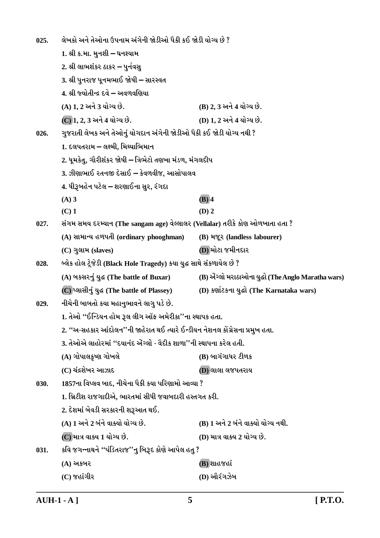લેખકો અને તેઓના ઉપનામ અંગેની જોડીઓ પૈકી કઈ જોડી યોગ્ય છે ?  $025.$ 1. શ્રી ક.મા. મનશી – ઘનશ્યામ 2. શ્રી લાભશંકર ઠાકર – પુર્નવસુ 3. શ્રી પુનરાજ પુનમભાઈ જોષી – સારસ્વત 4. શ્રી જ્યોતીન્દ્ર દવે – અવળવણિયા  $(A) 1, 2$  અને 3 યોગ્ય છે. (B) 2, 3 અને 4 યોગ્ય છે. (D) 1. 2 અને 4 યોગ્ય છે. (C) 1, 2, 3 અને 4 યોગ્ય છે. ગુજરાતી લેખક અને તેઓનું યોગદાન અંગેની જોડીઓ પૈકી કઈ જોડી યોગ્ય નથી ?  $026.$ 1. દલપતરામ – લક્ષ્મી, મિથ્યાભિમાન 2. ધૂમકેતુ, ગૌરીશંકર જોષી – ત્રિભેટો તણખા મંડળ, મંગલદીપ 3. ઝીણાભાઈ રતનજી દેસાઈ – કેવળવીજ. આસોપાલવ 4. ધીરૂબહેન પટેલ – શરણાઈના સુર, રંગદા  $(A)$  3  $(B)$  4  $(C)$  1  $(D)$  2 સંગમ સમય દરમ્યાન (The sangam age) વેલ્લાલર (Vellalar) તરીકે કોણ ઓળખાતા હતા ?  $027.$ (A) સામાન્ય હળપતી (ordinary phooghman) (B) भ%र (landless labourer) (D) મોટા જમીનદાર (C) ગુલામ (slaves) બ્લેક હોલ ટ્રેજેડી (Black Hole Tragedy) કયા યુદ્ધ સાથે સંકળાયેલ છે ?  $028$ (A) બકસરનું યુદ્ધ (The battle of Buxar) (B) એંગ્લો મરાઠાઓના યુદ્ધો (The Anglo Maratha wars) (C) प्લासीनं यद्ध (The battle of Plassey) (D) કર્ણાટકના યુદ્ધો (The Karnataka wars) નીચેની બાબતો કયા મહાનુભાવને લાગુ પડે છે.  $029.$ 1. તેઓ "ઈન્ડિયન હોમ રૂલ લીગ ઑફ અમેરીકા''ના સ્થાપક હતા. 2. ''અ-સહકાર આંદોલન''ની જાહેરાત થઈ ત્યારે ઈન્ડીયન નેશનલ કોંગ્રેસના પ્રમુખ હતા. 3. તેઓએ લાહોરમાં ''દયાનંદ ઍગ્લો - વેદીક શાળા''ની સ્થાપના કરેલ હતી. (A) ગોપાલક્રૃષ્ણ ગોખલે (B) બાગંગાધર ટીળક (C) ચંદ્રશેખર આઝાદ **D)** લાલા લજપતરાય 1857ના વિપ્લવ બાદ, નીચેના પૈકી કયા પરિણામો આવ્યા ?  $030.$ 1. બ્રિટીશ રાજગાદીએ, ભારતમાં સીધી જવાબદારી હસ્તગત કરી. 2. દેશમાં બેવડી સરકારની શરૂઆત થઈ. (A) 1 અને 2 બંને વાક્યો યોગ્ય છે. (B) 1 અને 2 બંને વાક્યો યોગ્ય નથી. (C) માત્ર વાક્ય 1 યોગ્ય છે. (D) માત્ર વાક્ય 2 યોગ્ય છે. કવિ જગન્નાથને "પંડિતરાજ''નુ બિરૂદ કોણે આપેલ હતુ ? 031. (B) શાહજહાં (A) અકબર (D) ઔરંગઝેબ  $(C)$  જહાંગીર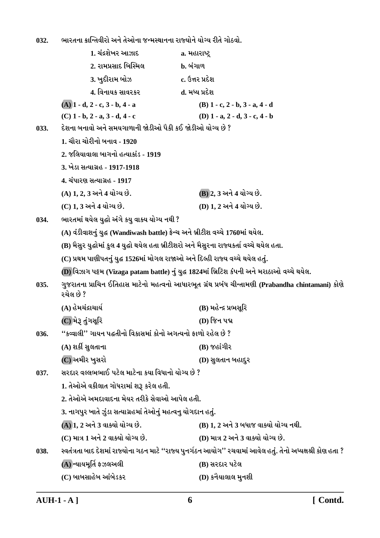ભારતના ક્રાન્તિવીરો અને તેઓના જન્મસ્થાનના રાજ્યોને યોગ્ય રીતે ગોઠવો. 032.

|      | 1. ચંદ્રશેખર આઝાદ                                                                          | a. મહારાષ્ટ્ર                                                                                                 |
|------|--------------------------------------------------------------------------------------------|---------------------------------------------------------------------------------------------------------------|
|      | 2. રામપ્રસાદ બિસ્મિલ                                                                       | <b>b.</b> બંગાળ                                                                                               |
|      | 3. ખુદીરામ બોઝ                                                                             | c. ઉત્તર પ્રદેશ                                                                                               |
|      | 4. વિનાયક સાવરકર                                                                           | d. મધ્ય પ્રદેશ                                                                                                |
|      | $(A)$ 1 - d, 2 - c, 3 - b, 4 - a                                                           | $(B)$ 1 - c, 2 - b, 3 - a, 4 - d                                                                              |
|      | $(C)$ 1 - b, 2 - a, 3 - d, 4 - c                                                           | (D) $1 - a$ , $2 - d$ , $3 - c$ , $4 - b$                                                                     |
| 033. | દેશના બનાવો અને સમયગાળાની જોડીઓ પૈકી કઈ જોડીઓ યોગ્ય છે ?                                   |                                                                                                               |
|      | 1. ચૌરા ચોરીનો બનાવ - 1920                                                                 |                                                                                                               |
|      | 2. જલિયાવાલા બાગનો હત્યાકાંડ - 1919                                                        |                                                                                                               |
|      | 3. ખેડા સત્યાગ્રહ - 1917-1918                                                              |                                                                                                               |
|      | 4. ચંપારણ સત્યાગ્રહ - 1917                                                                 |                                                                                                               |
|      | (A) 1, 2, 3 અને 4 યોગ્ય છે.                                                                | (B) 2, 3 અને 4 યોગ્ય છે.                                                                                      |
|      | (C) 1, 3 અને 4 યોગ્ય છે.                                                                   | (D) 1, 2 અને 4 યોગ્ય છે.                                                                                      |
| 034. | ભારતમાં થયેલ યુદ્ધો અંગે કયુ વાક્ય યોગ્ય નથી ?                                             |                                                                                                               |
|      | (A) વંડીવાશનું યુદ્ધ (Wandiwash battle) ફ્રેન્ચ અને બ્રીટીશ વચ્ચે 1760માં થયેલ.            |                                                                                                               |
|      | (B) મૈસુર યુદ્ધોમાં કુલ 4 યુદ્ધો થયેલ હતા બ્રીટીશરો અને મૈસુરના રાજ્યકર્તા વચ્ચે થયેલ હતા. |                                                                                                               |
|      | (C) પ્રથમ પાણીપતનું યુદ્ધ 1526માં મોગલ રાજાઓ અને દિલ્હી રાજ્ય વચ્ચે થયેલ હતું.             |                                                                                                               |
|      |                                                                                            | (D) વિઝાગ પટ્ટમ (Vizaga patam battle) નું યુદ્ધ 1824માં બ્રિટિશ કંપની અને મરાઠાઓ વચ્ચે થયેલ.                  |
| 035. | રચેલ છે ?                                                                                  | ગુજરાતના પ્રાચિન ઈતિહાસ માટેનો મહત્વનો આધારભૂત ગ્રંથ પ્રબંધ ચીન્તામણી (Prabandha chintamani) કોણે             |
|      | (A) હેમચંદ્રાચાર્ય                                                                         | (B) મહેન્દ્ર પ્રભસૂરિ                                                                                         |
|      | (C) મેરૂ તુંગસૂરિ                                                                          | (D) જિન પદ્મ                                                                                                  |
| 036. | ''કવ્વાલી'' ગાયન પદ્ધતીનો વિકાસમાં કોનો અગત્યનો ફાળો રહેલ છે ?                             |                                                                                                               |
|      | (A) શર્કી સુલતાના                                                                          | $(B)$ જહાંગીર                                                                                                 |
|      | (C) અમીર ખુસરો                                                                             | (D) સુલતાન બહાદુર                                                                                             |
| 037. | સરદાર વલ્લભભાઈ પટેલ માટેના કયા વિધાનો યોગ્ય છે ?                                           |                                                                                                               |
|      | 1. તેઓએ વકીલાત ગોધરામાં શરૂ કરેલ હતી.                                                      |                                                                                                               |
|      | 2. તેઓએ અમદાવાદના મેયર તરીકે સેવાઓ આપેલ હતી.                                               |                                                                                                               |
|      | 3. નાગપુર ખાતે ઝુંડા સત્યાગ્રહમાં તેઓનું મહત્વનુ યોગદાન હતું.                              |                                                                                                               |
|      | (A) 1, 2 અને 3 વાક્યો યોગ્ય છે.                                                            | (B) 1, 2 અને 3 બધાજ વાક્યો યોગ્ય નથી.                                                                         |
|      | (C) માત્ર 1 અને 2 વાક્યો યોગ્ય છે.                                                         | (D) માત્ર 2 અને 3 વાક્યો યોગ્ય છે.                                                                            |
| 038. |                                                                                            | સ્વતંત્રતા બાદ દેશમાં રાજ્યોના ગઠન માટે ''રાજ્ય પુનર્ગઠન આયોગ'' રચવામાં આવેલ હતું. તેનો અધ્યક્ષશ્રી કોણ હતા ? |
|      | (A) ન્યાયમૂર્તિ ફઝલઅલી                                                                     | (B) સરદાર પટેલ                                                                                                |
|      | (C) બાબસાહેબ આંબેડકર                                                                       | (D) કનૈયાલાલ મુનશી                                                                                            |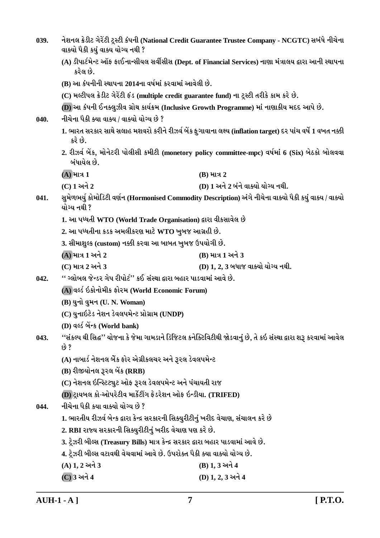| 039. | વાક્યો પૈકી કયું વાક્ય યોગ્ય નથી ?                                                            | નેશનલ ક્રેડીટ ગેરેંટી ટ્રસ્ટી કંપની (National Credit Guarantee Trustee Company - NCGTC) સબંધે નીચેના             |  |  |
|------|-----------------------------------------------------------------------------------------------|------------------------------------------------------------------------------------------------------------------|--|--|
|      | કરેલ છે.                                                                                      | (A) ડીપાર્ટમેન્ટ ઑફ ફાઈનાન્સીયલ સર્વીસીસ (Dept. of Financial Services) નાણા મંત્રાલય દ્વારા આની સ્થાપના          |  |  |
|      | (B) આ કંપનીની સ્થાપના 2014ના વર્ષમાં કરવામાં આવેલી છે.                                        |                                                                                                                  |  |  |
|      | (C) મલ્ટીપલ ક્રેડીટ ગેરેંટી ફંડ (multiple credit guarantee fund) ના ટ્રસ્ટી તરીકે કામ કરે છે. |                                                                                                                  |  |  |
|      | (D) આ કંપની ઈનક્લુઝીવ ગ્રોથ કાર્યક્રમ (Inclusive Growth Programme) માં નાણાકીય મદદ આપે છે.    |                                                                                                                  |  |  |
| 040. | નીચેના પૈકી ક્યા વાક્ય / વાક્યો યોગ્ય છે ?                                                    |                                                                                                                  |  |  |
|      | કરે છે.                                                                                       | 1. ભારત સરકાર સાથે સલાહ મશવરો કરીને રીઝર્વ બેંક ફુગાવાના લક્ષ્ય (inflation target) દર પાંચ વર્ષે 1 વખત નક્કી     |  |  |
|      | બંધાયેલ છે.                                                                                   | 2. રીઝર્વ બેંક, મોનેટરી પોલીસી કમીટી (monetory policy committee-mpc) વર્ષમાં 6 (Six) બેઠકો બોલવવા                |  |  |
|      | (A) માત્ર 1                                                                                   | $(B)$ માત્ર 2                                                                                                    |  |  |
|      | (C) 1 અને 2                                                                                   | (D) 1 અને 2 બંને વાક્યો યોગ્ય નથી.                                                                               |  |  |
| 041. | યોગ્ય નથી ?                                                                                   | સુમેળભર્યુ કોમોડિટી વર્ણન (Hormonised Commodity Description) અંગે નીચેના વાક્યો પૈકી કયું વાક્ય / વાક્યો         |  |  |
|      | 1. આ પધ્ધતી WTO (World Trade Organisation) દ્વારા વીકસાવેલ છે                                 |                                                                                                                  |  |  |
|      | 2. આ પધ્ધતીના કડક અમલીકરણ માટે WTO ખુબજ આગ્રહી છે.                                            |                                                                                                                  |  |  |
|      | 3. સીમાશુલ્ક (custom) નક્કી કરવા આ બાબત ખુબજ ઉપયોગી છે.                                       |                                                                                                                  |  |  |
|      | (A) માત્ર 1 અને 2                                                                             | (B) માત્ર 1 અને 3                                                                                                |  |  |
|      | (C) માત્ર 2 અને 3                                                                             | (D) 1, 2, 3 બધાજ વાક્યો યોગ્ય નથી.                                                                               |  |  |
| 042. | '' ગ્લોબલ જેન્ડર ગેપ રીપોર્ટ'' કઈ સંસ્થા દ્વારા બહાર પાડવામાં આવે છે.                         |                                                                                                                  |  |  |
|      | (A) વર્લ્ડ ઇકોનોમીક ફોરમ (World Economic Forum)                                               |                                                                                                                  |  |  |
|      | (B) યુનો વુમન (U. N. Woman)                                                                   |                                                                                                                  |  |  |
|      | (C) યુનાઇટેડ નેશન ડેવલપમેન્ટ પ્રોગ્રામ (UNDP)                                                 |                                                                                                                  |  |  |
|      | (D) वर्લ्ड બેंन्ક (World bank)                                                                |                                                                                                                  |  |  |
| 043. | છે ?                                                                                          | ''સંકલ્પ થી સિદ્ધ'' યોજના કે જેમા ગામડાને ડિજિટલ કનેક્ટિવિટીથી જોડવાનું છે, તે કઇ સંસ્થા દ્વારા શરૂ કરવામાં આવેલ |  |  |
|      | (A) નાબાર્ડ નેશનલ બેંક ફોર એગ્રીકલચર અને રૂરલ ડેવલપમેન્ટ                                      |                                                                                                                  |  |  |
|      | (B) રીજીયોનલ રૂરલ બેંક (RRB)                                                                  |                                                                                                                  |  |  |
|      | (C) નેશનલ ઇન્સ્ટિટ્યુટ ઓફ રૂરલ ડેવલપમેન્ટ અને પંચાયતી રાજ                                     |                                                                                                                  |  |  |
|      | (D) ટ્રાયબલ કો-ઓપરેટીવ માર્કેટીંગ ફેડરેશન ઓફ ઇન્ડીયા. (TRIFED)                                |                                                                                                                  |  |  |
| 044. | નીચેના પૈકી કયા વાક્યો યોગ્ય છે ?                                                             |                                                                                                                  |  |  |
|      | 1. ભારતીય રીઝર્વ બેન્ક દ્વારા કેન્દ્ર સરકારની સિક્યુરીટીનું ખરીદ વેચાણ, સંચાલન કરે છે         |                                                                                                                  |  |  |
|      | 2. RBI રાજ્ય સરકારની સિક્યુરીટીનું ખરીદ વેચાણ પણ કરે છે.                                      |                                                                                                                  |  |  |
|      | 3. ટ્રેઝરી બીલ્સ (Treasury Bills) માત્ર કેન્દ્ર સરકાર દ્વારા બહાર પાડવામાં આવે છે.            |                                                                                                                  |  |  |
|      | 4. ટ્રેઝરી બીલ્સ વટાવથી વેચવામાં આવે છે. ઉપરોક્ત પૈકી ક્યા વાક્યો યોગ્ય છે.                   |                                                                                                                  |  |  |
|      | $(A) 1, 2 $ અને 3                                                                             | (B) 1, 3 અને 4                                                                                                   |  |  |
|      | (C) 3 અને 4                                                                                   | $(D)$ 1, 2, 3 અને 4                                                                                              |  |  |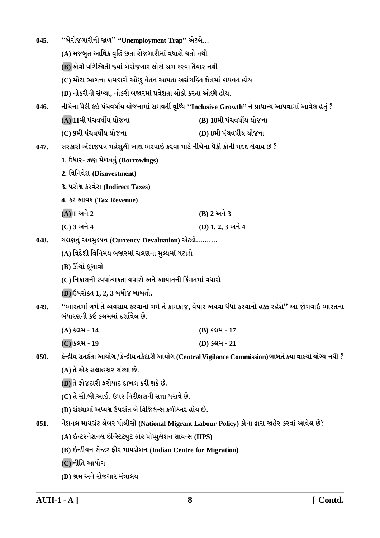| 045. | "બેરોજગારીની જાળ" "Unemployment Trap" એટલે                          |                                                                                                              |  |  |
|------|---------------------------------------------------------------------|--------------------------------------------------------------------------------------------------------------|--|--|
|      | (A) મજબુત આર્થિક વૃદ્ધિ છતા રોજગારીમાં વધારો થતો નથી                |                                                                                                              |  |  |
|      | (B) એવી પરિસ્થિતી જ્યાં બેરોજગાર લોકો શ્રમ કરવા તૈયાર નથી           |                                                                                                              |  |  |
|      | (C) મોટા ભાગના કામદારો ઓછુ વેતન આપતા અસંગઠિત ક્ષેત્રમાં કાર્યવત હોય |                                                                                                              |  |  |
|      | (D) નોકરીની સંખ્યા, નોકરી બજારમાં પ્રવેશતા લોકો કરતા ઓછી હોય.       |                                                                                                              |  |  |
| 046. |                                                                     | નીચેના પૈકી કઇ પંચવર્ષીય યોજનામાં સમવર્તી વૃધ્ધિ ''Inclusive Growth'' ને પ્રાધાન્ય આપવામાં આવેલ હતું ?       |  |  |
|      | (A) 11મી પંચવર્ષીય યોજના                                            | (B) 10મી પંચવર્ષીય યોજના                                                                                     |  |  |
|      | (C) 9મી પંચવર્ષીય યોજના                                             | (D) 8મી પંચવર્ષીય યોજના                                                                                      |  |  |
| 047. |                                                                     | સરકારી અંદાજપત્ર મહેસુલી ખાદ્ય ભરપાઇ કરવા માટે નીચેના પૈકી કોની મદદ લેવાય છે ?                               |  |  |
|      | 1. ઉધાર- ઋણ મેળવવું (Borrowings)                                    |                                                                                                              |  |  |
|      | 2. विनिवेश (Disnvestment)                                           |                                                                                                              |  |  |
|      | 3. પરોક્ષ કરવેરા (Indirect Taxes)                                   |                                                                                                              |  |  |
|      | 4. કર આવક (Tax Revenue)                                             |                                                                                                              |  |  |
|      | $(A)$ ી અને 2                                                       | (B) 2 અને 3                                                                                                  |  |  |
|      | (C) 3 અને 4                                                         | (D) 1, 2, 3 અને 4                                                                                            |  |  |
| 048. | ચલણનું અવમુલ્યન (Currency Devaluation) એટલે                         |                                                                                                              |  |  |
|      | (A) વિદેશી વિનિમય બજારમાં ચલણના મુલ્યમાં ધટાડો                      |                                                                                                              |  |  |
|      | (B) ઊંચો ફૂગાવો                                                     |                                                                                                              |  |  |
|      | (C) નિકાસની સ્પર્ધાત્મકતા વધારો અને આયાતની કિંમતમાં વધારો           |                                                                                                              |  |  |
|      | (D) ઉપરોક્ત 1, 2, 3 બધીજ બાબતો.                                     |                                                                                                              |  |  |
| 049. | બંધારણની કઇ કલમમાં દર્શાવેલ છે.                                     | ''ભારતમાં ગમે તે વ્યવસાય કરવાનો ગમે તે કામકાજ, વેપાર અથવા ધંધો કરવાનો હક્ક રહેશે'' આ જોગવાઇ ભારતના           |  |  |
|      | (A) કલમ-14                                                          | (B) કલમ - 17                                                                                                 |  |  |
|      | (C) કલમ - 19                                                        | (D) કલમ - 21                                                                                                 |  |  |
| 050. |                                                                     | કેન્દ્રીય સતર્કતા આયોગ / કેન્દ્રીય તકેદારી આયોગ (Central Vigilance Commission) બાબતે ક્યા વાક્યો યોગ્ય નથી ? |  |  |
|      | (A) તે એક સલાહકાર સંસ્થા છે.                                        |                                                                                                              |  |  |
|      | (B) તે ફોજદારી ફરીયાદ દાખલ કરી શકે છે.                              |                                                                                                              |  |  |
|      | (C) તે સી.બી.આઈ. ઉપર નિરીક્ષણની સત્તા ધરાવે છે.                     |                                                                                                              |  |  |
|      | (D) સંસ્થામાં અધ્યક્ષ ઉપરાંત બે વિજિલન્સ કમીશ્નર હોય છે.            |                                                                                                              |  |  |
| 051. |                                                                     | નેશનલ માયગ્રંટ લેબર પોલીસી (National Migrant Labour Policy) કોના દ્વારા જાહેર કરવાં આવેલ છે?                 |  |  |
|      | (A) ઇન્ટરનેશનલ ઇન્સ્ટિટ્યુટ ફોર પોપ્યુલેશન સાયન્સ (IIPS)            |                                                                                                              |  |  |
|      | (B) ઇન્ડીયન સેન્ટર ફોર માયગ્રેશન (Indian Centre for Migration)      |                                                                                                              |  |  |
|      | (C) નીતિ આયોગ                                                       |                                                                                                              |  |  |
|      | (D) શ્રમ અને રોજગાર મંત્રાલય                                        |                                                                                                              |  |  |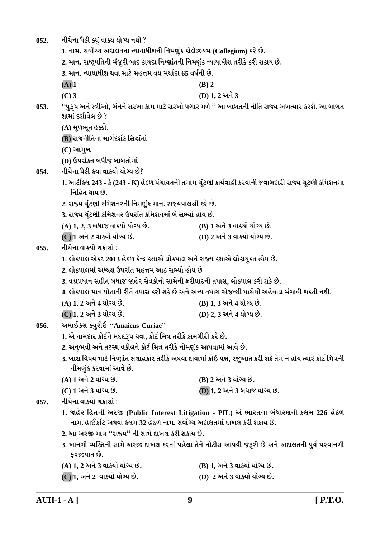- નીચેના પૈકી ક્યું વાક્ય યોગ્ય નથી ?  $052.$ 
	- 1. નામ. સર્વોચ્ચ અદાલતના ન્યાયાધીશની નિમણુંક કોલેજીયમ (Collegium) કરે છે.
	- 2. માન. રાષ્ટ્રપતિની મંજૂરી બાદ કાયદા નિષ્ણાંતની નિમણુંક ન્યાયાધીશ તરીકે કરી શકાય છે.
	- 3. માન. ન્યાયાધીશ થવા માટે મહત્તમ વય મર્યાદા 65 વર્ષની છે.
	- $(A)$  1  $(C)$  3
- $(B)$  2 (D) 1.2 અને 3
- ''પુરૂષ અને સ્ત્રીઓ, બંનેને સરખા કામ માટે સરખો પગાર મળે '' આ બાબતની નીતિ રાજ્ય અખત્યાર કરશે. આ બાબત  $053.$ શામાં દર્શાવેલ છે ?
	- (A) મૂળભૂત હક્કો.
	- (B) રાજનીતિના માર્ગદર્શક સિદ્ધાંતો
	- $(C)$  આમુખ
	- (D) ઉપરોક્ત બધીજ બાબતોમાં
- નીચેના પૈકી કયા વાક્યો યોગ્ય છે? 054.
	- 1. આર્ટીકલ 243 કે (243 K) હેઠળ પંચાયતની તમામ ચૂંટણી કાર્યવાહી કરવાની જવાબદારી રાજ્ય ચૂટણી કમિશનમા નિહિત થાય છે.
	- 2. રાજ્ય ચૂંટણી કમિશનરની નિમણુંક માન. રાજ્યપાલશ્રી કરે છે.
	- 3. રાજ્ય ચૂંટણી કમિશનર ઉપરાંત કમિશનમાં બે સભ્યો હોય છે.
	- (A) 1, 2, 3 બધાજ વાક્યો યોગ્ય છે. (B) 1 અને 3 વાક્યો યોગ્ય છે.
	- (C) 1 અને 2 વાક્યો યોગ્ય છે. (D) 2 અને 3 વાક્યો યોગ્ય છે.
- નીચેના વાક્યો ચકાસો :  $0.55.$ 
	- 1. લોકપાલ એક્ટ 2013 હેઠળ કેન્દ્ર કક્ષાએ લોકપાલ અને રાજ્ય કક્ષાએ લોકાયુક્ત હોય છે.
	- 2. લોકપાલમાં અધ્યક્ષ ઉપરાંત મહત્તમ આઠ સભ્યો હોય છે
	- 3. વડાપ્રધાન સહીત બધાજ જાહેર સેવકોની સામેની કરીયાદની તપાસ. લોકપાલ કરી શકે છે.
	- 4. લોકપાલ માત્ર પોતાની રીતે તપાસ કરી શકે છે અને અન્ય તપાસ એજન્સી પાસેથી અહેવાલ મંગાવી શકતી નથી.
	- (A) 1, 2 અને 4 યોગ્ય છે. (B) 1, 3 અને 4 યોગ્ય છે.
	- (C) 1. 2 અને 3 યોગ્ય છે. (D) 2, 3 અને 4 યોગ્ય છે.
- અમાઈકસ ક્યરીઈ "Amaicus Curiae" 056.
	- 1. એ નામદાર કોર્ટને મદદરૂપ થવા, કોર્ટ મિત્ર તરીકે કામગીરી કરે છે.
	- 2. અનુભવી અને તટસ્થ વકીલને કોર્ટ મિત્ર તરીકે નીમણુંક આપવામાં આવે છે.
	- 3. ખાસ વિષય માટે નિષ્ણાંત સલાહકાર તરીકે અથવા દાવામાં કોઇ પક્ષ, રજુઆત કરી શકે તેમ ન હોય ત્યારે કોર્ટ મિત્રની નીમણુંક કરવામાં આવે છે.
	- (A) 1 અને 2 યોગ્ય છે. (B) 2 અને 3 યોગ્ય છે.  $(C)$  1 અને 3 યોગ્ય છે. **(D) 1, 2 અને 3 બધાજ યોગ્ય છે.**

નીચેના વાક્યો ચકાસો :  $0.57.$ 

- 1. જાહેર હિતની અરજી (Public Interest Litigation PIL) એ ભારતના બંધારણની કલમ 226 હેઠળ નામ. હાઈકોર્ટ અથવા કલમ 32 હેઠળ નામ. સર્વોચ્ચ અદાલતમાં દાખલ કરી શકાય છે.
- 2. આ અરજી માત્ર ''રાજ્ય'' ની સામે દાખલ કરી શકાય છે.
- 3. ખાનગી વ્યક્તિની સામે અરજી દાખલ કરતાં પહેલા તેને નોટીસ આપવી જરૂરી છે અને અદાલતની પુર્વ પરવાનગી કરજીયાત છે.
- (A) 1. 2 અને 3 વાક્યો યોગ્ય છે. (B) 1. અને 3 વાક્યો યોગ્ય છે.
- (D) 2 અને 3 વાક્યો યોગ્ય છે. (C) 1, અને 2 વાક્યો યોગ્ય છે.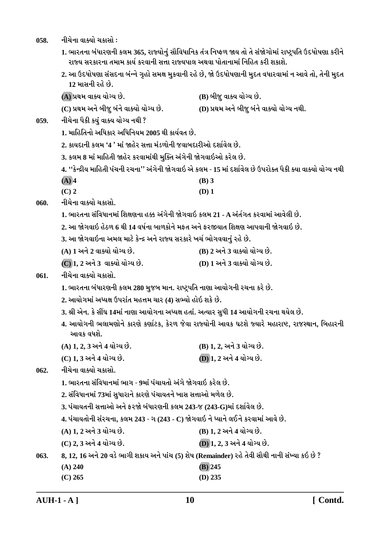058. **નીચેના વાક્યો ચકાસો** :

1. ભારતના બંધારણની કલમ 365, રાજ્યોનું સૌવિધાનિક તંત્ર નિષ્ફળ જાય તો તે સંજોગોમાં રાષ્ટ્રપતિ ઉદધોષણા કરીને રાજ્ય સરકારના તમામ કાર્ય કરવાની સત્તા રાજ્યપાલ અથવા પોતાનામાં નિહિત કરી શકાશે.

2. આ ઉદધોષણા સંસદના બંન્ને ગૃહો સમક્ષ મુકવાની રહે છે, જો ઉદધોષણાની મુદત વધારવામાં ન આવે તો, તેની મુદત <u>12 માસની રહે છે.</u>

**(A) «Úk{ ðkõÞ ÞkuøÞ Au. (B) çkesw ðkõÞ ÞkuøÞ Au.**

**(C) «Úk{ yLku çkesw çktLku ðkõÞku ÞkuøÞ Au. (D) «Úk{ yLku çkesw çktLku ðkõÞku ÞkuøÞ LkÚke.**

- 059. નીચેના પૈકી ક<u>યું</u> વાક્ય યોગ્ય નથી ?
	- **1. {krnríkLkku yrÄfkh yrÄrLkÞ{ 2005 Úke fkÞoðík Au.**
	- <u>2. કાયદાની કલમ '4 ' માં જાહેર સત્તા મંડળોની જવાબદારીઓ દર્શાવેલ છે.</u>
	- 3. કલમ 8 માં માહિતી જાહેર કરવામાંથી મુક્તિ અંગેની જોગવાઇઓ કરેલ છે.

**4. ''fuLÿeÞ {krníke Ãkt[Lke h[Lkk'' ytøkuLke òuøkðkR yu f÷{ - 15 {kt Ëþkoðu÷ Au WÃkhkuõík Ãkife õÞk ðkõÞku ÞkuøÞ LkÚke**

- **(A) 4 (B) 3**
- **(C) 2 (D) 1**
- 060. નીચેના વાક્યો ચકાસો.
	- 1. ભારતના સંવિધાનમાં શિક્ષણના હક્ક અંગેની જોગવાઇ કલમ 21 A અંર્તગત કરવામાં આવેલી છે.
	- <u>2. આ જોગવાઇ હેઠળ 6 થી 14 વર્ષના બાળકોને મકત અને કરજીયાત શિક્ષણ આપવાની જોગવાઇ છે.</u>
	- 3. આ જોગવાઇના અમલ માટે કેન્દ્ર અને રાજ્ય સરકારે ખર્ચ ભોગવવાનું રહે છે.
	- **(A) 1 yLku 2 ðkõÞku ÞkuøÞ Au. (B) 2 yLku 3 ðkõÞku ÞkuøÞ Au.**
	- **(C) 1, 2 yLku 3 ðkõÞku ÞkuøÞ Au. (D) 1 yLku 3 ðkõÞku ÞkuøÞ Au.**

# 061. **નીચેના વાક્યો ચક્રા**સો.

- 1. ભારતના બંધારણની કલમ 280 મુજબ માન. રાષ્ટ્રપતિ નાણા આયોગની રચના કરે છે.
- **2. ykÞkuøk{kt yæÞûk WÃkhktík {n¥k{ [kh (4) MkÇÞku nkuR þfu Au.**
- **3. ©e yuLk. fu Mkª½ 14{kt Lkkýk ykÞkuøkLkk yæÞûk níkkt. yíÞkh MkwÄe 14 ykÞkuøkLke h[Lkk ÚkÞu÷ Au.**
- 4. આયોગની ભલામણોને કારણે કર્ણાટક, કેરળ જેવા રાજ્યોની આવક ઘટશે જ્યારે મહારાષ્ટ, રાજસ્થાન, બિહારની <u>આવક વધશે.</u>
- **(A) 1, 2, 3 yLku 4 ÞkuøÞ Au. (B) 1, 2, yLku 3 ÞkuøÞ Au.**
- **(C) 1, 3 yLku 4 ÞkuøÞ Au. (D) 1, 2 yLku 4 ÞkuøÞ Au.**

062. **નીચેના વાક્યો ચકા**સો.

- 1. ભારતના સંવિધાનમાં ભાગ 9માં પંચાયતો અંગે જોગવાઇ કરેલ છે.
- **2. MktrðÄkLk{kt 73{kt MkwÄkhkLku fkhýu Ãkt[kÞíkLku ¾kMk Mk¥kkyku {¤u÷ Au.**
- **3. Ãkt[kÞíkLke Mk¥kkyku yLku Vhòu çktÄkhýLke f÷{ 243-s (243-G){kt Ëþkoðu÷ Au.**
- **4. Ãkt[kÞíkkuLke Mkth[Lkk, f÷{ 243 øk (243 C) òuøkðkR Lku æÞkLku ÷ELku fhðk{kt ykðu Au.**
- **(A) 1, 2 yLku 3 ÞkuøÞ Au. (B) 1, 2 yLku 4 ÞkuøÞ Au.**
- **(C) 2, 3 yLku 4 ÞkuøÞ Au. (D) 1, 2, 3 yLku 4 ÞkuøÞ Au.**
- **063. 8, 12, 16 yLku 20 ðzu ¼køke þfkÞ yLku Ãkkt[ (5) þu»k (Remainder) hnu íkuðe MkkiÚke LkkLke MktÏÞk fR Au ?**
	- **(A) 240 (B) 245**
	- **(C) 265 (D) 235**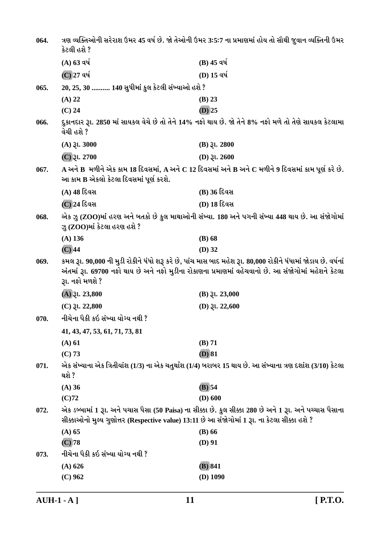| 064. | કેટલી હશે ?                                                                                   | ત્રણ વ્યક્તિઓની સરેરાશ ઉમર 45 વર્ષ છે. જો તેઓની ઉમર 3:5:7 ના પ્રમાણમાં હોય તો સૌથી જુવાન વ્યક્તિની ઉમર                                                                                                                |
|------|-----------------------------------------------------------------------------------------------|-----------------------------------------------------------------------------------------------------------------------------------------------------------------------------------------------------------------------|
|      | $(A)$ 63 વર્ષ                                                                                 | $(B)$ 45 વર્ષ                                                                                                                                                                                                         |
|      | (C) 27 વર્ષ                                                                                   | (D) 15 વર્ષ                                                                                                                                                                                                           |
| 065. | 20, 25, 30  140 સુધીમાં કુલ કેટલી સંખ્યાઓ હશે ?                                               |                                                                                                                                                                                                                       |
|      | $(A)$ 22                                                                                      | $(B)$ 23                                                                                                                                                                                                              |
|      | $(C)$ 24                                                                                      | $(D)$ 25                                                                                                                                                                                                              |
| 066. | વેચી હશે ?                                                                                    | દુકાનદાર રૂા. 2850 માં સાયકલ વેચે છે તો તેને 14% નફો થાય છે. જો તેને 8% નફો મળે તો તેણે સાયકલ કેટલામા                                                                                                                 |
|      | $(A)$ $\xi$ l. 3000                                                                           | $(B)$ $\xi$ l. 2800                                                                                                                                                                                                   |
|      | $(C)$ રૂા. 2700                                                                               | (D) $31.2600$                                                                                                                                                                                                         |
| 067. | આ કામ B એકલો કેટલા દિવસમાં પૂર્ણ કરશે.                                                        | $\bf A$ અને $\bf B$ મળીને એક કામ 18 દિવસમાં, $\bf A$ અને $\bf C$ 12 દિવસમાં અને $\bf B$ અને $\bf C$ મળીને 9 દિવસમાં કામ પૂર્ણ કરે છે.                                                                                 |
|      | (A) 48 દિવસ                                                                                   | (B) 36 દિવસ                                                                                                                                                                                                           |
|      | (C) 24 દિવસ                                                                                   | (D) 18 દિવસ                                                                                                                                                                                                           |
| 068. | ઝુ (ZOO)માં કેટલા હરણ હશે ?                                                                   | એક ઝુ (ZOO)માં હરણ અને બતકો છે કુલ માથાઓની સંખ્યા. 180 અને પગની સંખ્યા 448 થાય છે. આ સંજોગોમાં                                                                                                                        |
|      | $(A)$ 136                                                                                     | $(B)$ 68                                                                                                                                                                                                              |
|      | $(C)$ 44                                                                                      | $(D)$ 32                                                                                                                                                                                                              |
| 069. | રૂા. નફો મળશે ?                                                                               | કમલ રૂા. 90,000 ની મુડી રોકીને ધંધો શરૂ કરે છે, પાંચ માસ બાદ મહેશ રૂા. 80,000 રોકીને ધંધામાં જોડાય છે. વર્ષનાં<br>અંતમાં રૂા. 69700 નફો થાય છે અને નફો મુડીના રોકાણના પ્રમાણમાં વહેચવાનો છે. આ સંજોગોમાં મહેશને કેટલા |
|      | $(A)$ . 23,800                                                                                | $(B)$ $\mathfrak{Z}$ l. 23,000                                                                                                                                                                                        |
|      | $(C)$ 31. 22,800                                                                              | (D) $31.22,600$                                                                                                                                                                                                       |
| 070. | નીચેના પૈકી કઇ સંખ્યા યોગ્ય નથી ?                                                             |                                                                                                                                                                                                                       |
|      | 41, 43, 47, 53, 61, 71, 73, 81                                                                |                                                                                                                                                                                                                       |
|      | (A) 61                                                                                        | (B) 71                                                                                                                                                                                                                |
|      | (C) 73                                                                                        | $(D)$ 81                                                                                                                                                                                                              |
| 071. | થશે ?                                                                                         | એક સંખ્યાના એક ત્રિતીયાંશ (1/3) ના એક ચતુર્થાંશ (1/4) બરાબર 15 થાય છે. આ સંખ્યાના ત્રણ દશાંશ (3/10) કેટલા                                                                                                             |
|      | (A) 36                                                                                        | $(B)$ 54                                                                                                                                                                                                              |
|      | $(C)$ 72                                                                                      | $(D)$ 600                                                                                                                                                                                                             |
| 072. | સીક્કાઓનો મુલ્ય ગુણોત્તર (Respective value) 13:11 છે આ સંજોગોમાં 1 રૂા. ના કેટલા સીક્કા હશે ? | એક ડબ્બામાં 1 રૂા. અને પચાસ પૈસા (50 Paisa) ના સીક્કા છે. કુલ સીક્કા 280 છે અને 1 રૂા. અને પચ્ચાસ પૈસાના                                                                                                              |
|      | $(A)$ 65                                                                                      | $(B)$ 66                                                                                                                                                                                                              |
|      | $(C)$ 78                                                                                      | $(D)$ 91                                                                                                                                                                                                              |
| 073. | નીચેના પૈકી કઇ સંખ્યા યોગ્ય નથી ?                                                             |                                                                                                                                                                                                                       |
|      | $(A)$ 626                                                                                     | (B) 841                                                                                                                                                                                                               |
|      | $(C)$ 962                                                                                     | $(D)$ 1090                                                                                                                                                                                                            |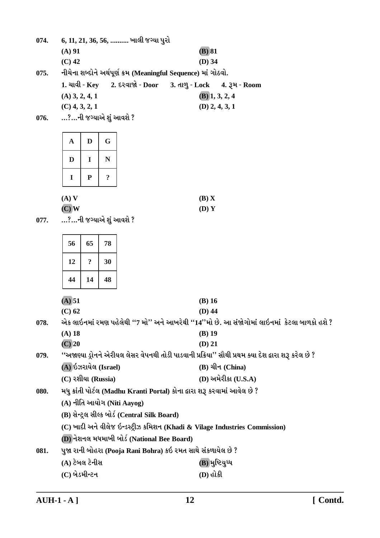|      | $(A)$ 91                |                            |                     |  |                                               |                                                                            | $(B)$ 81                     |                         |                                                                                                       |  |  |
|------|-------------------------|----------------------------|---------------------|--|-----------------------------------------------|----------------------------------------------------------------------------|------------------------------|-------------------------|-------------------------------------------------------------------------------------------------------|--|--|
|      | $(C)$ 42                |                            |                     |  |                                               |                                                                            | $(D)$ 34                     |                         |                                                                                                       |  |  |
| 075. |                         |                            |                     |  |                                               | નીચેના શબ્દોને અર્થપૂર્ણ ક્રમ (Meaningful Sequence) માં ગોઠવો.             |                              |                         |                                                                                                       |  |  |
|      |                         |                            |                     |  | $1.$ ચાવી - Key 2. દરવાજો - Door              |                                                                            | 3. તાળુ - Lock 4. રૂમ - Room |                         |                                                                                                       |  |  |
|      | $(A)$ 3, 2, 4, 1        |                            |                     |  |                                               |                                                                            |                              | $(B)$ 1, 3, 2, 4        |                                                                                                       |  |  |
|      | $(C)$ 4, 3, 2, 1        |                            |                     |  |                                               |                                                                            |                              | $(D)$ 2, 4, 3, 1        |                                                                                                       |  |  |
| 076. | …?…ની જગ્યાએ શું આવશે ? |                            |                     |  |                                               |                                                                            |                              |                         |                                                                                                       |  |  |
|      |                         |                            |                     |  |                                               |                                                                            |                              |                         |                                                                                                       |  |  |
|      | $\mathbf A$             | D                          | G                   |  |                                               |                                                                            |                              |                         |                                                                                                       |  |  |
|      | D                       | I                          | N                   |  |                                               |                                                                            |                              |                         |                                                                                                       |  |  |
|      | $\bf{I}$                | ${\bf P}$                  | $\ddot{\textbf{.}}$ |  |                                               |                                                                            |                              |                         |                                                                                                       |  |  |
|      | $(A)$ V                 |                            |                     |  |                                               |                                                                            | (B) X                        |                         |                                                                                                       |  |  |
|      | $(C)$ W                 |                            |                     |  |                                               |                                                                            | (D) Y                        |                         |                                                                                                       |  |  |
| 077. | …?…ની જગ્યાએ શું આવશે ? |                            |                     |  |                                               |                                                                            |                              |                         |                                                                                                       |  |  |
|      |                         |                            |                     |  |                                               |                                                                            |                              |                         |                                                                                                       |  |  |
|      | 56                      | 65                         | 78                  |  |                                               |                                                                            |                              |                         |                                                                                                       |  |  |
|      | 12                      | $\ddot{\mathbf{c}}$        | 30                  |  |                                               |                                                                            |                              |                         |                                                                                                       |  |  |
|      | 44                      | 14                         | 48                  |  |                                               |                                                                            |                              |                         |                                                                                                       |  |  |
|      | (A) 51                  |                            |                     |  |                                               |                                                                            | $(B)$ 16                     |                         |                                                                                                       |  |  |
|      | $(C)$ 62                |                            |                     |  |                                               |                                                                            | $(D)$ 44                     |                         |                                                                                                       |  |  |
| 078. |                         |                            |                     |  |                                               |                                                                            |                              |                         | એક લાઇનમાં રમણ પહેલેથી ''7 મો'' અને આખરેથી ''14''મો છે. આ સંજોગોમાં લાઇનમાં કેટલા બાળકો હશે ?         |  |  |
|      | (A) 18                  |                            |                     |  |                                               |                                                                            | (B) 19                       |                         |                                                                                                       |  |  |
|      | $(C)$ 20                |                            |                     |  |                                               |                                                                            | $(D)$ 21                     |                         |                                                                                                       |  |  |
| 079. |                         |                            |                     |  |                                               |                                                                            |                              |                         | ''અજાણ્યા ડ્રોનને એરીયલ લેસર વેપનથી તોડી પાડવાની પ્રક્રિયા'' સૌથી પ્રથમ ક્યા દેશ દ્વારા શરૂ કરેલ છે ? |  |  |
|      | (A) ઇઝરાયેલ (Israel)    |                            |                     |  |                                               |                                                                            |                              | $(B)$ ચીન (China)       |                                                                                                       |  |  |
|      | (C) રશીયા (Russia)      |                            |                     |  |                                               |                                                                            |                              | $(D)$ અમેરીકા $(U.S.A)$ |                                                                                                       |  |  |
| 080. |                         |                            |                     |  |                                               | મધુ ક્રાંતી પોર્ટલ (Madhu Kranti Portal) કોના દ્વારા શરૂ કરવામાં આવેલ છે ? |                              |                         |                                                                                                       |  |  |
|      |                         | (A) નીતિ આયોગ (Niti Aayog) |                     |  |                                               |                                                                            |                              |                         |                                                                                                       |  |  |
|      |                         |                            |                     |  | (B) સેન્ટ્રલ સીલ્ક બોર્ડ (Central Silk Board) |                                                                            |                              |                         |                                                                                                       |  |  |
|      |                         |                            |                     |  |                                               |                                                                            |                              |                         | (C) ખાદી અને વીલેજ ઇન્ડસ્ટ્રીઝ કમિશન (Khadi & Vilage Industries Commission)                           |  |  |
|      |                         |                            |                     |  |                                               | (D) નેશનલ મધમાખી બોર્ડ (National Bee Board)                                |                              |                         |                                                                                                       |  |  |
| 081. |                         |                            |                     |  |                                               | પુજા રાની બોહરા (Pooja Rani Bohra) કઇ રમત સાથે સંકળાયેલ છે ?               |                              |                         |                                                                                                       |  |  |
|      | (A) ટેબલ ટેનીસ          |                            |                     |  |                                               |                                                                            |                              | (B) મુષ્ટિયુધ્ધ         |                                                                                                       |  |  |

6, 11, 21, 36, 56, .......... ખાલી જગ્યા પુરો

074.

(C) બેડમીન્ટન (D) હોકી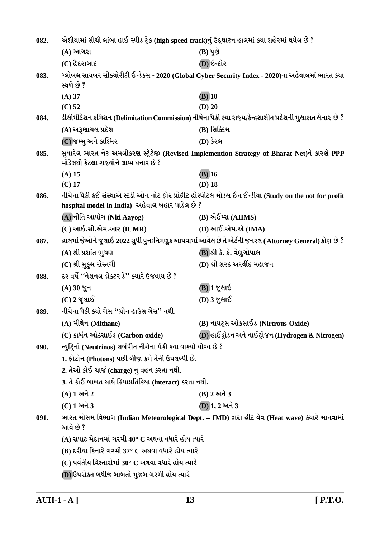| 082. | એશીયામાં સૌથી લાંબા હાઈ સ્પીડ ટ્રેક (high speed track)નું ઉદ્ઘાટન હાલમાં કયા શહેરમાં થયેલ છે ? |                                                                                                            |  |
|------|------------------------------------------------------------------------------------------------|------------------------------------------------------------------------------------------------------------|--|
|      | (A) આગરા                                                                                       | $(B)$ પુણે                                                                                                 |  |
|      | (C) હૈદરાબાદ                                                                                   | (D) ઇન્દોર                                                                                                 |  |
| 083. | સ્થળે છે ?                                                                                     | ગ્લોબલ સાયબર સીક્યોરીટી ઈન્ડેકસ - 2020 (Global Cyber Security Index - 2020)ના અહેવાલમાં ભારત કયા           |  |
|      | $(A)$ 37                                                                                       | $(B)$ 10                                                                                                   |  |
|      | $(C)$ 52                                                                                       | $(D)$ 20                                                                                                   |  |
| 084. |                                                                                                | ડીલીમીટેશન કમિશન (Delimitation Commission) નીચેના પૈકી ક્યા રાજ્ય/કેન્દ્રશાસીત પ્રદેશની મુલાકાત લેનાર છે ? |  |
|      | (A) અરૂણાચલ પ્રદેશ                                                                             | (B) સિક્કિમ                                                                                                |  |
|      | (C) જમ્મુ અને કાશ્મિર                                                                          | (D) કેરલ                                                                                                   |  |
| 085. | મોડેલથી કેટલા રાજ્યોને લાભ થનાર છે ?                                                           | સુધારેલ ભારત નેટ અમલીકરણ સ્ટ્રેટેજી (Revised Implemention Strategy of Bharat Net)ને કારણે PPP              |  |
|      | $(A)$ 15                                                                                       | $(B)$ 16                                                                                                   |  |
|      | $(C)$ 17                                                                                       | $(D)$ 18                                                                                                   |  |
| 086. | hospital model in India) અહેવાલ બહાર પાડેલ છે ?                                                | નીચેના પૈકી કઈ સંસ્થાએ સ્ટડી ઓન નોટ ફોર પ્રોફીટ હોસ્પીટલ મોડલ ઈન ઈન્ડીયા (Study on the not for profit      |  |
|      | (A) નીતિ આયોગ (Niti Aayog)                                                                     | (B) એઈમ્સ (AIIMS)                                                                                          |  |
|      | $(C)$ આઈ.સી.એમ.આર $(ICMR)$                                                                     | (D) આઈ.એમ.એ (IMA)                                                                                          |  |
| 087. |                                                                                                | હાલમાં જેઓને જુલાઈ 2022 સુધી પુનઃનિમણુક આપવામાં આવેલ છે તે એર્ટની જનરલ (Attorney General) કોણ છે ?         |  |
|      | (A) શ્રી પ્રશાંત ભુષણ                                                                          | (B) શ્રી કે. કે. વેણુગોપાલ                                                                                 |  |
|      | (C) શ્રી મુકુલ રોસ્તગી                                                                         | (D) શ્રી શરદ અરવીંદ મહાજન                                                                                  |  |
| 088. | દર વર્ષે ''નેશનલ ડોક્ટર ડે'' ક્યારે ઉજવાય છે ?                                                 |                                                                                                            |  |
|      | (A) 30 % +                                                                                     | (B)] જુલાઇ                                                                                                 |  |
|      | $(C)$ 2 જુલાઈ                                                                                  | (D) 3 જુલાઈ                                                                                                |  |
| 089. | નીચેના પૈકી ક્યો ગેસ ''ગ્રીન હાઉસ ગેસ'' નથી.                                                   |                                                                                                            |  |
|      | (A) મીથેન (Mithane)                                                                            | (B) નાયટ્રસ ઓકસાઈડ (Nirtrous Oxide)                                                                        |  |
|      | (C) કાર્બન ઑક્સાઈડ (Carbon oxide)                                                              | (D) હાઈડ્રોડન અને નાઈટ્રોજન (Hydrogen & Nitrogen)                                                          |  |
| 090. | ન્યુટ્રિનો (Neutrinos) સબંધીત નીચેના પૈકી કયા વાક્યો યોગ્ય છે ?                                |                                                                                                            |  |
|      | 1. ફોટોન (Photons) પછી બીજા ક્રમે તેની ઉપલબ્ધી છે.                                             |                                                                                                            |  |
|      | 2. તેઓ કોઈ ચાર્જ (charge) નુ વહન કરતા નથી.                                                     |                                                                                                            |  |
|      | 3. તે કોઈ બાબત સાથે ક્રિયાપ્રતિક્રિયા (interact) કરતા નથી.                                     |                                                                                                            |  |
|      | (A) 1 અને 2                                                                                    | (B) 2 અને 3                                                                                                |  |
|      | (C) 1 અને 3                                                                                    | (D) 1, 2 અને 3                                                                                             |  |
| 091. | આવે છે ?                                                                                       | ભારત મોસમ વિભાગ (Indian Meteorological Dept. - IMD) દ્વારા હીટ વેવ (Heat wave) ક્યારે માનવામાં             |  |
|      | (A) સપાટ મેદાનમાં ગરમી 40° C અથવા વધારે હોય ત્યારે                                             |                                                                                                            |  |
|      | (B) દરીયા કિનારે ગરમી 37° C અથવા વધારે હોય ત્યારે                                              |                                                                                                            |  |
|      | $\mathbf C$ ) પર્વતીય વિસ્તારોમાં 30° $\mathbf C$ અથવા વધારે હોય ત્યારે                        |                                                                                                            |  |
|      | (D) ઉપરોક્ત બધીજ બાબતો મુજબ ગરમી હોય ત્યારે                                                    |                                                                                                            |  |
|      |                                                                                                |                                                                                                            |  |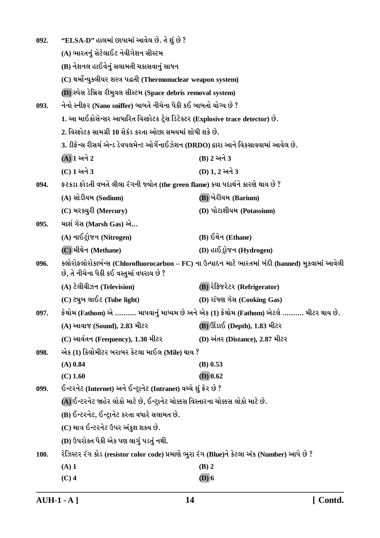| 092. | "ELSA-D" હાલમાં છાપામાં આવેલ છે. તે શું છે ?                                                 |                                                                                                     |
|------|----------------------------------------------------------------------------------------------|-----------------------------------------------------------------------------------------------------|
|      | (A) ભારતનું સેટેલાઈટ નેવીગેશન સીસ્ટમ                                                         |                                                                                                     |
|      | (B) નેશનલ હાઈવેનું સલામતી ચકાસવાનું સાધન                                                     |                                                                                                     |
|      | (C) થર્મોન્યુક્લીયર શસ્ત્ર પદ્ધતી (Thermonuclear weapon system)                              |                                                                                                     |
|      | (D) સ્પેસ ડેબ્રિસ રીમુવલ સીસ્ટમ (Space debris removal system)                                |                                                                                                     |
| 093. | નેનો સ્નીફર (Nano sniffer) બાબતે નીચેના પૈકી કઈ બાબતો યોગ્ય છે ?                             |                                                                                                     |
|      | 1. આ માઈક્રોસેન્સર આધારિત વિસ્ફોટક ટ્રેસ ડિટેક્ટર (Explosive trace detector) છે.             |                                                                                                     |
|      | 2. વિસ્ફોટક સામગ્રી 10 સેકંડ કરતા ઓછા સમયમાં શોધી શકે છે.                                    |                                                                                                     |
|      | 3. ડીફેન્સ રીસર્ચ એન્ડ ડેવપલમેન્ટ ઓર્ગેનાઈઝેશન (DRDO) દ્વારા આને વિકસાવવામાં આવેલ છે.        |                                                                                                     |
|      | $(A)$ $1$ અને $2$                                                                            | (B) 2 અને 3                                                                                         |
|      | (C) 1 અને 3                                                                                  | (D) 1, 2 અને 3                                                                                      |
| 094. | ફટકડા ફોડતી વખતે લીલા રંગની જ્યોત (the green flame) કયા પદાર્થને કારણે થાય છે ?              |                                                                                                     |
|      | (A) સોડીયમ (Sodium)                                                                          | (B) બેરીયમ (Barium)                                                                                 |
|      | (C) મરક્યુરી (Mercury)                                                                       | (D) પોટાશીયમ (Potassium)                                                                            |
| 095. | માર્શ ગૅસ (Marsh Gas) એ                                                                      |                                                                                                     |
|      | (A) નાઈટ્રોજન (Nitrogen)                                                                     | (B) ઈથેન (Ethane)                                                                                   |
|      | (C) મીથેન (Methane)                                                                          | (D) હાઈડ્રોજન (Hydrogen)                                                                            |
| 096. | છે, તે નીચેના પૈકી કઈ વસ્તુમાં વપરાય છે ?                                                    | ક્લોરોફ્લોરોકાર્બન્સ (Chlorofluorocarbon – FC) ના ઉત્પાદન માટે ભારતમાં બંદી (banned) મુકવામાં આવેલી |
|      | (A) ટેલીવીઝન (Television)                                                                    | (B) रेडिश्ररेटर (Refrigerator)                                                                      |
|      | (C) ટ્યુબ લાઈટ (Tube light)                                                                  | (D) રાંધણ ગૅસ (Cooking Gas)                                                                         |
| 097. |                                                                                              | ફેથોમ (Fathom) એ ………. માપવાનું માધ્યમ છે અને એક (1) ફેથોમ (Fathom) એટલે ………. મીટર થાય છે.           |
|      | (A) આવાજ (Sound), 2.83 મીટર                                                                  | <b>(B)</b> ઊંડાઈ (Depth), 1.83 મીટર                                                                 |
|      | (C) આર્વતન (Frequency), 1.30 મીટર                                                            | (D) અંતર (Distance), 2.87 મીટર                                                                      |
| 098. | એક (1) કિલોમીટર બરાબર કેટલા માઈલ (Mile) થાય ?                                                |                                                                                                     |
|      | $(A)$ 0.84                                                                                   | $(B)$ 0.53                                                                                          |
|      | $(C)$ 1.60                                                                                   | $(D)$ 0.62                                                                                          |
| 099. | ઈન્ટરનેટ (Internet) અને ઈન્ટ્રાનેટ (Intranet) વચ્ચે શું ફેર છે ?                             |                                                                                                     |
|      | (A) ઈન્ટરનેટ જાહેર લોકો માટે છે, ઈન્ટ્રાનેટ ચોક્કસ વિસ્તારના ચોક્કસ લોકો માટે છે.            |                                                                                                     |
|      | (B) ઈન્ટરનેટ, ઈન્ટ્રાનેટ કરતા વધારે સલામત છે.                                                |                                                                                                     |
|      | (C) માત્ર ઈન્ટરનેટ ઉપર અંકુશ શક્ય છે.                                                        |                                                                                                     |
|      | (D) ઉપરોક્ત પૈકી એક પણ લાગું પડતું નથી.                                                      |                                                                                                     |
| 100. | રેઝિસ્ટર રંગ કોડ (resistor color code) પ્રમાણે ભુરા રંગ (Blue)ને કેટલા અંક (Number) આપે છે ? |                                                                                                     |
|      | $(A)$ 1                                                                                      | $(B)$ 2                                                                                             |
|      | $(C)$ 4                                                                                      | $(D)$ 6                                                                                             |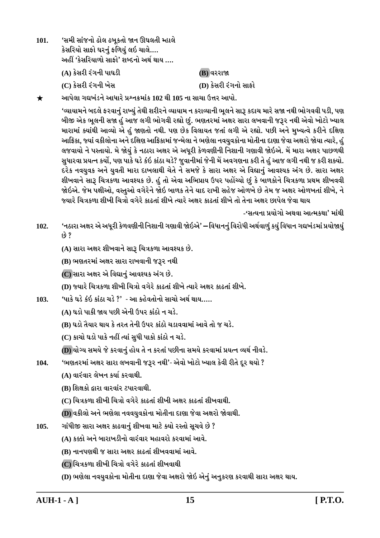'સમી સાંજનો ઢોલ ઢબુકતો જાન ઊઘલતી મ્હાલે  $101.$ કેસરિયો સાફો ઘરનું ફળિયું લઇ ચાલે.... અહીં 'કેસરિયાળો સાફો' શબ્દનો અર્થ થાય …. (A) કેસરી રંગની પાઘડી (B) વરરાજા (D) કેસરી રંગનો સાકો (C) કેસરી રંગની ખેસ

આપેલા ગદ્યખંડને આધારે પ્રશ્નક્રમાંક 102 થી 105 ના સાચા ઉત્તર આપો.  $\bigstar$ 

> 'વ્યાયામને બદલે ફરવાનું રાખ્યું તેથી શરીરને વ્યાયામ ન કરાવ્યાની ભૂલને સારૂ કદાચ મારે સજા નથી ભોગવવી પડી, પણ બીજી એક ભૂલની સજા હું આજ લગી ભોગવી રહ્યો છું. ભણતરમાં અક્ષર સારા લખવાની જરૂર નથી એવો ખોટો ખ્યાલ મારામાં ક્યાંથી આવ્યો એ હું જાણતો નથી. પણ છેક વિલાયત જતાં લગી એ રહ્યો. પછી અને મુખ્યત્વે કરીને દક્ષિણ આફ્રિકા, જ્યાં વકીલોના અને દક્ષિણ આફ્રિકામાં જન્મેલા ને ભણેલા નવયુવકોના મોતીના દાણા જેવા અક્ષરો જોયા ત્યારે, હુ લજવાયો ને પસ્તાયો. મે જોયું કે નઠારા અક્ષર એ અધુરી કેળવણીની નિશાની ગણાવી જોઇએ. મેં મારા અક્ષર પાછળથી સુધારવા પ્રયત્ન કર્યો, પણ પાકે ઘડે કંઇ કાંઠા ચડે? જુવાનીમાં જેની મેં અવગણના કરી તે હું આજ લગી નથી જ કરી શક્યો. દરેક નવયુવક અને યુવતી મારા દાખલાથી ચેતે ને સમજે કે સારા અક્ષર એ વિદ્યાનું આવશ્યક અંગ છે. સારા અક્ષર શીખવાને સારૂ ચિત્રકળા આવશ્યક છે. હું તો એવા અભિપ્રાય ઉપર પહોંચ્યો છું કે બાળકોને ચિત્રકળા પ્રથમ શીખવવી જોઇએ. જેમ પક્ષીઓ, વસ્તુઓ વગેરેને જોઇ બાળક તેને યાદ રાખી સહેજ ઓળખે છે તેમ જ અક્ષર ઓળખતાં શીખે, ને જ્યારે ચિત્રકળા શીખી ચિત્રો વગેરે કાઢતાં શીખે ત્યારે અક્ષર કાઢતાં શીખે તો તેના અક્ષર છાપેલ જેવા થાય

> > -'સત્યના પ્રયોગો અથવા આત્મકથા' માંથી

'નઠારા અક્ષર એ અધૂરી કેળવણીની નિશાની ગણાવી જોઇએ' — વિધાનનું વિરોધી અર્થવાળું કયું વિધાન ગદ્યખંડમાં પ્રયોજાયું 102.  $69.8$ 

(A) સારા અક્ષર શીખવાને સારૂ ચિત્રકળા આવશ્યક છે.

(B) ભણતરમાં અક્ષર સારા રાખવાની જરૂર નથી

(C) સારા અક્ષર એ વિદ્યાનું આવશ્યક અંગ છે.

(D) જ્યારે ચિત્રકળા શીખી ચિત્રો વગેરે કાઢતાં શીખે ત્યારે અક્ષર કાઢતાં શીખે.

'પાકે ઘડે કંઇ કાંઠા ચડે ?' - આ કહેવતોનો સાચો અર્થ થાય…..  $103.$ 

(A) ઘડો પાકી જાય પછી એની ઉપર કાંઠો ન ચડે.

(B) ઘડો તૈયાર થાય કે તરત તેની ઉપર કાંઠો ચડાવવામાં આવે તો જ ચડે.

(C) કાચો ઘડો પાકે નહીં ત્યાં સુધી પાકો કાંઠો ન ચડે.

(D) યોગ્ય સમયે જે કરવાનું હોય તે ન કરતાં પછીના સમયે કરવામાં પ્રયત્ન વ્યર્થ નીવડે.

'ભણતરમાં અક્ષર સારા લખવાની જરૂર નથી'- એવો ખોટો ખ્યાલ કેવી રીતે દૂર થયો ? 104.

(A) વારંવાર લેખન કર્યા કરવાથી.

(B) શિક્ષકો દ્વારા વારવાંર ટપારવાથી.

<u>(C) ચિત્રકળા શીખી ચિત્રો વગેરે કાઢતાં શીખી અક્ષર કાઢતાં શીખવાથી.</u>

(D) વકીલો અને ભણેલા નવવયુવકોના મોતીના દાણા જેવા અક્ષરો જોવાથી.

ગાંધીજી સારા અક્ષર કાઢવાનું શીખવા માટે ક્યો રસ્તો સૂચવે છે ? 105.

(A) કક્કી અને બારાખડીનો વારંવાર મહાવરો કરવામાં આવે.

(B) નાનપણથી જ સારા અક્ષર કાઢતાં શીખવવામાં આવે.

(C) ચિત્રકળા શીખી ચિત્રો વગેરે કાઢતાં શીખવાથી

(D) ભણેલા નવયુવકોના મોતીના દાણા જેવા અક્ષરો જોઇ એનું અનુકરણ કરવાથી સારા અક્ષર થાય.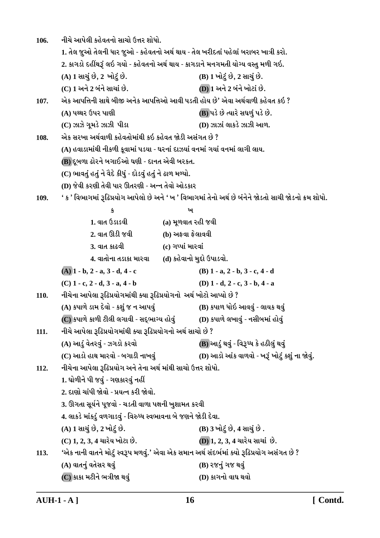નીચે આપેલી કહેવતનો સાચો ઉત્તર શોધો. 106. 1. તેલ જૂઓ તેલની ધાર જૂઓ - કહેવતનો અર્થ થાય - તેલ ખરીદતાં પહેલાં બરાબર ખાત્રી કરો. 2. કાગડો દહીંથરૂં લઇ ગયો - કહેવતનો અર્થ થાય - કાગડાને મનગમતી યોગ્ય વસ્તુ મળી ગઇ. (A) 1 સાચું છે, 2 ખોટું છે. (B) 1 ખોટું છે, 2 સાચું છે. (C) 1 અને 2 બંને સાચાં છે. **(D) 1 અને 2 બંને ખોટાં છે.** એક આપત્તિની સાથે બીજી અનેક આપત્તિઓ આવી પડતી હોય છે' એવા અર્થવાળી કહેવત કઇ ? 107. (A) પથ્થર ઉપર પાણી (B) પડે છે ત્યારે સઘળું પડે છે. (D) ઝાઝાં લાકડે ઝાઝી આળ.  $(C)$  ઝાઝે ગુમડે ઝાઝી પીડા એક સરખા અર્થવાળી કહેવતોમાંથી કઇ કહેવત જોડી અસંગત છે ? 108. (A) હવાડામાંથી નીકળી કુવામાં પડયા - ઘરનાં દાઝયાં વનમાં ગયાં વનમાં લાગી લાય. (B) દૂબળા ઢોરને બગાઈઓ ઘણી - દાનત એવી બરકત. (C) ભાવતું હતું ને વૈદે કીધું - દોડવું હતું ને ઢાળ મળ્યો. (D) જેવી કરણી તેવી પાર ઊતરણી - અન્ન તેવો ઓડકાર ' ક ' વિભાગમાં રૂઢિપ્રયોગ આપેલો છે અને ' ખ ' વિભાગમાં તેનો અર્થ છે બંનેને જોડતો સાચી જોડનો ક્રમ શોધો. 109.  $\mathbf{r}$ ખ  $1.$  and  $6s$ isa $0.$ (a) મુળવાત રહી જવી 2. વાત ઊડી જવી (b) અફવા ફેલાવવી 3. વાત કાઢવી (c) ગપ્પાં મારવાં 4. વાતોના તડાકા મારવા (d) કહેવાનો મુદ્દો ઉપાડવો.  $(A)$  1 - b, 2 - a, 3 - d, 4 - c (B)  $1 - a$ ,  $2 - b$ ,  $3 - c$ ,  $4 - d$  $(C)$  1 - c, 2 - d, 3 - a, 4 - b (D)  $1 - d$ ,  $2 - c$ ,  $3 - b$ ,  $4 - a$ નીચેના આપેલા રૂઢિપ્રયોગમાંથી ક્યા રૂઢિપ્રયોગનો અર્થ ખોટો આપ્યો છે ? 110. (A) કપાળે ડામ દેવો - કશું જ ન આપવું (B) કપાળ ધોઇ આવવું - લાયક થવું  $\overline {\rm (C)}$ કપાળે કાળી ટીલી લગાવી - સદ્ભાગ્ય હોવું (D) કપાળે લખાવું - નસીબમાં હોવું નીચે આપેલા રૂઢિપ્રયોગમાંથી ક્યા રૂઢિપ્રયોગનો અર્થ સાચો છે ? 111. (A) આડું વેતરવું - ઝગડો કરવો (B) આડું થવું - વિરૂધ્ધ કે હઠીલું થવું (D) આડો આંક વાળવો - ખરૂં ખોટું કશું ના જોવું. (C) આડો હાથ મારવો - બગાડી નાખવું નીચેના આપેલા રૂઢિપ્રયોગ અને તેના અર્થ માંથી સાચો ઉત્તર શોધો.  $112.$ 1. ઘોળીને પી જવું - ગણકારવું નહીં 2. દાણો ચાંપી જોવો - પ્રયત્ન કરી જોવો. 3. ઊગતા સૂર્યને પૂજવો - ચડતી વાળા પક્ષની ખુશામત કરવી 4. લાકડે માંકડું વળગાડવું - વિરુધ્ધ સ્વભાવના બે જણને જોડી દેવા. (A) 1 સાચું છે, 2 ખોટું છે. (B) 3 ખોટું છે, 4 સાચું છે. (C) 1, 2, 3, 4 ચારેય ખોટા છે. (D) 1, 2, 3, 4 ચારેય સાચાં છે. 'એક નાની વાતને મોટું સ્વરૂપ મળવું.' એવા એક સમાન અર્થ સંદર્ભમાં ક્યો રૂઢિપ્રયોગ અસંગત છે ? 113. (A) વાતનું વતેસર થવું (B) રજનું ગજ થવું  $(C)$  કાકા મટીને ભત્રીજા થવું (D) કાગનો વાઘ થવો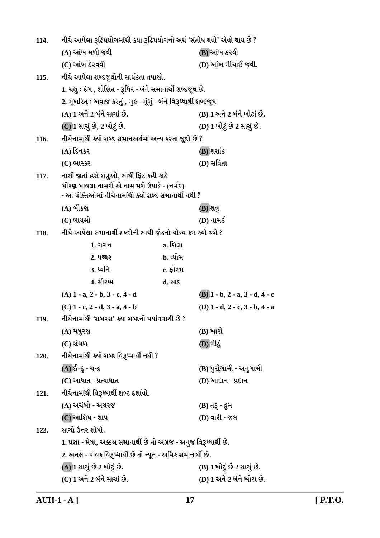| 114. | નીચે આપેલા રૂઢિપ્રયોગમાંથી કયા રૂઢિપ્રયોગનો અર્થ 'સંતોષ થવો' એવો થાય છે ?                                                                        |          |                                           |
|------|--------------------------------------------------------------------------------------------------------------------------------------------------|----------|-------------------------------------------|
|      | (A) આંખ મળી જવી                                                                                                                                  |          | (B) આંખ ઠરવી                              |
|      | (C) આંખ ઠેરવવી                                                                                                                                   |          | (D) આંખ મીંચાઈ જવી.                       |
| 115. | નીચે આપેલા શબ્દજૂથોની સાર્થકતા તપાસો.                                                                                                            |          |                                           |
|      | 1. ચક્ષુ : દેગ , શોણિત - રૂધિર - બંને સમાનાર્થી શબ્દજૂથ છે.                                                                                      |          |                                           |
|      | 2. મૂખરિત : અવાજ કરતું , મુક - મૂંગું - બંને વિરૂધ્ધાર્થી શબ્દજૂથ                                                                                |          |                                           |
|      | (A) 1 અને 2 બંને સાચાં છે.                                                                                                                       |          | (B) 1 અને 2 બંને ખોટાં છે.                |
|      | (C) 1 સાચું છે, 2 ખોટું છે.                                                                                                                      |          | (D) 1 ખોટું છે 2 સાચું છે.                |
| 116. | નીચેનામાંથી ક્યો શબ્દ સમાનઅર્થમાં અન્ય કરતા જુદો છે ?                                                                                            |          |                                           |
|      | $(A)$ દિનકર                                                                                                                                      |          | (B) શશાંક                                 |
|      | (C) ભાસ્કર                                                                                                                                       |          | (D) સવિતા                                 |
| 117. | નાસી જાતાં હસે શત્રુઓ, સાથી ફિટ કહી કાઢે<br>બીકણ બાયલા નામર્દો એ નામ મળે ઉપાડે - (નર્મદ)<br>- આ પંક્તિઓમાં નીચેનામાંથી ક્યો શબ્દ સમાનાર્થી નથી ? |          |                                           |
|      | $(A)$ બીકણ                                                                                                                                       |          | (B) શત્રુ                                 |
|      | (C) બાયલો                                                                                                                                        |          | (D) નામર્દ                                |
| 118. | નીચે આપેલા સમાનાર્થી શબ્દોની સાચી જોડનો યોગ્ય ક્રમ ક્યો થશે ?                                                                                    |          |                                           |
|      | <b>1.</b> ગગન                                                                                                                                    | a. શિલા  |                                           |
|      | 2. પથ્થર                                                                                                                                         | b. વ્યોમ |                                           |
|      | <u>3. ધ્વનિ</u>                                                                                                                                  | c. ફોરમ  |                                           |
|      | 4. સૌરભ                                                                                                                                          | d. સાદ   |                                           |
|      | $(A)$ 1 - a, 2 - b, 3 - c, 4 - d                                                                                                                 |          | $(B)$ 1 - b, 2 - a, 3 - d, 4 - c          |
|      | $(C)$ 1 - c, 2 - d, 3 - a, 4 - b                                                                                                                 |          | (D) $1 - d$ , $2 - c$ , $3 - b$ , $4 - a$ |
| 119. | નીચેનામાંથી 'સબરસ' ક્યા શબ્દનો પર્યાવવાચી છે ?                                                                                                   |          |                                           |
|      | (A) મધુરસ                                                                                                                                        |          | (B) ખારો                                  |
|      | (C) સંચળ                                                                                                                                         |          | (D) મીઠું                                 |
| 120. | નીચેનામાંથી ક્યો શબ્દ વિરૂધ્ધાર્થી નથી ?                                                                                                         |          |                                           |
|      | (A) ઈન્દુ - ચન્દ્ર                                                                                                                               |          | (B) પુરોગામી - અનુગામી                    |
|      | (C) આધાત - પ્રત્યાઘાત                                                                                                                            |          | (D) આદાન - પ્રદાન                         |
| 121. | નીચેનામાંથી વિરૂધ્ધાર્થી શબ્દ દર્શાવો.                                                                                                           |          |                                           |
|      | (A) અચંબો - અચરજ                                                                                                                                 |          | (B) તરૂ - દ્રમ                            |
|      | (C) આશિષ - શાપ                                                                                                                                   |          | (D) વારી - જલ                             |
| 122. | સાચો ઉત્તર શોધો.                                                                                                                                 |          |                                           |
|      | 1. પ્રજ્ઞા - મેધા, અક્કલ સમાનાર્થી છે તો અગ્રજ - અનુજ વિરૂધ્ધાર્થી છે.                                                                           |          |                                           |
|      | 2. અનલ - પાવક વિરૂધ્ધાર્થી છે તો ન્યૂન - અધિક સમાનાર્થી છે.                                                                                      |          |                                           |
|      | (A) 1 સાચું છે 2 ખોટું છે.                                                                                                                       |          | (B) 1 ખોટું છે 2 સાચું છે.                |
|      | (C) 1 અને 2 બંને સાચાં છે.                                                                                                                       |          | (D) 1 અને 2 બંને ખોટા છે.                 |

 $\overline{\text{AUH-1-A}}$ ]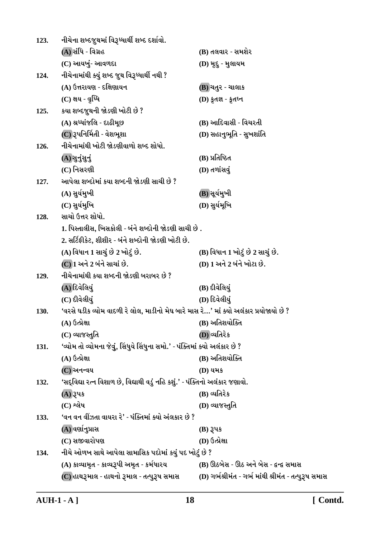| 123. | નીચેના શબ્દજુથમાં વિરૂધ્ધાર્થી શબ્દ દર્શાવો.                                           |                                                      |  |  |
|------|----------------------------------------------------------------------------------------|------------------------------------------------------|--|--|
|      | (A) સંધિ - વિગ્રહ                                                                      | (B) તલવાર - સમશેર                                    |  |  |
|      | (C) આયખું- આવળદા                                                                       | (D) મૂદુ - મુલાયમ                                    |  |  |
| 124. | નીચેનામાંથી ક્યું શબ્દ જુથ વિરૂધ્ધાર્થી નથી ?                                          |                                                      |  |  |
|      | (A) ઉત્તરાયણ - દક્ષિણાયન                                                               | (B) ચતુર - ચાલાક                                     |  |  |
|      | (C) ક્ષય - વૃધ્ધિ                                                                      | (D) કૃતજ્ઞ - કૃતઘ્ન                                  |  |  |
| 125. | કયા શબ્દજુથની જોડણી ખોટી છે ?                                                          |                                                      |  |  |
|      | (A) શ્રધ્ધાંજલિ - દાઢીમૂછ                                                              | (B) આદિવાસી - વિચરતી                                 |  |  |
|      | (C) રૂપનિર્મિતી - વેશભૂશા                                                              | (D) સહાનુભૂતિ - સુખશાંતિ                             |  |  |
| 126. | નીચેનામાંથી ખોટી જોડણીવાળો શબ્દ શોધો.                                                  |                                                      |  |  |
|      | (A) सुनुंसुनुं                                                                         | (B) પ્રતિષ્ઠિત                                       |  |  |
|      | (C) નિસરણી                                                                             | (D) તળાંસવું                                         |  |  |
| 127. | આપેલા શબ્દોમાં કયા શબ્દની જોડણી સાચી છે ?                                              |                                                      |  |  |
|      | (A) સુર્યમુખી                                                                          | (B))સૂર્યમુખી                                        |  |  |
|      | (C) સુર્યમુખિ                                                                          | (D) સુર્યમૂખિ                                        |  |  |
| 128. | સાચો ઉત્તર શોધો.                                                                       |                                                      |  |  |
|      | 1. પિસ્તાલીસ, ખિસકોલી - બંને શબ્દોની જોડણી સાચી છે .                                   |                                                      |  |  |
|      | 2. સર્ટિફીકેટ, શીશીર - બંને શબ્દોની જોડણી ખોટી છે.                                     |                                                      |  |  |
|      | (A) વિધાન 1 સાચું છે 2 ખોટું છે.                                                       | (B) વિધાન 1 ખોટું છે 2 સાચું છે.                     |  |  |
|      | (C) 1 અને 2 બંને સાચાં છે.                                                             | (D) 1 અને 2 બંને ખોટા છે.                            |  |  |
| 129. | નીચેનામાંથી કયા શબ્દની જોડણી બરાબર છે ?                                                |                                                      |  |  |
|      | (A) દિવેલિયું                                                                          | (B) દીવેલિયું                                        |  |  |
|      | (C) દીવેલીયું                                                                          | (D) દિવેલીયું                                        |  |  |
| 130. | 'વરસે ઘડીક વ્યોમ વાદળી રે લોલ, માડીનો મેઘ બારે માસ રે…' માં ક્યો અલંકાર પ્રયોજાયો છે ? |                                                      |  |  |
|      | (A) ઉત્પ્રેક્ષા                                                                        | (B) અતિશયોક્તિ                                       |  |  |
|      | (C) વ્યાજસ્તુતિ                                                                        | (D) વ્યતિરેક                                         |  |  |
| 131. | 'વ્યોમ તો વ્યોમના જેવું, સિંધુયે સિંધુના સમો.' - પંક્તિમાં ક્યો અલંકાર છે ?            |                                                      |  |  |
|      | $(A)$ ઉત્પ્રેક્ષા                                                                      | (B) અતિશયોક્તિ                                       |  |  |
|      | $(C)$ અનન્વય                                                                           | (D) યમક                                              |  |  |
| 132. | 'સદ્વિદ્યા રત્ન વિશાળ છે, વિદ્યાથી વડું નહિ કશું.' - પંક્તિનો અલંકાર જણાવો.            |                                                      |  |  |
|      | (A) રૂપક                                                                               | (B) વ્યતિરેક                                         |  |  |
|      | $(C)$ શ્લેષ                                                                            | (D) વ્યાજસ્તુતિ                                      |  |  |
| 133. | 'વન વન વીઝતા વાયરા રે' - પંક્તિમાં ક્યો અંલકાર છે ?                                    |                                                      |  |  |
|      | (A) વર્ણાનુપ્રાસ                                                                       | $(B)$ રૂપક                                           |  |  |
|      | (C) સજીવારોપણ                                                                          | (D) ઉત્પ્રેક્ષા                                      |  |  |
| 134. | નીચે ઓળખ સાથે આપેલા સામાસિક પદોમાં કયું પદ ખોટું છે ?                                  |                                                      |  |  |
|      | (A) કાવ્યામૃત - કાવ્યરૂપી અમૃત - કર્મધારય                                              | (B) ઊઠબેસ - ઊઠ અને બેસ - દ્વન્દ્વ સમાસ               |  |  |
|      | (C) હાથરૂમાલ - હાથનો રૂમાલ - તત્પુરૂષ સમાસ                                             | (D) ગર્ભશ્રીમંત - ગર્ભ માંથી શ્રીમંત - તત્પુરૂષ સમાસ |  |  |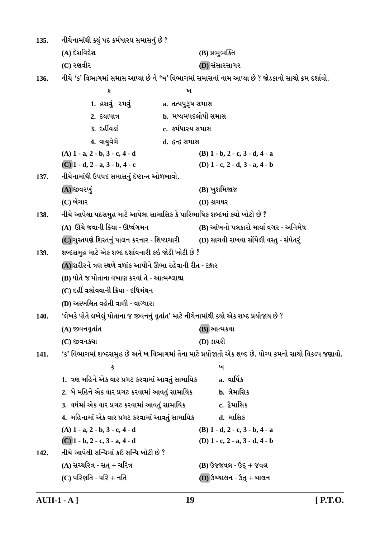નીચેનામાંથી ક્યું પદ કર્મધારય સમાસનું છે ?  $135.$ (A) દેશવિદેશ (B) પ્રભુભક્તિ  $(C)$  રણવીર (D) સંસારસાગર નીચે 'ક' વિભાગમાં સમાસ આપ્યા છે ને 'ખ' વિભાગમાં સમાસનાં નામ આપ્યા છે ? જોડકાનો સાચો ક્રમ દર્શાવો.  $136.$  $\mathbf{\hat{s}}$ ъ 1. હસવું - રમવું a. તત્પપુરૂષ સમાસ  $2.5$  and  $2.5$ **b.** મધ્યમપદલોપી સમાસ 3. દહીંવડાં c. કર્મધારય સમાસ 4. વાયુવેગે d. *દુ*ન્દ્ર સમાસ  $(A)$  1 - a, 2 - b, 3 - c, 4 - d  $(B)$  1 - b, 2 - c, 3 - d, 4 - a  $(C)$  1 - d, 2 - a, 3 - b, 4 - c (D)  $1 - c$ ,  $2 - d$ ,  $3 - a$ ,  $4 - b$ નીચેનામાંથી ઉપપદ સમાસનું દેષ્ટાન્ત ઓળખાવો. 137.  $(A)$  જીવરખું (B) ખુશમિજાજ  $(C)$  બેચાર  $(D)$  કાચઘર નીચે આપેલા પદસમુહ માટે આપેલા સામાસિક કે પારિભાષિક શબ્દમાં ક્યો ખોટો છે ? 138. (A) ઊંચે જવાની ક્રિયા - ઊર્ધ્વગમન (B) આંખનો પલકારો માર્યા વગર - અનિમેષ (C) ચુસ્તપણે શિસ્તનું પાલન કરનાર - શિષ્ટાચારી (D) સાચવી રાખવા સોંપેલી વસ્તુ - સંપેતરું શબ્દસમુહ માટે એક શબ્દ દર્શાવનારી કઇ જોડી ખોટી છે ? 139. (A) શરીરને ત્રણ સ્થળે વળાંક આપીને ઊભા રહેવાની રીત - ટટ્ટાર (B) પોતે જ પોતાના વખાણ કરવાં તે - આત્મશ્લાઘા (C) દહીં વલોવવાની ક્રિયા - દધિમંથન (D) અસ્ખલિત વહેતી વાણી - વાગ્ધારા 'લેખકે પોતે લખેલું પોતાના જ જીવનનું વૃતાંત' માટે નીચેનામાંથી ક્યો એક શબ્દ પ્રયોજાય છે ?  $140.$ (A) જીવનવૃતાંત (B) આત્મકથા (D) ડાયરી  $(C)$  જીવનકથા 'ક' વિભાગમાં શબ્દસમુહ છે અને ખ વિભાગમાં તેના માટે પ્રયોજાતો એક શબ્દ છે. યોગ્ય ક્રમનો સાચો વિકલ્પ જણાવો. 141.  $\mathbf{u}$ 卖 1. ત્રણ મહિને એક વાર પ્રગટ કરવામાં આવતું સામાયિક  $a.$  al $\widetilde{a}$   $\ast$ 2. બે મહિને એક વાર પ્રગટ કરવામાં આવતું સામાયિક b. ત્રૈમાસિક c. દ્વેમાસિક 3. વર્ષમાં એક વાર પ્રગટ કરવામાં આવતું સામાયિક 4. મહિનામાં એક વાર પ્રગટ કરવામાં આવતું સામાયિક **d.** માસિક  $(A)$  1 - a, 2 - b, 3 - c, 4 - d  $(B)$  1 - d, 2 - c, 3 - b, 4 - a  $(C)$  1 - b, 2 - c, 3 - a, 4 - d (D)  $1 - c$ ,  $2 - a$ ,  $3 - d$ ,  $4 - b$ નીચે આપેલી સન્ધિમાં કઇ સન્ધિ ખોટી છે ?  $142.$  $(A)$  સચ્ચરિત્ર - સત + ચરિત્ર  $(B)$  ઉજ્જવલ - ઉદ્ + જવલ  $(C)$  પરિણતિ - પરિ + નતિ  $(D)$  ઉચ્ચાલન - ઉત્ + ચાલન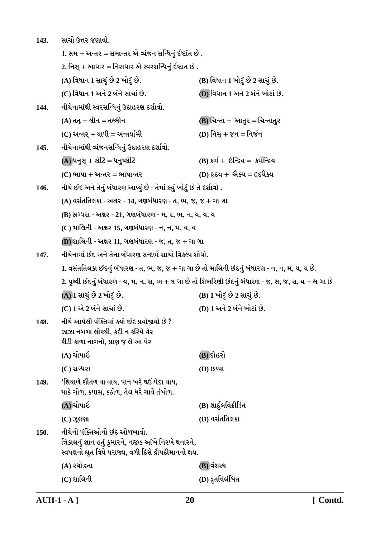| 143. | સાચો ઉત્તર જણાવો.                                                                                                                                |                                      |  |
|------|--------------------------------------------------------------------------------------------------------------------------------------------------|--------------------------------------|--|
|      | 1. સમ + અન્તર = સમાન્તર એ વ્યંજન સન્ધિનું ર્દષ્ટાંત છે .                                                                                         |                                      |  |
|      | 2. નિસ્ + આધાર = નિરાધાર એ સ્વરસન્ધિનું ર્દષ્ટાત છે .                                                                                            |                                      |  |
|      | (A) વિધાન 1 સાચું છે 2 ખોટું છે.                                                                                                                 | (B) વિધાન 1 ખોટું છે 2 સાચું છે.     |  |
|      | (C) વિધાન 1 અને 2 બંને સાચાં છે.                                                                                                                 | (D) વિધાન 1 અને 2 બંને ખોટાં છે.     |  |
| 144. | નીચેનામાંથી સ્વરસન્ધિનું ઉદાહરણ દર્શાવો.                                                                                                         |                                      |  |
|      | $(A)$ તત્ + લીન = તલ્લીન                                                                                                                         | (B) ચિન્તા + આતુર = ચિન્તાતુર        |  |
|      | $(C)$ અન્તર્ + યાપી = અન્તર્યામી                                                                                                                 | (D) નિસ્ $+ \gamma$ ન = નિર્જન       |  |
| 145. | નીચેનામાંથી વ્યંજનસન્ધિનું ઉદાહરણ દર્શાવો.                                                                                                       |                                      |  |
|      | $(A)$ ધનુસ્ $+$ કોટિ = ધનુષ્કોટિ                                                                                                                 | $(B)$ કર્મ + ઇન્દ્રિય = કર્મેન્દ્રિય |  |
|      | $(C)$ ભાષા + અન્તર = ભાષાન્તર                                                                                                                    | $(D)$ હૃદય + એક્ય = હૃદયૈક્ય         |  |
| 146. | નીચે છંદ અને તેનું બંધારણ આપ્યું છે - તેમાં ક્યું ખોટું છે તે દર્શાવો .                                                                          |                                      |  |
|      | $(A)$ વસંતતિલકા - અક્ષર - 14, ગણબંધારણ - ત, ભ, જ, જ + ગા ગા                                                                                      |                                      |  |
|      | (B) સ્રગ્ધરા - અક્ષર - 21, ગણબંધારણ - મ, ર, ભ, ન, ય, ય, ય                                                                                        |                                      |  |
|      | (C) માલિની - અક્ષર 15, ગણબંધારણ - ન, ન, મ, ય, ય                                                                                                  |                                      |  |
|      | (D) શાલિની - અક્ષર 11, ગણબંધારણ - જ, ત, જ + ગા ગા                                                                                                |                                      |  |
| 147. | નીચેનામાં છંદ અને તેના બંધારણ સન્દર્ભે સાચો વિકલ્પ શોધો.                                                                                         |                                      |  |
|      | 1. વસંતતિલકા છંદનું બંધારણ - ત, ભ, જ, જ + ગા ગા છે તો માલિની છંદનું બંધારણ - ન, ન, મ, ય, ય છે.                                                   |                                      |  |
|      | 2. પૃથ્વી છંદનું બંધારણ - ય, મ, ન, સ, ભ + લ ગા છે તો શિખરિણી છંદનું બંધારણ - જ, સ, જ, સ, ય + લ ગા છે                                             |                                      |  |
|      | (A) 1 સાચું છે 2 ખોટું છે.                                                                                                                       | (B) 1 ખોટું છે 2 સાચું છે.           |  |
|      | (C) 1 એ 2 બંને સાચાં છે.                                                                                                                         | (D) 1 અને 2 બંને ખોટાં છે.           |  |
| 148. | નીચે આપેલી પંક્તિમાં ક્યો છંદ પ્રયોજાયો છે ?<br>ઝાઝા નબળા લોકથી, કદી ન કરિયે વેર<br>કીડી કાળા નાગનો, પ્રાણ જ લે આ પેર                            |                                      |  |
|      | (A) ચોપાઇ                                                                                                                                        | (B) દોહરો                            |  |
|      | $(C)$ સ્રગ્ધરા                                                                                                                                   | $(D)$ છપ્પા                          |  |
| 149. | 'શિયાળે શીતળ વા વાય, પાન ખરે ઘઉં પેદા થાય,<br>પાકે ગોળ, કપાસ, કઠોળ, તેલ ધરે ચાવે તંબોળ.                                                          |                                      |  |
|      | (A) ચોપાઇ                                                                                                                                        | (B) શાર્દુલવિક્રીડિત                 |  |
|      | $(C)$ ઝૂલણા                                                                                                                                      | (D) વસંતતિલકા                        |  |
| 150. | નીચેની પંક્તિઓનો છંદ ઓળખાવો.<br>ત્રિકાલનું જ્ઞાન હતું કુમારને, નજીક આંખે નિરખે થનારને,<br>સ્વપક્ષનો ઘૂત વિષે પરાજ્ય, વળી દિસે દ્રૌપદીમાનનો ક્ષય. |                                      |  |
|      | (A) રથોદ્ધતા                                                                                                                                     | (B) વંશસ્થ                           |  |
|      | $(C)$ શાલિની                                                                                                                                     | (D) દ્રુતવિલંબિત                     |  |
|      |                                                                                                                                                  |                                      |  |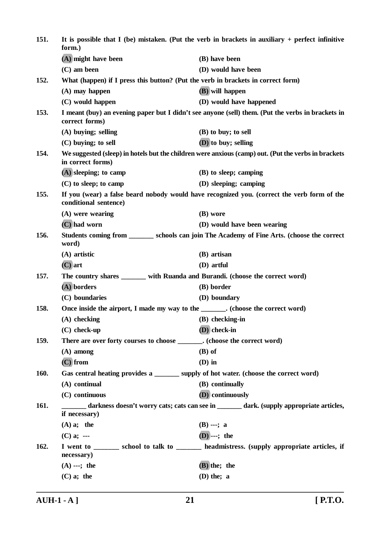| 151.        | It is possible that I (be) mistaken. (Put the verb in brackets in auxiliary $+$ perfect infinitive<br>form.) |                                                                                                     |
|-------------|--------------------------------------------------------------------------------------------------------------|-----------------------------------------------------------------------------------------------------|
|             | (A) might have been                                                                                          | (B) have been                                                                                       |
|             | $(C)$ am been                                                                                                | (D) would have been                                                                                 |
| 152.        | What (happen) if I press this button? (Put the verb in brackets in correct form)                             |                                                                                                     |
|             | $(A)$ may happen                                                                                             | (B) will happen                                                                                     |
|             | (C) would happen                                                                                             | (D) would have happened                                                                             |
| 153.        | correct forms)                                                                                               | I meant (buy) an evening paper but I didn't see anyone (sell) them. (Put the verbs in brackets in   |
|             | (A) buying; selling                                                                                          | (B) to buy; to sell                                                                                 |
|             | $(C)$ buying; to sell                                                                                        | (D) to buy; selling                                                                                 |
| 154.        | in correct forms)                                                                                            | We suggested (sleep) in hotels but the children were anxious (camp) out. (Put the verbs in brackets |
|             | $(A)$ sleeping; to camp                                                                                      | (B) to sleep; camping                                                                               |
|             | $(C)$ to sleep; to camp                                                                                      | (D) sleeping; camping                                                                               |
| 155.        | conditional sentence)                                                                                        | If you (wear) a false beard nobody would have recognized you. (correct the verb form of the         |
|             | $(A)$ were wearing                                                                                           | (B) wore                                                                                            |
|             | $(C)$ had worn                                                                                               | (D) would have been wearing                                                                         |
| 156.        | word)                                                                                                        | Students coming from _________ schools can join The Academy of Fine Arts. (choose the correct       |
|             | $(A)$ artistic                                                                                               | (B) artisan                                                                                         |
|             | $(C)$ art                                                                                                    | (D) artful                                                                                          |
| 157.        | The country shares _______ with Ruanda and Burandi. (choose the correct word)                                |                                                                                                     |
|             | (A) borders                                                                                                  | (B) border                                                                                          |
|             | (C) boundaries                                                                                               | (D) boundary                                                                                        |
| 158.        | Once inside the airport, I made my way to the ________. (choose the correct word)                            |                                                                                                     |
|             | $(A)$ checking                                                                                               | (B) checking-in                                                                                     |
|             | $(C)$ check-up                                                                                               | (D) check-in                                                                                        |
| 159.        | There are over forty courses to choose _______. (choose the correct word)                                    |                                                                                                     |
|             | $(A)$ among                                                                                                  | $(B)$ of                                                                                            |
|             | $(C)$ from                                                                                                   | $(D)$ in                                                                                            |
| <b>160.</b> | Gas central heating provides a ________ supply of hot water. (choose the correct word)                       |                                                                                                     |
|             | (A) continual                                                                                                | (B) continually                                                                                     |
|             | (C) continuous                                                                                               | (D) continuously                                                                                    |
| 161.        | if necessary)                                                                                                | darkness doesn't worry cats; cats can see in ______ dark. (supply appropriate articles,             |
|             | $(A)$ a; the                                                                                                 | $(B)$ ---; a                                                                                        |
|             | $(C)$ a; ---                                                                                                 | $(D)$ ---; the                                                                                      |
| 162.        | necessary)                                                                                                   | I went to ________ school to talk to ________ headmistress. (supply appropriate articles, if        |
|             | $(A)$ ---; the                                                                                               | (B) the; the                                                                                        |
|             | $(C)$ a; the                                                                                                 | $(D)$ the; a                                                                                        |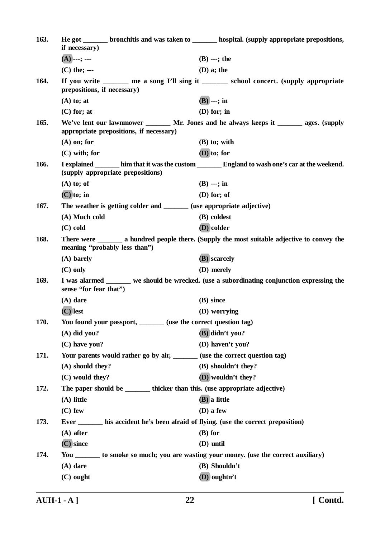| 163. | if necessary)                                                         | He got ________ bronchitis and was taken to ________ hospital. (supply appropriate prepositions,   |
|------|-----------------------------------------------------------------------|----------------------------------------------------------------------------------------------------|
|      | $(A)$ ---; ---                                                        | $(B)$ ---; the                                                                                     |
|      | $(C)$ the; ---                                                        | $(D)$ a; the                                                                                       |
| 164. | prepositions, if necessary)                                           | If you write ______ me a song I'll sing it ______ school concert. (supply appropriate              |
|      | $(A)$ to; at                                                          | $(B)$ ---; in                                                                                      |
|      | $(C)$ for; at                                                         | $(D)$ for; in                                                                                      |
| 165. | appropriate prepositions, if necessary)                               | We've lent our lawnmower _______ Mr. Jones and he always keeps it _______ ages. (supply            |
|      | $(A)$ on; for                                                         | $(B)$ to; with                                                                                     |
|      | $(C)$ with; for                                                       | $(D)$ to; for                                                                                      |
| 166. | (supply appropriate prepositions)                                     | I explained ________ him that it was the custom ________ England to wash one's car at the weekend. |
|      | $(A)$ to; of                                                          | $(B)$ ---; in                                                                                      |
|      | $(C)$ to; in                                                          | $(D)$ for; of                                                                                      |
| 167. | The weather is getting colder and _______ (use appropriate adjective) |                                                                                                    |
|      | (A) Much cold                                                         | (B) coldest                                                                                        |
|      | $(C)$ cold                                                            | (D) colder                                                                                         |
| 168. | meaning "probably less than")                                         | There were <u>equal</u> a hundred people there. (Supply the most suitable adjective to convey the  |
|      | (A) barely                                                            | (B) scarcely                                                                                       |
|      | $(C)$ only                                                            | (D) merely                                                                                         |
| 169. | sense "for fear that")                                                | I was alarmed ______ we should be wrecked. (use a subordinating conjunction expressing the         |
|      | $(A)$ dare                                                            | (B) since                                                                                          |
|      | $(C)$ lest                                                            | (D) worrying                                                                                       |
| 170. | You found your passport, _______ (use the correct question tag)       |                                                                                                    |
|      | $(A)$ did you?                                                        | $(B)$ didn't you?                                                                                  |
|      | (C) have you?                                                         | (D) haven't you?                                                                                   |
| 171. |                                                                       | Your parents would rather go by air, ______ (use the correct question tag)                         |
|      | (A) should they?                                                      | (B) shouldn't they?                                                                                |
|      | (C) would they?                                                       | (D) wouldn't they?                                                                                 |
| 172. |                                                                       | The paper should be _________ thicker than this. (use appropriate adjective)                       |
|      | (A) little                                                            | (B) a little                                                                                       |
|      | $(C)$ few                                                             | (D) a few                                                                                          |
| 173. |                                                                       | Ever ________ his accident he's been afraid of flying. (use the correct preposition)               |
|      | $(A)$ after                                                           | $(B)$ for                                                                                          |
|      | $(C)$ since                                                           | (D) until                                                                                          |
| 174. |                                                                       | You ________ to smoke so much; you are wasting your money. (use the correct auxiliary)             |
|      | $(A)$ dare                                                            | (B) Shouldn't                                                                                      |
|      | $(C)$ ought                                                           | (D) oughtn't                                                                                       |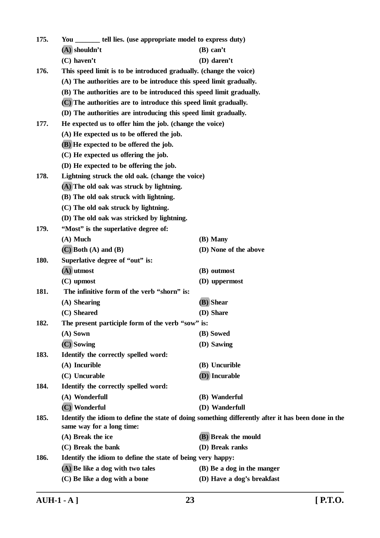| 175. | You ________ tell lies. (use appropriate model to express duty)      |                                                                                                     |
|------|----------------------------------------------------------------------|-----------------------------------------------------------------------------------------------------|
|      | $(A)$ shouldn't                                                      | $(B)$ can't                                                                                         |
|      | $(C)$ haven't                                                        | (D) daren't                                                                                         |
| 176. | This speed limit is to be introduced gradually. (change the voice)   |                                                                                                     |
|      | (A) The authorities are to be introduce this speed limit gradually.  |                                                                                                     |
|      | (B) The authorities are to be introduced this speed limit gradually. |                                                                                                     |
|      | (C) The authorities are to introduce this speed limit gradually.     |                                                                                                     |
|      | (D) The authorities are introducing this speed limit gradually.      |                                                                                                     |
| 177. | He expected us to offer him the job. (change the voice)              |                                                                                                     |
|      | (A) He expected us to be offered the job.                            |                                                                                                     |
|      | (B) He expected to be offered the job.                               |                                                                                                     |
|      | (C) He expected us offering the job.                                 |                                                                                                     |
|      | (D) He expected to be offering the job.                              |                                                                                                     |
| 178. | Lightning struck the old oak. (change the voice)                     |                                                                                                     |
|      | (A) The old oak was struck by lightning.                             |                                                                                                     |
|      | (B) The old oak struck with lightning.                               |                                                                                                     |
|      | (C) The old oak struck by lightning.                                 |                                                                                                     |
|      | (D) The old oak was stricked by lightning.                           |                                                                                                     |
| 179. | "Most" is the superlative degree of:                                 |                                                                                                     |
|      | $(A)$ Much                                                           | (B) Many                                                                                            |
|      | $(C)$ Both $(A)$ and $(B)$                                           | (D) None of the above                                                                               |
| 180. | Superlative degree of "out" is:                                      |                                                                                                     |
|      | $(A)$ utmost                                                         | (B) outmost                                                                                         |
|      | (C) upmost                                                           | (D) uppermost                                                                                       |
| 181. | The infinitive form of the verb "shorn" is:                          |                                                                                                     |
|      | (A) Shearing                                                         | (B) Shear                                                                                           |
|      | (C) Sheared                                                          | (D) Share                                                                                           |
| 182. | The present participle form of the verb "sow" is:                    |                                                                                                     |
|      | (A) Sown                                                             | (B) Sowed                                                                                           |
|      | (C) Sowing                                                           | (D) Sawing                                                                                          |
| 183. | Identify the correctly spelled word:                                 |                                                                                                     |
|      | (A) Incurible                                                        | (B) Uncurible                                                                                       |
|      | (C) Uncurable                                                        | (D) Incurable                                                                                       |
| 184. | Identify the correctly spelled word:                                 |                                                                                                     |
|      | (A) Wonderfull                                                       | (B) Wanderful                                                                                       |
|      | (C) Wonderful                                                        | (D) Wanderfull                                                                                      |
| 185. | same way for a long time:                                            | Identify the idiom to define the state of doing something differently after it has been done in the |
|      | (A) Break the ice                                                    | (B) Break the mould                                                                                 |
|      | (C) Break the bank                                                   | (D) Break ranks                                                                                     |
| 186. | Identify the idiom to define the state of being very happy:          |                                                                                                     |
|      | (A) Be like a dog with two tales                                     | (B) Be a dog in the manger                                                                          |
|      | (C) Be like a dog with a bone                                        | (D) Have a dog's breakfast                                                                          |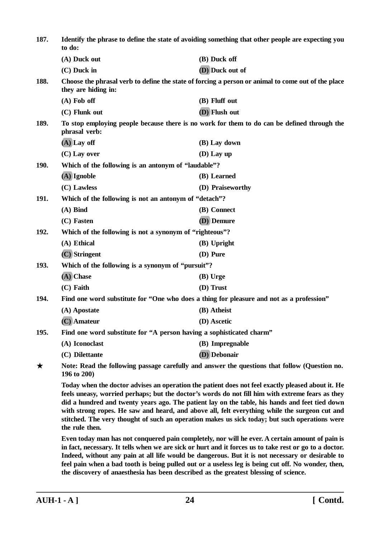| 187.        | Identify the phrase to define the state of avoiding something that other people are expecting you<br>to do:                                                                                                                                                                                                                                                                                                                                                                                                                 |                                                                                                 |
|-------------|-----------------------------------------------------------------------------------------------------------------------------------------------------------------------------------------------------------------------------------------------------------------------------------------------------------------------------------------------------------------------------------------------------------------------------------------------------------------------------------------------------------------------------|-------------------------------------------------------------------------------------------------|
|             | (A) Duck out                                                                                                                                                                                                                                                                                                                                                                                                                                                                                                                | (B) Duck off                                                                                    |
|             | $(C)$ Duck in                                                                                                                                                                                                                                                                                                                                                                                                                                                                                                               | (D) Duck out of                                                                                 |
| 188.        | Choose the phrasal verb to define the state of forcing a person or animal to come out of the place<br>they are hiding in:                                                                                                                                                                                                                                                                                                                                                                                                   |                                                                                                 |
|             | $(A)$ Fob off                                                                                                                                                                                                                                                                                                                                                                                                                                                                                                               | (B) Fluff out                                                                                   |
|             | (C) Flunk out                                                                                                                                                                                                                                                                                                                                                                                                                                                                                                               | (D) Flush out                                                                                   |
| 189.        | phrasal verb:                                                                                                                                                                                                                                                                                                                                                                                                                                                                                                               | To stop employing people because there is no work for them to do can be defined through the     |
|             | $(A)$ Lay off                                                                                                                                                                                                                                                                                                                                                                                                                                                                                                               | (B) Lay down                                                                                    |
|             | $(C)$ Lay over                                                                                                                                                                                                                                                                                                                                                                                                                                                                                                              | $(D)$ Lay up                                                                                    |
| <b>190.</b> | Which of the following is an antonym of "laudable"?                                                                                                                                                                                                                                                                                                                                                                                                                                                                         |                                                                                                 |
|             | $(A)$ Ignoble                                                                                                                                                                                                                                                                                                                                                                                                                                                                                                               | (B) Learned                                                                                     |
|             | (C) Lawless                                                                                                                                                                                                                                                                                                                                                                                                                                                                                                                 | (D) Praiseworthy                                                                                |
| 191.        | Which of the following is not an antonym of "detach"?                                                                                                                                                                                                                                                                                                                                                                                                                                                                       |                                                                                                 |
|             | $(A)$ Bind                                                                                                                                                                                                                                                                                                                                                                                                                                                                                                                  | (B) Connect                                                                                     |
|             | (C) Fasten                                                                                                                                                                                                                                                                                                                                                                                                                                                                                                                  | (D) Demure                                                                                      |
| 192.        | Which of the following is not a synonym of "righteous"?                                                                                                                                                                                                                                                                                                                                                                                                                                                                     |                                                                                                 |
|             | (A) Ethical                                                                                                                                                                                                                                                                                                                                                                                                                                                                                                                 | (B) Upright                                                                                     |
|             | (C) Stringent                                                                                                                                                                                                                                                                                                                                                                                                                                                                                                               | (D) Pure                                                                                        |
| 193.        | Which of the following is a synonym of "pursuit"?                                                                                                                                                                                                                                                                                                                                                                                                                                                                           |                                                                                                 |
|             | (A) Chase                                                                                                                                                                                                                                                                                                                                                                                                                                                                                                                   | (B) Urge                                                                                        |
|             | $(C)$ Faith                                                                                                                                                                                                                                                                                                                                                                                                                                                                                                                 | (D) Trust                                                                                       |
| 194.        |                                                                                                                                                                                                                                                                                                                                                                                                                                                                                                                             | Find one word substitute for "One who does a thing for pleasure and not as a profession"        |
|             | (A) Apostate                                                                                                                                                                                                                                                                                                                                                                                                                                                                                                                | (B) Atheist                                                                                     |
|             | (C) Amateur                                                                                                                                                                                                                                                                                                                                                                                                                                                                                                                 | (D) Ascetic                                                                                     |
| 195.        |                                                                                                                                                                                                                                                                                                                                                                                                                                                                                                                             | Find one word substitute for "A person having a sophisticated charm"                            |
|             | (A) Iconoclast                                                                                                                                                                                                                                                                                                                                                                                                                                                                                                              | (B) Impregnable                                                                                 |
|             | (C) Dilettante                                                                                                                                                                                                                                                                                                                                                                                                                                                                                                              | (D) Debonair                                                                                    |
| ★           | 196 to 200)                                                                                                                                                                                                                                                                                                                                                                                                                                                                                                                 | Note: Read the following passage carefully and answer the questions that follow (Question no.   |
|             | Today when the doctor advises an operation the patient does not feel exactly pleased about it. He<br>feels uneasy, worried perhaps; but the doctor's words do not fill him with extreme fears as they<br>did a hundred and twenty years ago. The patient lay on the table, his hands and feet tied down<br>with strong ropes. He saw and heard, and above all, felt everything while the surgeon cut and<br>stitched. The very thought of such an operation makes us sick today; but such operations were<br>the rule then. |                                                                                                 |
|             |                                                                                                                                                                                                                                                                                                                                                                                                                                                                                                                             | Even today man has not conquered pain completely, nor will he ever. A certain amount of pain is |

**Even today man has not conquered pain completely, nor will he ever. A certain amount of pain is in fact, necessary. It tells when we are sick or hurt and it forces us to take rest or go to a doctor. Indeed, without any pain at all life would be dangerous. But it is not necessary or desirable to feel pain when a bad tooth is being pulled out or a useless leg is being cut off. No wonder, then, the discovery of anaesthesia has been described as the greatest blessing of science.**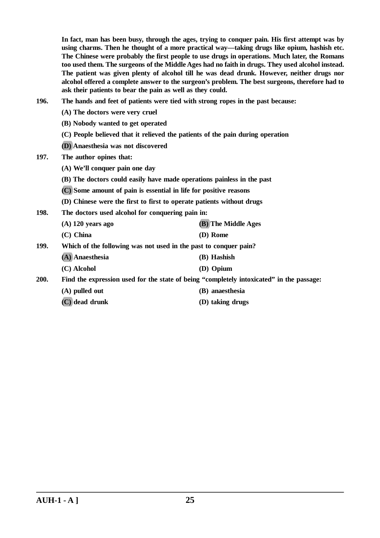**In fact, man has been busy, through the ages, trying to conquer pain. His first attempt was by using charms. Then he thought of a more practical way—taking drugs like opium, hashish etc. The Chinese were probably the first people to use drugs in operations. Much later, the Romans too used them. The surgeons of the Middle Ages had no faith in drugs. They used alcohol instead. The patient was given plenty of alcohol till he was dead drunk. However, neither drugs nor alcohol offered a complete answer to the surgeon's problem. The best surgeons, therefore had to ask their patients to bear the pain as well as they could.**

- **196. The hands and feet of patients were tied with strong ropes in the past because:**
	- **(A) The doctors were very cruel**
	- **(B) Nobody wanted to get operated**
	- **(C) People believed that it relieved the patients of the pain during operation**
	- **(D) Anaesthesia was not discovered**
- **197. The author opines that:**
	- **(A) We'll conquer pain one day**
	- **(B) The doctors could easily have made operations painless in the past**
	- **(C) Some amount of pain is essential in life for positive reasons**
	- **(D) Chinese were the first to first to operate patients without drugs**
- **198. The doctors used alcohol for conquering pain in:**
	- **(A) 120 years ago (B) The Middle Ages (C) China (D) Rome**
- **199. Which of the following was not used in the past to conquer pain?**
	- **(A) Anaesthesia (B) Hashish**
		- **(C) Alcohol (D) Opium**

**200. Find the expression used for the state of being "completely intoxicated" in the passage:**

- **(A) pulled out (B) anaesthesia**
- **(C) dead drunk (D) taking drugs**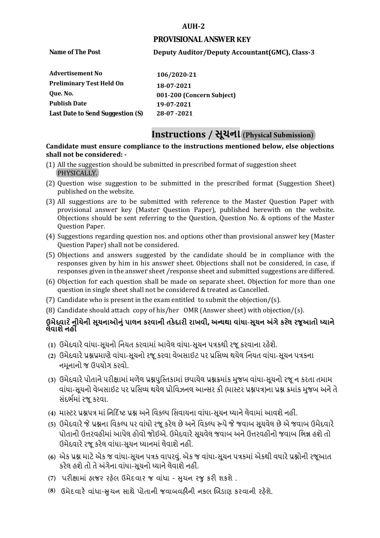#### **AUH-2**

#### **PROVISIONAL ANSWER KEY**

**Name of The Post** 

# **Deputy Auditor/Deputy Accountant(GMC), Class-3**

| Advertisement No                 | 106/2020-21               |
|----------------------------------|---------------------------|
| <b>Preliminary Test Held On</b>  | 18-07-2021                |
| Oue. No.                         | 001-200 (Concern Subject) |
| <b>Publish Date</b>              | 19-07-2021                |
| Last Date to Send Suggestion (S) | 28-07 - 2021              |

# **Instructions / સૂચના (Physical Submission)**

#### **shall not be considered: - Candidate must ensure compliance to the instructions mentioned below, else objections**

- (1) All the suggestion should be submitted in prescribed format of suggestion sheet PHYSICALLY.
- (2) Question wise suggestion to be submitted in the prescribed format (Suggestion Sheet) published on the website.
- (3) All suggestions are to be submitted with reference to the Master Question Paper with provisional answer key (Master Question Paper), published herewith on the website. Objections should be sent referring to the Question, Question No. & options of the Master Question Paper.
- (4) Suggestions regarding question nos. and options other than provisional answer key (Master Question Paper) shall not be considered.
- (5) Objections and answers suggested by the candidate should be in compliance with the responses given by him in his answer sheet. Objections shall not be considered, in case, if responses given in the answer sheet /response sheet and submitted suggestions are differed.
- (6) Objection for each question shall be made on separate sheet. Objection for more than one question in single sheet shall not be considered & treated as Cancelled.
- (7) Candidate who is present in the exam entitled to submit the objection/ $(s)$ .
- (8) Candidate should attach copy of his/her OMR (Answer sheet) with objection/(s).

# **ઉમેદવાર ેનીચેની સૂચનાઓનું પાલન કરવાની તકેદારી રાખવી, અլયથા વાંધા-સૂચન અંગેકરલે રજૂઆતો իયાને લેવાશેનહીં**

- **(1)** ઉમેદવારેવાંધા**-**સૂચનો િનયત કરવામાં આવેલ વાંધા-સૂચન પԋકથી રજૂ કરવાના રહેશે**.**
- **(2)** ઉમેદવારેԐՇԐમાણે વાંધા**-**સૂચનો રજૂકરવા વેબસાઈટ પર Ԑિસիધ થયેલ િનયત વાંધા-સૂચન પԋકના નમૂનાનો જ ઉપયોગ કરવો**.**
- **(3)** ઉમેદવારેપોતાનેપરીԟામાંમળેલ ԐՇપુિչતકામાંછપાયેલ ԐՇԃમાંક મુજબ વાંધા**-**સૂચનો રજૂન કરતા તમામ વાંધા**-**સૂચનો વેબસાઈટ પર Ԑિસիધ થયેલ Ԑોિવઝનલ આլસર કી **(**માչટર ԐՇપԋ**)**ના ԐՇ ԃમાંક મુજબ અનેતે સંદભӪમાં રજૂકરવા**.**
- **(4)** માչટર ԐՇપԋ માં િન�દ�ષ્ટ ԐՇ અનેિવકճપ િસવાયના વાંધા**-**સૂચન իયાનેલેવામાંઆવશેનહીં**.**
- **(5)** ઉમેદવારેજેԐՇના િવકճપ પર વાંધો રજૂકરેલ છેઅનેિવકճપ ԁપેજેજવાબ સૂચવેલ છેએ જવાબ ઉમેદવારે પોતાની ઉԱરવહીમાંઆપેલ હોવો જોઈએ**.** ઉમેદવારેસૂચવેલ જવાબ અનેઉԱરવહીનો જવાબ િભՂ હશેતો ઉમેદવારેરજૂ કરેલ વાંધા**-**સૂચન իયાનમાંલેવાશેનહીં**.**
- **(6)** એક ԐՇ માટેએક જ વાંધા**-**સૂચન પԋક વાપરવું**.** એક જ વાંધા**-**સૂચન પԋકમાંએકથી વધારેԐՇોની રજૂઆત કરેલ હશેતો તેઅંગેના વાંધા**-**સૂચનો իયાનેલેવાશેનહીં**.**
- (7) પરીક્ષામાં હાજર રહેલ ઉમેદવાર જ વાંધા સુચન રજુ કરી શકશે .
- **(8)** ઉમેદવાર**�** વાંધા-**�**ુચન સાથે પોતાની જવાબવહ**�**ની નકલ **�**બડાણ કરવાની રહ**�**શે.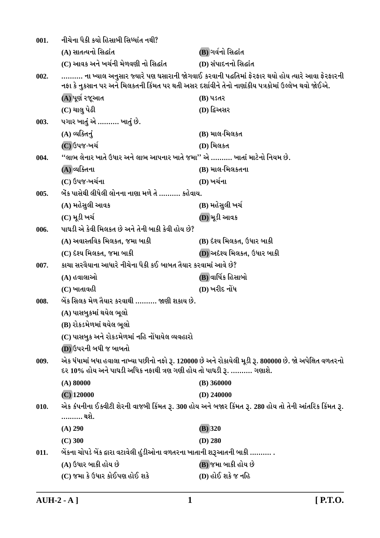| 001. | નીચેના પૈકી કયો હિસાબી સિધ્ધાંત નથી?                                                             |                                                                                                         |
|------|--------------------------------------------------------------------------------------------------|---------------------------------------------------------------------------------------------------------|
|      | (A) સાતત્યનો સિદ્ધાંત                                                                            | (B) ગર્વનો સિદ્ધાંત                                                                                     |
|      | (C) આવક અને ખર્ચની મેળવણી નો સિદ્ધાંત                                                            | (D) સંપાદનનો સિદ્ધાંત                                                                                   |
| 002. | નફા કે નુકસાન પર અને મિલકતની કિંમત પર થતી અસર દર્શાવીને તેનો નાણાંકીય પત્રકોમાં ઉલ્લેખ થવો જોઈએ. | ના ખ્યાલ અનુસાર જ્યારે પણ ઘસારાની જોગવાઈ કરવાની પદ્ધતિમાં ફેરફાર થયો હોય ત્યારે આવા ફેરફારની            |
|      | (A) પૂર્ણ રજૂઆત                                                                                  | (B) પડેતર                                                                                               |
|      | (C) ચાલુ પેઢી                                                                                    | (D) દ્વિઅસર                                                                                             |
| 003. | પગાર ખાતું એ ………. ખાતું છે.                                                                      |                                                                                                         |
|      | $(A)$ વ્યક્તિનું                                                                                 | (B) માલ-મિલકત                                                                                           |
|      | (C) ઉપજ-ખર્ચ                                                                                     | (D) મિલકત                                                                                               |
| 004. | ''લાભ લેનાર ખાતે ઉધાર અને લાભ આપનાર ખાતે જમા'' એ ………. ખાતાં માટેનો નિયમ છે.                      |                                                                                                         |
|      | (A)વ્યક્તિના                                                                                     | (B) માલ-મિલકતના                                                                                         |
|      | (C) ઉપજ-ખર્ચના                                                                                   | (D) ખર્ચના                                                                                              |
| 005. | બેંક પાસેથી લીધેલી લોનના નાણા મળે તે ………. કહેવાય.                                                |                                                                                                         |
|      | (A) મહેસુલી આવક                                                                                  | (B) મહેસુલી ખર્ચ                                                                                        |
|      | (C) મૂડી ખર્ચ                                                                                    | (D) મૂડી આવક                                                                                            |
| 006. | પાઘડી એ કેવી મિલકત છે અને તેની બાકી કેવી હોય છે?                                                 |                                                                                                         |
|      | (A) અવાસ્તવિક મિલકત, જમા બાકી                                                                    | (B) દેશ્ય મિલકત, ઉધાર બાકી                                                                              |
|      | (C) દેશ્ય મિલકત, જમા બાકી                                                                        | (D) અદેશ્ય મિલકત, ઉધાર બાકી                                                                             |
| 007. | કાચા સરવૈયાના આધારે નીચેના પૈકી કઈ બાબત તૈયાર કરવામાં આવે છે?                                    |                                                                                                         |
|      | (A) હવાલાઓ                                                                                       | (B) વાર્ષિક હિસાબો                                                                                      |
|      | $(C)$ ખાતાવહી                                                                                    | (D) ખરીદ નોંધ                                                                                           |
| 008. | બેંક સિલક મેળ તૈયાર કરવાથી ………. જાણી શકાય છે.                                                    |                                                                                                         |
|      | (A) પાસબુકમાં થયેલ ભૂલો                                                                          |                                                                                                         |
|      | (B) રોકડમેળમાં થયેલ ભૂલો                                                                         |                                                                                                         |
|      | (C) પાસબુક અને રોકડમેળમાં નહિ નોંધાયેલ વ્યવહારો                                                  |                                                                                                         |
|      | (D) ઉપરની બધી જ બાબતો                                                                            |                                                                                                         |
| 009. | દર 10% હોય અને પાઘડી અધિક નફાથી ત્રણ ગણી હોય તો પાઘડી રૂ. ………. ગણાશે.                            | એક ધંધામાં બધા હવાલા નાખ્યા પછીનો નફો રૂ. 120000 છે અને રોકાયેલી મૂડી રૂ. 800000 છે. જો અપેક્ષિત વળતરનો |
|      | $(A)$ 80000                                                                                      | $(B)$ 360000                                                                                            |
|      | $(C)$ 120000                                                                                     | $(D)$ 240000                                                                                            |
| 010. | ………. થશે.                                                                                        | એક કંપનીના ઈક્વીટી શેરની વાજબી કિંમત રૂ. 300 હોય અને બજાર કિંમત રૂ. 280 હોય તો તેની આંતરિક કિંમત રૂ.    |
|      | $(A)$ 290                                                                                        | $(B)$ 320                                                                                               |
|      | $(C)$ 300                                                                                        | $(D)$ 280                                                                                               |
| 011. | બેંકના ચોપડે બેંક દ્વારા વટાવેલી હુંડીઓના વળતરના ખાતાની શરૂઆતની બાકી ………. .                      |                                                                                                         |
|      | (A) ઉધાર બાકી હોય છે                                                                             | (B) જમા બાકી હોય છે                                                                                     |
|      | (C) જમા કે ઉધાર કોઈપણ હોઈ શકે                                                                    | (D) હોઈ શકે જ નહિ                                                                                       |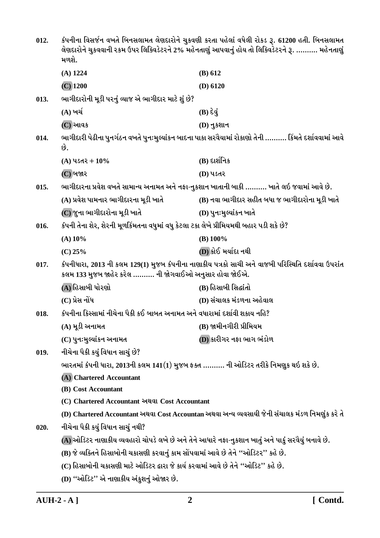| 012. | કંપનીના વિસર્જન વખતે બિનસલામત લેણદારોને ચુકવણી કરતા પહેલાં વધેલી રોકડ રૂ. 61200 હતી. બિનસલામત<br>લેણદારોને ચુકવવાની રકમ ઉપર લિક્વિડેટરને 2% મહેનતાણું આપવાનું હોય તો લિક્વિડેટરને રૂ.  મહેનતાણું<br>મળશે. |                                                                                                          |
|------|-----------------------------------------------------------------------------------------------------------------------------------------------------------------------------------------------------------|----------------------------------------------------------------------------------------------------------|
|      | $(A)$ 1224                                                                                                                                                                                                | (B) 612                                                                                                  |
|      | $(C)$ 1200                                                                                                                                                                                                | $(D)$ 6120                                                                                               |
| 013. | ભાગીદારોની મૂડી પરનું વ્યાજ એ ભાગીદાર માટે શું છે?                                                                                                                                                        |                                                                                                          |
|      | (A) ખર્ચ                                                                                                                                                                                                  | $(B) \, \hat{\epsilon} \, \hat{d}$                                                                       |
|      | (C) આવક                                                                                                                                                                                                   | $(D)$ નુકશાન                                                                                             |
| 014. | છે.                                                                                                                                                                                                       | ભાગીદારી પેઢીના પુનર્ગઠન વખતે પુનઃમુલ્યાંકન બાદના પાકા સરવૈયામાં રોકાણો તેની ………. કિંમતે દર્શાવવામાં આવે |
|      | (A) પડતર + $10\%$                                                                                                                                                                                         | $(B)$ દાર્શનિક                                                                                           |
|      | (C) બજાર                                                                                                                                                                                                  | (D) પડતર                                                                                                 |
| 015. |                                                                                                                                                                                                           | ભાગીદારના પ્રવેશ વખતે સામાન્ય અનામત અને નફા-નુકશાન ખાતાની બાકી ………. ખાતે લઇ જવામાં આવે છે.               |
|      | (A) પ્રવેશ પામનાર ભાગીદારના મૂડી ખાતે                                                                                                                                                                     | (B) નવા ભાગીદાર સહીત બધા જ ભાગીદારોના મૂડી ખાતે                                                          |
|      | (C) જુના ભાગીદારોના મૂડી ખાતે                                                                                                                                                                             | (D) પુનઃમુલ્યાંકન ખાતે                                                                                   |
| 016. | કંપની તેના શેર, શેરની મૂળકિંમતના વધુમાં વધુ કેટલા ટકા લેખે પ્રીમિયમથી બહાર પડી શકે છે?                                                                                                                    |                                                                                                          |
|      | $(A)$ 10%                                                                                                                                                                                                 | $(B)$ 100%                                                                                               |
|      | $(C)$ 25%                                                                                                                                                                                                 | (D) કોઈ મર્યાદા નથી                                                                                      |
| 017. | કલમ 133 મુજબ જાહેર કરેલ ………. ની જોગવાઈઓ અનુસાર હોવા જોઈએ.                                                                                                                                                 | કંપનીધારા, 2013 ની કલમ 129(1) મુજબ કંપનીના નાણાકીય પત્રકો સાચી અને વાજબી પરિસ્થિતિ દર્શાવવા ઉપરાંત       |
|      | (A) હિસાબી ધોરણો                                                                                                                                                                                          | (B) હિસાબી સિદ્ધાંતો                                                                                     |
|      | (C) પ્રેસ નોંધ                                                                                                                                                                                            | (D) સંચાલક મંડળના અહેવાલ                                                                                 |
| 018. | કંપનીના કિસ્સામાં નીચેના પૈકી કઈ બાબત અનામત અને વધારામાં દર્શાવી શકાય નહિ?                                                                                                                                |                                                                                                          |
|      | (A) મૂડી અનામત                                                                                                                                                                                            | (B) જામીનગીરી પ્રીમિયમ                                                                                   |
|      | (C) પુનઃમુલ્યાંકન અનામત                                                                                                                                                                                   | (D) કારીગર નફા ભાગ ભંડોળ                                                                                 |
| 019. | નીચેના પૈકી કયું વિધાન સાચું છે?                                                                                                                                                                          |                                                                                                          |
|      | ભારતમાં કંપની ધારા, 2013ની કલમ 141(1) મુજબ ફક્ત ………. ની ઓડિટર તરીકે નિમણુક થઇ શકે છે.                                                                                                                     |                                                                                                          |
|      | (A) Chartered Accountant                                                                                                                                                                                  |                                                                                                          |
|      | (B) Cost Accountant                                                                                                                                                                                       |                                                                                                          |
|      | (C) Chartered Accountant અથવા Cost Accountant                                                                                                                                                             |                                                                                                          |
|      |                                                                                                                                                                                                           | (D) Chartered Accountant અથવા Cost Accountan અથવા અન્ય વ્યવસાયી જેની સંચાલક મંડળ નિમણુંક કરે તે          |
| 020. | નીચેના પૈકી કયું વિધાન સાચું નથી?                                                                                                                                                                         |                                                                                                          |
|      |                                                                                                                                                                                                           | (A) ઓડિટર નાણાકીય વ્યવહારો ચોપડે લખે છે અને તેને આધારે નફા-નુકશાન ખાતું અને પાકું સરવૈયું બનાવે છે.      |
|      | (B) જે વ્યક્તિને હિસાબોની ચકાસણી કરવાનું કામ સોંપવામાં આવે છે તેને "ઓડિટર" કહે છે.                                                                                                                        |                                                                                                          |
|      | (C) હિસાબોની ચકાસણી માટે ઓડિટર દ્વારા જે કાર્ય કરવામાં આવે છે તેને ''ઓડિટ'' કહે છે.                                                                                                                       |                                                                                                          |
|      | (D) "ઓડિટ" એ નાણાકીય અંકુશનું ઓજાર છે.                                                                                                                                                                    |                                                                                                          |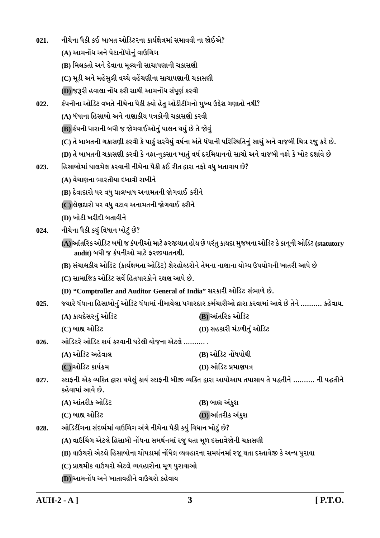| 021. | નીચેના પૈકી કઈ બાબત ઓડિટરના કાર્યક્ષેત્રમાં સમાવવી ના જોઈએ?                                                                                |                                                                                                              |  |  |
|------|--------------------------------------------------------------------------------------------------------------------------------------------|--------------------------------------------------------------------------------------------------------------|--|--|
|      | (A) આમનોંધ અને પેટાનોંધોનું વાઉચિંગ                                                                                                        |                                                                                                              |  |  |
|      | (B) મિલકતો અને દેવાના મૂલ્યની સાચાપણાની ચકાસણી                                                                                             |                                                                                                              |  |  |
|      | (C) મૂડી અને મહેસુલી વચ્ચે વહેંચણીના સાચાપણાની ચકાસણી                                                                                      |                                                                                                              |  |  |
|      | (D) જરૂરી હવાલા નોંધ કરી સાચી આમનોંધ સંપૂર્ણ કરવી                                                                                          |                                                                                                              |  |  |
| 022. | કંપનીના ઓડિટ વખતે નીચેના પૈકી કયો હેતુ ઓડીટીંગનો મુખ્ય ઉદ્દેશ ગણાતો નથી?                                                                   |                                                                                                              |  |  |
|      | (A) ધંધાના હિસાબો અને નાણાકીય પત્રકોની ચકાસણી કરવી                                                                                         |                                                                                                              |  |  |
|      | (B) કંપની ધારાની બધી જ જોગવાઈઓનું પાલન થયું છે તે જોવું                                                                                    |                                                                                                              |  |  |
|      | (C) તે બાબતની ચકાસણી કરવી કે પાકું સરવૈયું વર્ષના અંતે ધંધાની પરિસ્થિતિનું સાચું અને વાજબી ચિત્ર રજુ કરે છે.                               |                                                                                                              |  |  |
|      |                                                                                                                                            | (D) તે બાબતની ચકાસણી કરવી કે નફા-નુકસાન ખાતું વર્ષ દરમિયાનનો સાચો અને વાજબી નફો કે ખોટ દર્શાવે છે            |  |  |
| 023. | હિસાબોમાં ઘાલમેલ કરવાની નીચેના પૈકી કઈ રીત દ્વારા નફો વધુ બતાવાય છે?                                                                       |                                                                                                              |  |  |
|      | (A) વેચાણના ભારતીયા દબાવી રાખીને                                                                                                           |                                                                                                              |  |  |
|      | (B) દેવાદારો પર વધુ ઘાલખાધ અનામતની જોગવાઈ કરીને                                                                                            |                                                                                                              |  |  |
|      | (C) લેણદારો પર વધુ વટાવ અનામતની જોગવાઈ કરીને                                                                                               |                                                                                                              |  |  |
|      | (D) ખોટી ખરીદી બતાવીને                                                                                                                     |                                                                                                              |  |  |
| 024. | નીચેના પૈકી કયું વિધાન ખોટું છે?                                                                                                           |                                                                                                              |  |  |
|      | (A) આંતરિક ઓડિટ બધી જ કંપનીઓ માટે ફરજીયાત હોય છે પરંતુ કાયદા મુજબના ઓડિટ કે કાનૂની ઓડિટ (statutory<br>audit) બધી જ કંપનીઓ માટે ફરજીયાતનથી. |                                                                                                              |  |  |
|      | (B) સંચાલકીય ઓડિટ (કાર્યક્ષમતા ઓડિટ) શેરહોલ્ડરોને તેમના નાણાના યોગ્ય ઉપયોગની ખાતરી આપે છે                                                  |                                                                                                              |  |  |
|      | (C) સામાજિક ઓડિટ સર્વે હિતધારકોને રક્ષણ આપે છે.                                                                                            |                                                                                                              |  |  |
|      |                                                                                                                                            | (D) "Comptroller and Auditor General of India" સરકારી ઓડિટ સંભાળે છે.                                        |  |  |
| 025. |                                                                                                                                            | જ્યારે ધંધાના હિસાબોનું ઓડિટ ધંધામાં નીમાયેલા પગારદાર કર્મચારીઓ દ્વારા કરવામાં આવે છે તેને  કહેવાય.          |  |  |
|      | (A) કાયદેસરનું ઓડિટ                                                                                                                        | (B) આંતરિક ઓડિટ                                                                                              |  |  |
|      | (C) બાહ્ય ઓડિટ                                                                                                                             | (D) સહકારી મંડળીનું ઓડિટ                                                                                     |  |  |
| 026. | ઓડિટરે ઓડિટ કાર્ય કરવાની ઘડેલી યોજના એટલે ………. .                                                                                           |                                                                                                              |  |  |
|      | (A) ઓડિટ અહેવાલ                                                                                                                            | (B) ઓડિટ નોંધપોથી                                                                                            |  |  |
|      | (C)ઓડિટ કાર્યક્રમ                                                                                                                          | (D) ઓડિટ પ્રમાણપત્ર                                                                                          |  |  |
| 027. | કહેવામાં આવે છે.                                                                                                                           | સ્ટાફની એક વ્યક્તિ દ્વારા થયેલું કાર્ય સ્ટાફની બીજી વ્યક્તિ દ્વારા આપોઆપ તપાસાય તે પહ્રતીને ………. ની પહ્રતીને |  |  |
|      | (A) આંતરીક ઓડિટ                                                                                                                            | (B) બાહ્ય અંકુશ                                                                                              |  |  |
|      | (C) બાહ્ય ઓડિટ                                                                                                                             | (D) આંતરીક અંકુશ                                                                                             |  |  |
| 028. | ઓડિટીંગના સંદર્ભમાં વાઉચિંગ અંગે નીચેના પૈકી કયું વિધાન ખોટું છે?                                                                          |                                                                                                              |  |  |
|      | (A) વાઉચિંગ એટલે હિસાબી નોંધના સમર્થનમાં રજુ થતા મૂળ દસ્તાવેજોની ચકાસણી                                                                    |                                                                                                              |  |  |
|      | (B) વાઉચરો એટલે હિસાબોના ચોપડામાં નોંધેલ વ્યવહારના સમર્થનમાં રજૂ થતા દસ્તાવેજી કે અન્ય પુરાવા                                              |                                                                                                              |  |  |
|      | (C) પ્રાથમીક વાઉચરો એટલે વ્યવહારોના મૂળ પુરાવાઓ                                                                                            |                                                                                                              |  |  |
|      | (D) આમનોંધ અને ખાતાવહીને વાઉચરો કહેવાય                                                                                                     |                                                                                                              |  |  |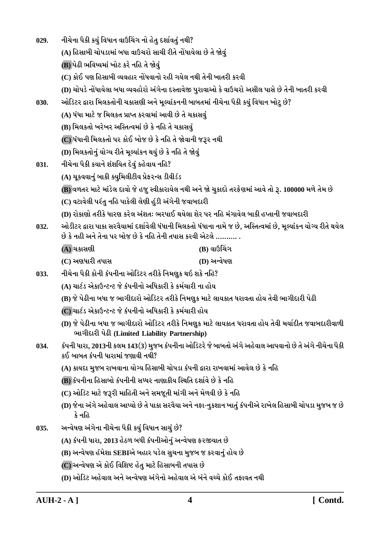| 029. | નીચેના પૈકી કયું વિધાન વાઉચિંગ નો હેતુ દર્શાવતું નથી?                                            |                                                                                                                 |
|------|--------------------------------------------------------------------------------------------------|-----------------------------------------------------------------------------------------------------------------|
|      | (A) હિસાબી ચોપડામાં બધા વાઉચરો સાચી રીતે નોંધાયેલા છે તે જોવું                                   |                                                                                                                 |
|      | (B) પેઢી ભવિષ્યમાં ખોટ કરે નહિ તે જોવું                                                          |                                                                                                                 |
|      | (C) કોઈ પણ હિસાબી વ્યવહાર નોંધવાનો રહી ગયેલ નથી તેની ખાતરી કરવી                                  |                                                                                                                 |
|      | (D) ચોપડે નોંધાયેલા બધા વ્યવહોરો અંગેના દસ્તાવેજી પુરાવાઓ કે વાઉચરો અસીલ પાસે છે તેની ખાતરી કરવી |                                                                                                                 |
| 030. | ઓડિટર દ્વારા મિલકતોની ચકાસણી અને મૂલ્યાંકનની બાબતમાં નીચેના પૈકી કયું વિધાન ખોટુ છે?             |                                                                                                                 |
|      | (A) ધંધા માટે જ મિલકત પ્રાપ્ત કરવામાં આવી છે તે ચકાસવું                                          |                                                                                                                 |
|      | (B) મિલકતો ખરેખર અસ્તિત્વમાં છે કે નહિ તે ચકાસવું                                                |                                                                                                                 |
|      | (C) ધંધાની મિલકતો પર કોઈ બોજ છે કે નહિ તે જોવાની જરૂર નથી                                        |                                                                                                                 |
|      | (D) મિલકતોનું યોગ્ય રીતે મૂલ્યાંકન થયું છે કે નહિ તે જોવું                                       |                                                                                                                 |
| 031. | નીચેના પૈકી કયાને શંશયિત દેવું કહેવાય નહિ?                                                       |                                                                                                                 |
|      | (A) ચૂકવવાનું બાકી ક્યુમિલીટીવ પ્રેફ૨ન્સ ડીવીડંડ                                                 |                                                                                                                 |
|      |                                                                                                  | (B) વળતર માટે માંડેલ દાવો જે હજુ સ્વીકારાયેલ નથી અને જો ચુકાદો તરફેણમાં આવે તો રૂ. 100000 મળે તેમ છે            |
|      | (C) વટાવેલી પરંતુ નહિ પાકેલી લેણી હુંડી અંગેની જવાબદારી                                          |                                                                                                                 |
|      | (D) રોકાણો તરીકે ધારણ કરેલ અંશતઃ ભરપાઈ થયેલા શેર પર નહિ મંગાવેલ બાકી હપ્તાની જવાબદારી            |                                                                                                                 |
| 032. | છે કે નહી અને તેના પર બોજ છે કે નહિ તેની તપાસ કરવી એટલે ………. .                                   | ઓડીટર દ્વારા પાકા સરવૈયામાં દર્શાવેલી ધંધાની મિલકતો ધંધાના નામે જ છે, અસ્તિત્વમાં છે, મૂલ્યાંકન યોગ્ય રીતે થયેલ |
|      | (A) ચકાસણી                                                                                       | $(B)$ વાઉચિંગ                                                                                                   |
|      | (C) અણધારી તપાસ                                                                                  | (D) અન્વેષણ                                                                                                     |
| 033. | નીચેના પૈકી કોની કંપનીના ઓડિટર તરીકે નિમણુક થઇ શકે નહિ?                                          |                                                                                                                 |
|      | (A) ચાર્ટડ એકાઉન્ટન્ટ જે કંપનીનો અધિકારી કે કર્મચારી ના હોય                                      |                                                                                                                 |
|      | (B) જે પેઢીના બધા જ ભાગીદારો ઓડિટર તરીકે નિમણુક માટે લાયકાત ધરાવતા હોય તેવી ભાગીદારી પેઢી        |                                                                                                                 |
|      | (C) ચાર્ટડ એકાઉન્ટન્ટ જે કંપનીનો અધિકારી કે કર્મચારી હોય                                         |                                                                                                                 |
|      | ભાગીદારી પેઢી (Limited Liability Partnership)                                                    | (D) જે પેઢીના બધા જ ભાગીદારો ઓડિટર તરીકે નિમણુક માટે લાયકાત ધરાવતા હોય તેવી મર્યાદીત જવાબદારીવાળી               |
| 034. | કઈ બાબત કંપની ધારામાં જણાવી નથી?                                                                 | કંપની ધારા, 2013ની કલમ 143(3) મુજબ કંપનીના ઓડિટરે જે બાબતો અંગે અહેવાલ આપવાનો છે તે અંગે નીચેના પૈકી            |
|      | (A) કાયદા મુજબ રાખવાના યોગ્ય હિસાબી ચોપડા કંપની દ્વારા રાખવામાં આવેલ છે કે નહિ                   |                                                                                                                 |
|      | (B) કંપનીના હિસાબો કંપનીની સધ્ધર નાણાકીય સ્થિતિ દર્શાવે છે કે નહિ                                |                                                                                                                 |
|      | (C) ઓડિટ માટે જરૂરી માહિતી અને સમજૂતી માંગી અને મેળવી છે કે નહિ                                  |                                                                                                                 |
|      | કે નહિ                                                                                           | (D) જેના અંગે અહેવાલ આપ્યો છે તે પાકા સરવૈયા અને નફા-નુકશાન ખાતું કંપનીએ રાખેલ હિસાબી ચોપડા મુજબ જ છે           |
| 035. | અન્વેષણ અંગેના નીચેના પૈકી કયું વિધાન સાચું છે?                                                  |                                                                                                                 |
|      | (A) કંપની ધારા, 2013 હેઠળ બધી કંપનીઓનું અન્વેષણ ફરજીયાત છે                                       |                                                                                                                 |
|      | (B) અન્વેષણ હંમેશા SEBIએ બહાર પડેલ સુચના મુજબ જ કરવાનું હોય છે                                   |                                                                                                                 |
|      | (C) અન્વેષણ એ કોઈ વિશિષ્ટ હેતુ માટે હિસાબની તપાસ છે                                              |                                                                                                                 |
|      | (D) ઓડિટ અહેવાલ અને અન્વેષણ અંગેનો અહેવાલ એ બંને વચ્ચે કોઈ તફાવત નથી                             |                                                                                                                 |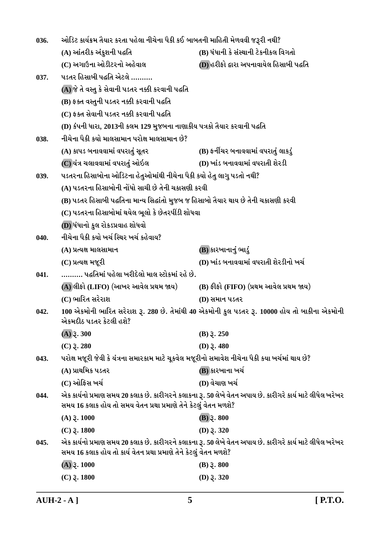| 036.                                                                                                                                                                                   | ઓડિટ કાર્યક્રમ તૈયાર કરતા પહેલા નીચેના પૈકી કઈ બાબતની માહિતી મેળવવી જરૂરી નથી?                  |                                                                                                            |
|----------------------------------------------------------------------------------------------------------------------------------------------------------------------------------------|-------------------------------------------------------------------------------------------------|------------------------------------------------------------------------------------------------------------|
|                                                                                                                                                                                        | (A) આંતરીક અંકુશની પહતિ                                                                         | (B) ધંધાની કે સંસ્થાની ટેકનીકલ વિગતો                                                                       |
|                                                                                                                                                                                        | (C) અગાઉના ઓડીટરનો અહેવાલ                                                                       | (D) હરીફો દ્વારા અપનાવાયેલ હિસાબી પદ્ધતિ                                                                   |
| 037.                                                                                                                                                                                   | ૫ડતર હિસાબી પદ્ધતિ એટલે                                                                         |                                                                                                            |
|                                                                                                                                                                                        | (A)જે તે વસ્તુ કે સેવાની પડતર નક્કી કરવાની પદ્ધતિ                                               |                                                                                                            |
|                                                                                                                                                                                        | (B) ફક્ત વસ્તુની પડતર નક્કી કરવાની પદ્ધતિ                                                       |                                                                                                            |
|                                                                                                                                                                                        | (C) ફક્ત સેવાની પડતર નક્કી કરવાની પદ્ધતિ                                                        |                                                                                                            |
|                                                                                                                                                                                        | (D) કંપની ધારા, 2013ની કલમ 129 મુજબના નાણાકીય પત્રકો તૈયાર કરવાની પદ્ધતિ                        |                                                                                                            |
| 038.                                                                                                                                                                                   | નીચેના પૈકી કયો માલસામાન પરોક્ષ માલસામાન છે?                                                    |                                                                                                            |
|                                                                                                                                                                                        | (A) કાપડ બનાવવામાં વપરાતું સૂતર                                                                 | (B) ફર્નીચર બનાવવામાં વપરાતું લાકડું                                                                       |
|                                                                                                                                                                                        | (C) યંત્ર ચલાવવામાં વપરાતું ઓઇલ                                                                 | (D) ખાંડ બનાવવામાં વપરાતી શેરડી                                                                            |
| 039.                                                                                                                                                                                   | પડતરના હિસાબોના ઓડિટના હેતુઓમાંથી નીચેના પૈકી કયો હેતુ લાગુ પડતો નથી?                           |                                                                                                            |
|                                                                                                                                                                                        | (A) પડતરના હિસાબોની નોંધો સાચી છે તેની ચકાસણી કરવી                                              |                                                                                                            |
|                                                                                                                                                                                        | (B) પડતર હિસાબી પદ્ધતિના માન્ય સિદ્ધાંતો મુજબ જ હિસાબો તૈયાર થાય છે તેની ચકાસણી કરવી            |                                                                                                            |
|                                                                                                                                                                                        | (C) પડતરના હિસાબોમાં થયેલ ભૂલો કે છેતરપીંડી શોધવા                                               |                                                                                                            |
|                                                                                                                                                                                        | (D) ધંધાનો કુલ રોકડપ્રવાહ શોધવો                                                                 |                                                                                                            |
| 040.                                                                                                                                                                                   | નીચેના પૈકી કયો ખર્ચ સ્થિર ખર્ચ કહેવાય?                                                         |                                                                                                            |
|                                                                                                                                                                                        | (A) પ્રત્યક્ષ માલસામાન                                                                          | (B) કારખાનાનું ભાડું                                                                                       |
|                                                                                                                                                                                        | (C) પ્રત્યક્ષ મજૂરી                                                                             | (D) ખાંડ બનાવવામાં વપરાતી શેરડીનો ખર્ચ                                                                     |
| 041.                                                                                                                                                                                   | ………. પદ્ધતિમાં પહેલા ખરીદેલો માલ સ્ટોકમાં રહે છે.                                               |                                                                                                            |
|                                                                                                                                                                                        | (A) લીફો (LIFO) (આખર આવેલ પ્રથમ જાય)                                                            | (B) ફીફો (FIFO) (પ્રથમ આવેલ પ્રથમ જાય)                                                                     |
|                                                                                                                                                                                        | (C) ભારિત સરેરાશ                                                                                | (D) સમાન પડતર                                                                                              |
| 042.                                                                                                                                                                                   | એકમદીઠ પડતર કેટલી હશે?                                                                          | 100 એકમોની ભારિત સરેરાશ રૂ. 280 છે. તેમાંથી 40 એકમોની કુલ પડતર રૂ. 10000 હોય તો બાકીના એકમોની              |
|                                                                                                                                                                                        | $(A)$ $\S$ . 300                                                                                | $(B)$ $\bar{z}$ . 250                                                                                      |
|                                                                                                                                                                                        | $(C)$ 3. 280                                                                                    | (D) $3.480$                                                                                                |
| 043.                                                                                                                                                                                   | પરોક્ષ મજૂરી જેવી કે યંત્રના સમારકામ માટે ચૂકવેલ મજૂરીનો સમાવેશ નીચેના પૈકી કયા ખર્ચમાં થાય છે? |                                                                                                            |
|                                                                                                                                                                                        | (A) પ્રાથમિક પડતર                                                                               | (B) કારખાના ખર્ચ                                                                                           |
|                                                                                                                                                                                        | (C) ઓફિસ ખર્ચ                                                                                   | (D) વેચાણ ખર્ચ                                                                                             |
| એક કાર્યનો પ્રમાણ સમય 20 કલાક છે. કારીગરને કલાકના રૂ. 50 લેખે વેતન અપાય છે. કારીગરે કાર્ય માટે લીધેલ ખરેખર<br>044.<br>સમય 16 કલાક હોય તો સમય વેતન પ્રથા પ્રમાણે તેને કેટલું વેતન મળશે? |                                                                                                 |                                                                                                            |
|                                                                                                                                                                                        | $(A)$ $\gimel$ . 1000                                                                           | $(B)$ 3. 800                                                                                               |
|                                                                                                                                                                                        | $(C)$ $\bar{z}$ . 1800                                                                          | (D) $3.320$                                                                                                |
| 045.                                                                                                                                                                                   | સમય 16 કલાક હોય તો કાર્ય વેતન પ્રથા પ્રમાણે તેને કેટલું વેતન મળશે?                              | એક કાર્યનો પ્રમાણ સમય 20 કલાક છે. કારીગરને કલાકના રૂ. 50 લેખે વેતન અપાય છે. કારીગરે કાર્ય માટે લીધેલ ખરેખર |
|                                                                                                                                                                                        | $(A)$ 3. 1000                                                                                   | $(B)$ $\bar{z}$ . 800                                                                                      |
|                                                                                                                                                                                        | $(C)$ $\bar{z}$ . 1800                                                                          | (D) $3.320$                                                                                                |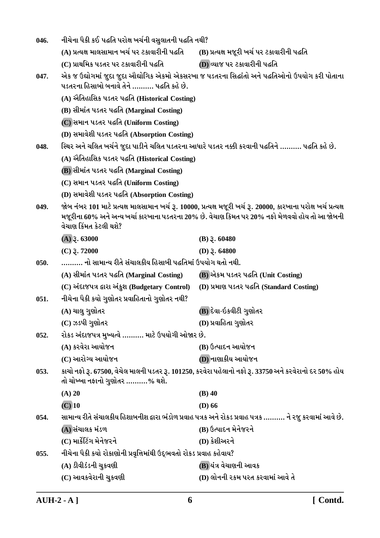| 046. | નીચેના પૈકી કઈ પદ્ધતિ પરોક્ષ ખર્ચની વસુલાતની પદ્ધતિ નથી?             |                                                                                                                                                                                                                     |  |
|------|----------------------------------------------------------------------|---------------------------------------------------------------------------------------------------------------------------------------------------------------------------------------------------------------------|--|
|      | (A) પ્રત્યક્ષ માલસામાન ખર્ચ પર ટકાવારીની પદ્ધતિ                      | (B) પ્રત્યક્ષ મજૂરી ખર્ચ પર ટકાવારીની પદ્ધતિ                                                                                                                                                                        |  |
|      | (C) પ્રાથમિક પડતર પર ટકાવારીની પદ્ધતિ                                | (D) વ્યાજ પર ટકાવારીની પદ્ધતિ                                                                                                                                                                                       |  |
| 047. | પડતરના હિસાબો બનાવે તેને ………. પદ્ધતિ કહે છે.                         | એક જ ઉદ્યોગમાં જુદા જુદા ઔદ્યોગિક એકમો એકસરખા જ પડતરના સિદ્ધાંતો અને પદ્ધતિઓનો ઉપયોગ કરી પોતાના                                                                                                                     |  |
|      | (A) ઐતિહાસિક પડતર પદ્ધતિ (Historical Costing)                        |                                                                                                                                                                                                                     |  |
|      | (B) સીમાંત પડતર પદ્ધતિ (Marginal Costing)                            |                                                                                                                                                                                                                     |  |
|      | (C) સમાન પડતર પદ્ધતિ (Uniform Costing)                               |                                                                                                                                                                                                                     |  |
|      | (D) સમાવેશી પડતર પદ્ધતિ (Absorption Costing)                         |                                                                                                                                                                                                                     |  |
| 048. |                                                                      | સ્થિર અને ચલિત ખર્ચને જુદા પાડીને ચલિત પડતરના આધારે પડતર નક્કી કરવાની પદ્ધતિને ………. પદ્ધતિ કહે છે.                                                                                                                  |  |
|      | (A) ઐતિહાસિક પડતર પદ્ધતિ (Historical Costing)                        |                                                                                                                                                                                                                     |  |
|      | (B) સીમાંત પડતર પદ્ધતિ (Marginal Costing)                            |                                                                                                                                                                                                                     |  |
|      | (C) સમાન પડતર પદ્ધતિ (Uniform Costing)                               |                                                                                                                                                                                                                     |  |
|      | (D) સમાવેશી પડતર પદ્ધતિ (Absorption Costing)                         |                                                                                                                                                                                                                     |  |
| 049. | વેચાણ કિંમત કેટલી થશે?                                               | જોબ નંબર 101 માટે પ્રત્યક્ષ માલસામાન ખર્ચ રૂ. 10000, પ્રત્યક્ષ મજૂરી ખર્ચ રૂ. 20000, કારખાના પરોક્ષ ખર્ચ પ્રત્યક્ષ<br>મજૂરીના 60% અને અન્ય ખર્ચા કારખાના પડતરના 20% છે. વેચાણ કિમત પર 20% નફો મેળવવો હોય તો આ જોબની |  |
|      | $(A)$ 3. 63000                                                       | $(B)$ $\xi$ . 60480                                                                                                                                                                                                 |  |
|      | $(C)$ 3.72000                                                        | (D) $3.64800$                                                                                                                                                                                                       |  |
| 050. | ………. નો સામાન્ય રીતે સંચાલકીય હિસાબી પદ્ધતિમાં ઉપયોગ થતો નથી.        |                                                                                                                                                                                                                     |  |
|      | (A) સીમાંત પડતર પદ્ધતિ (Marginal Costing)                            | (B) એકમ પડતર પદ્ધતિ (Unit Costing)                                                                                                                                                                                  |  |
|      | (C) અંદાજપત્ર દ્વારા અંકુશ (Budgetary Control)                       | (D) પ્રમાણ પડતર પદ્ધતિ (Standard Costing)                                                                                                                                                                           |  |
| 051. | નીચેના પૈકી કયો ગુણોતર પ્રવાહિતાનો ગુણોતર નથી?                       |                                                                                                                                                                                                                     |  |
|      | (A) ચાલુ ગુણોતર                                                      | (B) દેવા-ઇકવીટી ગુણોતર                                                                                                                                                                                              |  |
|      | (C) ઝડપી ગુણોતર                                                      | (D) પ્રવાહિતા ગુણોતર                                                                                                                                                                                                |  |
| 052. | રોકડ અંદાજપત્ર મુખ્યત્વે  માટે ઉપયોગી ઓજાર છે.                       |                                                                                                                                                                                                                     |  |
|      | (A) કરવેરા આયોજન                                                     | (B) ઉત્પાદન આયોજન                                                                                                                                                                                                   |  |
|      | (C) આરોગ્ય આયોજન                                                     | (D) નાણાકીય આયોજન                                                                                                                                                                                                   |  |
| 053. | તો ચોખ્ખા નફાનો ગુણોતર ……….% થશે.                                    | કાચો નફો રૂ. 67500, વેચેલ માલની પડતર રૂ. 101250, કરવેરા પહેલાનો નફો રૂ. 33750 અને કરવેરાનો દર 50% હોય                                                                                                               |  |
|      | $(A)$ 20                                                             | $(B)$ 40                                                                                                                                                                                                            |  |
|      | $(C)$ 10                                                             | $(D)$ 66                                                                                                                                                                                                            |  |
| 054. |                                                                      | સામાન્ય રીતે સંચાલકીય હિશાબનીશ દ્વારા ભંડોળ પ્રવાહ પત્રક અને રોકડ પ્રવાહ પત્રક ………. ને રજુ કરવામાં આવે છે.                                                                                                          |  |
|      | (A) સંચાલક મંડળ                                                      | (B) ઉત્પાદન મેનેજરને                                                                                                                                                                                                |  |
|      | (C) માર્કેટિંગ મેનેજરને                                              | (D) કેશીઅરને                                                                                                                                                                                                        |  |
| 055. | નીચેના પૈકી કયો રોકાણોની પ્રવૃત્તિમાંથી ઉદ્દભવતો રોકડ પ્રવાહ કહેવાય? |                                                                                                                                                                                                                     |  |
|      | (A) ડીવીડંડની ચુકવણી                                                 | (B) યંત્ર વેચાણની આવક                                                                                                                                                                                               |  |
|      | (C) આવકવેરાની ચુકવણી                                                 | (D) લોનની રકમ પરત કરવામાં આવે તે                                                                                                                                                                                    |  |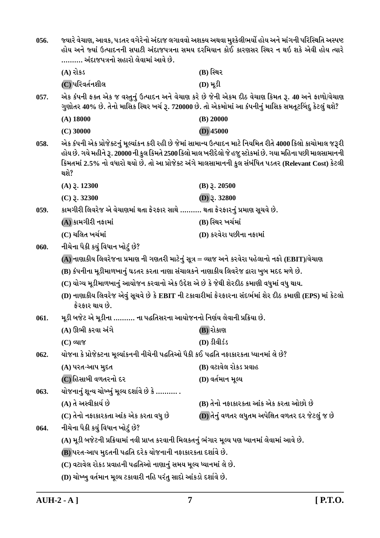| 056.                                                                                           | જ્યારે વેચાણ, આવક, પડતર વગેરેનો અંદાજ લગાવવો અશક્ય અથવા મુશ્કેલીભર્યો હોય અને માંગની પરિસ્થિતિ અસ્પષ્ટ<br>હોય અને જ્યાં ઉત્પાદનની સપાટી અંદાજપત્રના સમય દરમિયાન કોઈ કારણસર સ્થિર ન થઇ શકે એવી હોય ત્યારે<br>………. અંદાજપત્રનો સહારો લેવામાં આવે છે.                                                                                         |                                                                                                                                                                                                              |  |
|------------------------------------------------------------------------------------------------|--------------------------------------------------------------------------------------------------------------------------------------------------------------------------------------------------------------------------------------------------------------------------------------------------------------------------------------------|--------------------------------------------------------------------------------------------------------------------------------------------------------------------------------------------------------------|--|
|                                                                                                | $(A)$ રોકડ                                                                                                                                                                                                                                                                                                                                 | (B) સ્થિર                                                                                                                                                                                                    |  |
|                                                                                                | (C) પરિવર્તનશીલ                                                                                                                                                                                                                                                                                                                            | $(D) \mathcal{H}$ ડી                                                                                                                                                                                         |  |
| 057.                                                                                           |                                                                                                                                                                                                                                                                                                                                            | એક કંપની ફક્ત એક જ વસ્તુનું ઉત્પાદન અને વેચાણ કરે છે જેની એકમ દીઠ વેચાણ કિમત રૂ. 40 અને ફાળો/વેચાણ<br>ગુણોતર 40% છે. તેનો માસિક સ્થિર ખર્ચ રૂ. 720000 છે. તો એકમોમાં આ કંપનીનું માસિક સમતૂટબિંદુ કેટલું થશે? |  |
|                                                                                                | $(A)$ 18000                                                                                                                                                                                                                                                                                                                                | $(B)$ 20000                                                                                                                                                                                                  |  |
|                                                                                                | $(C)$ 30000                                                                                                                                                                                                                                                                                                                                | $(D)$ 45000                                                                                                                                                                                                  |  |
| 058.                                                                                           | એક કંપની એક પ્રોજેક્ટનું મૂલ્યાંકન કરી રહી છે જેમાં સામાન્ય ઉત્પાદન માટે નિયમિત રીતે 4000 કિલો કાચોમાલ જરૂરી<br>હોય છે. ગયે મહીને રૂ. 20000 ની કુલ કિમતે 2500 કિલો માલ ખરીદેલો જે હજુ સ્ટોકમાં છે. ગયા મહિના પછી માલસામાનની<br>કિમતમાં 2.5% નો વધારો થયો છે. તો આ પ્રોજેક્ટ અંગે માલસામાનની કુલ સંબંધિત પડતર (Relevant Cost) કેટલી<br>થશે? |                                                                                                                                                                                                              |  |
|                                                                                                | $(A)$ $\bar{z}$ . 12300                                                                                                                                                                                                                                                                                                                    | $(B)$ $\bar{z}$ . 20500                                                                                                                                                                                      |  |
|                                                                                                | $(C)$ $\bar{z}$ . 32300                                                                                                                                                                                                                                                                                                                    | $(D)$ 3. 32800                                                                                                                                                                                               |  |
| 059.                                                                                           | કામગીરી લિવરેજ એ વેચાણમાં થતા ફેરફાર સાથે ………. થતા ફેરફારનું પ્રમાણ સૂચવે છે.                                                                                                                                                                                                                                                              |                                                                                                                                                                                                              |  |
|                                                                                                | (A) કામગીરી નફામાં                                                                                                                                                                                                                                                                                                                         | (B) સ્થિર ખર્ચમાં                                                                                                                                                                                            |  |
|                                                                                                | (C) ચલિત ખર્ચમાં                                                                                                                                                                                                                                                                                                                           | (D) કરવેરા પછીના નફામાં                                                                                                                                                                                      |  |
| 060.                                                                                           | નીચેના પૈકી કયું વિધાન ખોટું છે?                                                                                                                                                                                                                                                                                                           |                                                                                                                                                                                                              |  |
| (A) નાણાકીય લિવરેજના પ્રમાણ ની ગણતરી માટેનું સૂત્ર = વ્યાજ અને કરવેરા પહેલાનો નફો (EBIT)/વેચાણ |                                                                                                                                                                                                                                                                                                                                            |                                                                                                                                                                                                              |  |
|                                                                                                | (B) કંપનીના મૂડીમાળખાનું ઘડતર કરતા નાણા સંચાલકને નાણાકીય લિવરેજ દ્વારા ખુબ મદદ મળે છે.                                                                                                                                                                                                                                                     |                                                                                                                                                                                                              |  |
| (C) યોગ્ય મૂડીમાળખાનું આયોજન કરવાનો એક ઉદ્દેશ એ છે કે જેથી શેરદીઠ કમાણી વધુમાં વધુ થાય.        |                                                                                                                                                                                                                                                                                                                                            |                                                                                                                                                                                                              |  |
|                                                                                                | (D) નાણાકીય લિવરેજ એવું સૂચવે છે કે EBIT ની ટકાવારીમાં ફેરફારના સંદર્ભમાં શેર દીઠ કમાણી (EPS) માં કેટલો<br>ફેરફાર થાય છે.                                                                                                                                                                                                                  |                                                                                                                                                                                                              |  |
| 061.                                                                                           | મૂડી બજેટ એ મૂડીના ………. ના પદ્ધતિસરના આયોજનનો નિર્ણય લેવાની પ્રક્રિયા છે.                                                                                                                                                                                                                                                                  |                                                                                                                                                                                                              |  |
|                                                                                                | (A) ઊભી કરવા અંગે                                                                                                                                                                                                                                                                                                                          | (B) રોકાણ                                                                                                                                                                                                    |  |
|                                                                                                | $(C)$ વ્યાજ                                                                                                                                                                                                                                                                                                                                | $(D)$ $\delta$ d $\delta$ s                                                                                                                                                                                  |  |
| 062.                                                                                           | યોજના કે પ્રોજેક્ટના મૂલ્યાંકનની નીચેની પદ્ધતિઓ પૈકી કઈ પદ્ધતિ નફાકારકતા ધ્યાનમાં લે છે?                                                                                                                                                                                                                                                   |                                                                                                                                                                                                              |  |
|                                                                                                | (A) પરત-આપ મુદત                                                                                                                                                                                                                                                                                                                            | (B) વટાવેલ રોકડ પ્રવાહ                                                                                                                                                                                       |  |
|                                                                                                | (C) હિસાબી વળતરનો દર                                                                                                                                                                                                                                                                                                                       | (D) વર્તમાન મૂલ્ય                                                                                                                                                                                            |  |
| 063.                                                                                           | યોજનાનું શૂન્ય ચોખ્ખું મૂલ્ય દર્શાવે છે કે ………. .                                                                                                                                                                                                                                                                                          |                                                                                                                                                                                                              |  |
|                                                                                                | (A) તે અસ્વીકાર્ય છે                                                                                                                                                                                                                                                                                                                       | (B) તેનો નફાકારકતા આંક એક કરતા ઓછો છે                                                                                                                                                                        |  |
|                                                                                                | (C) તેનો નફાકારકતા આંક એક કરતા વધુ છે                                                                                                                                                                                                                                                                                                      | (D) તેનું વળતર લધુતમ અપેક્ષિત વળતર દર જેટલું જ છે                                                                                                                                                            |  |
| 064.                                                                                           | નીચેના પૈકી કયું વિધાન ખોટું છે?                                                                                                                                                                                                                                                                                                           |                                                                                                                                                                                                              |  |
|                                                                                                | (A) મૂડી બજેટની પ્રક્રિયામાં નવી પ્રાપ્ત કરવાની મિલકતનું ભંગાર મૂલ્ય પણ ધ્યાનમાં લેવામાં આવે છે.                                                                                                                                                                                                                                           |                                                                                                                                                                                                              |  |
|                                                                                                | (B) પરત-આપ મુદતની પદ્ધતિ દરેક યોજનાની નફાકારકતા દર્શાવે છે.                                                                                                                                                                                                                                                                                |                                                                                                                                                                                                              |  |
|                                                                                                | (C) વટાવેલ રોકડ પ્રવાહની પદ્ધતિઓ નાણાનું સમય મૂલ્ય ધ્યાનમાં લે છે.                                                                                                                                                                                                                                                                         |                                                                                                                                                                                                              |  |
|                                                                                                | (D) ચોખ્ખુ વર્તમાન મૂલ્ય ટકાવારી નહિ પરંતુ સાદો આંકડો દર્શાવે છે.                                                                                                                                                                                                                                                                          |                                                                                                                                                                                                              |  |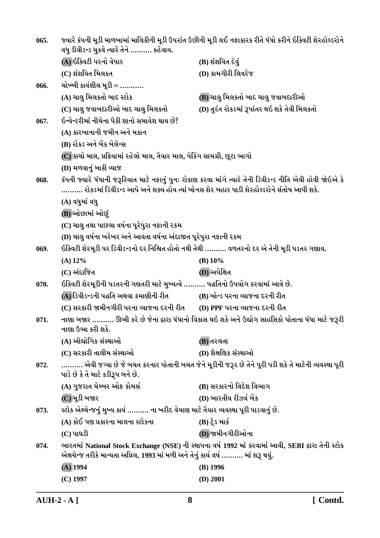| 065. | જ્યારે કંપની મૂડી માળખામાં માલિકીની મૂડી ઉપરાંત ઉછીની મૂડી લઈ નફાકારક રીતે ધંધો કરીને ઇક્વિટી શેરહોલ્ડરોને                              |                                                                                                           |
|------|-----------------------------------------------------------------------------------------------------------------------------------------|-----------------------------------------------------------------------------------------------------------|
|      | વધુ ડીવીડન્ડ ચુકવે ત્યારે તેને ………. કહેવાય.                                                                                             |                                                                                                           |
|      | (A) ઇક્વિટી પરનો વેપાર                                                                                                                  | (B) શંશયિત દેવું                                                                                          |
|      | (C) શંશયિત મિલકત                                                                                                                        | (D) કામગીરી લિવરેજ                                                                                        |
| 066. | ચોખ્ખી કાર્યશીલ મૂડી = ……….                                                                                                             |                                                                                                           |
|      | (A) ચાલુ મિલકતો બાદ સ્ટોક                                                                                                               | (B) ચાલુ મિલકતો બાદ ચાલુ જવાબદારીઓ                                                                        |
|      | (C) ચાલુ જવાબદારીઓ બાદ ચાલુ મિલકતો                                                                                                      | (D) તુરંત રોકડમાં રૂપાંતર થઇ શકે તેવી મિલકતો                                                              |
| 067. | ઇન્વેન્ટરીમાં નીચેના પૈકી શાનો સમાવેશ થાય છે?                                                                                           |                                                                                                           |
|      | (A) કારખાનાની જમીન અને મકાન                                                                                                             |                                                                                                           |
|      | (B) રોકડ અને બેંક બેલેન્સ                                                                                                               |                                                                                                           |
|      | (C) કાચો માલ, પ્રક્રિયામાં રહેલો માલ, તૈયાર માલ, પેકિંગ સામગ્રી, છૂટા ભાગો                                                              |                                                                                                           |
|      | (D) મળવાનું બાકી વ્યાજ                                                                                                                  |                                                                                                           |
| 068. | રોકડમાં ડિવીડન્ડ આપે અને શક્ય હોય ત્યાં બોનસ શેર બહાર પાડી શેરહોલ્ડરોને સંતોષ આપી શકે.                                                  | કંપની જ્યારે ધંધાની જરૂરિયાત માટે નફાનું પુનઃ રોકાણ કરવા માંગે ત્યારે તેની ડિવીડન્ડ નીતિ એવી હોવી જોઇએ કે |
|      | (A) વધુમાં વધુ                                                                                                                          |                                                                                                           |
|      | (B) ઓછામાં ઓછું                                                                                                                         |                                                                                                           |
|      | (C) ચાલુ તથા પાછલા વર્ષના પૂરેપુરા નફાની રકમ                                                                                            |                                                                                                           |
|      | (D) ચાલુ વર્ષના ખરેખર અને આવતા વર્ષના અંદાજીત પૂરેપુરા નફાની રકમ                                                                        |                                                                                                           |
| 069. | ઇક્વિટી શેરમૂડી પર ડિવીડન્ડનો દર નિશ્ચિત હોતો નથી તેથી ………. વળતરનો દર એ તેની મૂડી પડતર ગણાય.                                            |                                                                                                           |
|      | $(A)$ 12%                                                                                                                               | $(B)$ 10%                                                                                                 |
|      | (C) અંદાજિત                                                                                                                             | (D) અપેક્ષિત                                                                                              |
| 070. | ઇક્વિટી શેરમૂડીની પડતરની ગણતરી માટે મુખ્યત્વે ………. પદ્ધતિનો ઉપયોગ કરવામાં આવે છે.                                                       |                                                                                                           |
|      | (A) ડિવીડન્ડની પદ્ધતિ અથવા કમાણીની રીત                                                                                                  | (B) બોન્ડ પરના વ્યાજના દરની રીત                                                                           |
|      | (C) સરકારી જામીનગીરી પરના વ્યાજના દરની રીત                                                                                              | (D) PPF પરના વ્યાજના દરની રીત                                                                             |
| 071. | નાણા બજાર  ઊભી કરે છે જેના દ્વારા ધંધાનો વિકાસ થઇ શકે અને ઉદ્યોગ સાહસિકો પોતાના ધંધા માટે જરૂરી<br>નાણા ઉભા કરી શકે.                    |                                                                                                           |
|      | (A) ઔદ્યોગિક સંસ્થાઓ                                                                                                                    | (B) તરલતા                                                                                                 |
|      | (C) સરકારી તાલીમ સંસ્થાઓ                                                                                                                | (D) શૈક્ષણિક સંસ્થાઓ                                                                                      |
| 072. | એવી જગ્યા છે જે બચત કરનાર પોતાની બચત જેને મૂડીની જરૂર છે તેને પૂરી પડી શકે તે માટેની વ્યવસ્થા પૂરી<br>પાડે છે કે તે માટે કડીરૂપ બને છે. |                                                                                                           |
|      | (A) ગુજરાત ચેમ્બર ઓફ કોમર્સ                                                                                                             | (B) સરકારનો વિદેશ વિભાગ                                                                                   |
|      | (C)મૂડી બજાર                                                                                                                            | (D) ભારતીય રીઝર્વ બેંક                                                                                    |
| 073. | સ્ટોક એક્ષ્ચેન્જનું મુખ્ય કાર્ય ………. ના ખરીદ વેચાણ માટે તૈયાર વ્યવસ્થા પૂરી પાડવાનું છે.                                                |                                                                                                           |
|      | (A) કોઈ પણ પ્રકારના માલના સ્ટોકના                                                                                                       | $(B)$ ટ્રેડ માર્ક                                                                                         |
|      | $(C)$ પાઘડી                                                                                                                             | (D) જામીનગીરીઓના                                                                                          |
| 074. | એક્ષચેન્જ તરીકે માન્યતા અપ્રિલ, 1993 માં મળી અને તેનું કાર્ય વર્ષ  માં શરૂ થયું.                                                        | ભારતમાં National Stock Exchange (NSE) ની સ્થાપના વર્ષ 1992 માં કરવામાં આવી, SEBI દ્વારા તેની સ્ટોક        |
|      | $(A)$ 1994                                                                                                                              | $(B)$ 1996                                                                                                |
|      | $(C)$ 1997                                                                                                                              | (D) 2001                                                                                                  |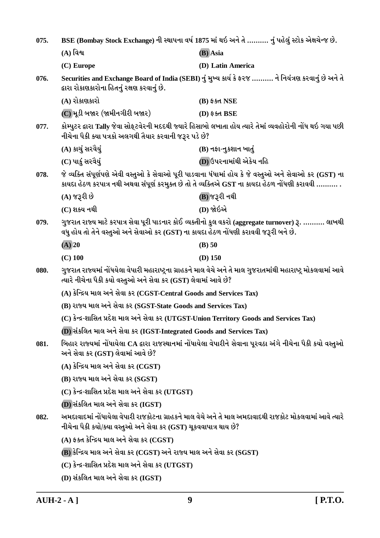| 075. | BSE (Bombay Stock Exchange) ની સ્થાપના વર્ષ 1875 માં થઇ અને તે  નું પહેલું સ્ટોક એક્ષચેન્જ છે.                                                           |                                                                                                                                                                                                               |
|------|----------------------------------------------------------------------------------------------------------------------------------------------------------|---------------------------------------------------------------------------------------------------------------------------------------------------------------------------------------------------------------|
|      | $(A)$ વિશ્વ                                                                                                                                              | (B) Asia                                                                                                                                                                                                      |
|      | (C) Europe                                                                                                                                               | (D) Latin America                                                                                                                                                                                             |
| 076. | દ્વારા રોકાણકારોના હિતનું રક્ષણ કરવાનું છે.                                                                                                              | Securities and Exchange Board of India (SEBI) નું મુખ્ય કાર્ય કે ફરજ  ને નિયંત્રણ કરવાનું છે અને તે                                                                                                           |
|      | (A) રોકાણકારો                                                                                                                                            | $(B)$ \$5d NSE                                                                                                                                                                                                |
|      | (C) મૂડી બજાર (જામીનગીરી બજાર)                                                                                                                           | (D) ईक्ष्त BSE                                                                                                                                                                                                |
| 077. | નીચેના પૈકી ક્યા પત્રકો અલગથી તૈયાર કરવાની જરૂર પડે છે?                                                                                                  | કોમ્પુટર દ્વારા Tally જેવા સોફ્ટવેરની મદદથી જ્યારે હિસાબો લખાતા હોય ત્યારે તેમાં વ્યવહોરોની નોંધ થઇ ગયા પછી                                                                                                   |
|      | (A) કાચું સરવૈયું                                                                                                                                        | (B) નફા-નુકશાન ખાતું                                                                                                                                                                                          |
|      | (C) પાકું સરવૈયું                                                                                                                                        | (D) ઉપરનામાંથી એકેય નહિ                                                                                                                                                                                       |
| 078. |                                                                                                                                                          | જે વ્યક્તિ સંપૂર્ણપણે એવી વસ્તુઓ કે સેવાઓ પૂરી પાડવાના ધંધામાં હોય કે જે વસ્તુઓ અને સેવાઓ કર (GST) ના<br>કાયદા હેઠળ કરપાત્ર નથી અથવા સંપૂર્ણ કરમુક્ત છે તો તે વ્યક્તિએ GST ના કાયદા હેઠળ નોંધણી કરાવવી ………. . |
|      | (A) જરૂરી છે                                                                                                                                             | (B) જરૂરી નથી                                                                                                                                                                                                 |
|      | (C) શક્ય નથી                                                                                                                                             | (D) જોઇએ                                                                                                                                                                                                      |
| 079. | વધુ હોય તો તેને વસ્તુઓ અને સેવાઓ કર (GST) ના કાયદા હેઠળ નોંધણી કરાવવી જરૂરી બને છે.                                                                      | ગુજરાત રાજ્ય માટે કરપાત્ર સેવા પૂરી પાડનાર કોઈ વ્યક્તીનો કુલ વકરો (aggregate turnover) રૂ.  લાખથી                                                                                                             |
|      | $(A)$ 20                                                                                                                                                 | $(B)$ 50                                                                                                                                                                                                      |
|      | $(C)$ 100                                                                                                                                                | $(D)$ 150                                                                                                                                                                                                     |
| 080. | ત્યારે નીચેના પૈકી કયો વસ્તુઓ અને સેવા કર (GST) લેવામાં આવે છે?                                                                                          | ગુજરાત રાજ્યમાં નોંધયેલા વેપારી મહારાષ્ટ્રના ગ્રાહકને માલ વેચે અને તે માલ ગુજરાતમાંથી મહારાષ્ટ્ર મોકલવામાં આવે                                                                                                |
|      | (A) કેન્દ્રિય માલ અને સેવા કર (CGST-Central Goods and Services Tax)                                                                                      |                                                                                                                                                                                                               |
|      | (B) રાજ્ય માલ અને સેવા કર (SGST-State Goods and Services Tax)<br>(C) કેન્દ્ર-શાસિત પ્રદેશ માલ અને સેવા કર (UTGST-Union Territory Goods and Services Tax) |                                                                                                                                                                                                               |
|      |                                                                                                                                                          |                                                                                                                                                                                                               |
|      | (D) સંકલિત માલ અને સેવા કર (IGST-Integrated Goods and Services Tax)                                                                                      |                                                                                                                                                                                                               |
| 081. | બિહાર રાજ્યમાં નોંધાયેલા CA દ્વારા રાજસ્થાનમાં નોંધાયેલા વેપારીને સેવાના પૂરવઠા અંગે નીચેના પૈકી કયો વસ્તુઓ<br>અને સેવા કર (GST) લેવામાં આવે છે?         |                                                                                                                                                                                                               |
|      | $(A)$ કેન્દ્રિય માલ અને સેવા કર $(CGST)$                                                                                                                 |                                                                                                                                                                                                               |
|      | $(B)$ રાજ્ય માલ અને સેવા કર $(SGST)$                                                                                                                     |                                                                                                                                                                                                               |
|      | $(C)$ કેન્દ્ર-શાસિત પ્રદેશ માલ અને સેવા કર $(UTGST)$                                                                                                     |                                                                                                                                                                                                               |
|      | (D) સંકલિત માલ અને સેવા કર (IGST)                                                                                                                        |                                                                                                                                                                                                               |
| 082. | નીચેના પૈકી કયો/ક્યા વસ્તુઓ અને સેવા કર (GST) ચૂકવવાપાત્ર થાય છે?                                                                                        | અમદાવાદમાં નોંધાયેલા વેપારી રાજકોટના ગ્રાહકને માલ વેચે અને તે માલ અમદાવાદથી રાજકોટ મોકલવામાં આવે ત્યારે                                                                                                       |
|      | $(A)$ ફક્ત કેન્દ્રિય માલ અને સેવા કર $(CGST)$                                                                                                            |                                                                                                                                                                                                               |
|      | $(B)$ કેન્દ્રિય માલ અને સેવા કર (CGST) અને રાજ્ય માલ અને સેવા કર (SGST)                                                                                  |                                                                                                                                                                                                               |
|      | $(C)$ કેન્દ્ર-શાસિત પ્રદેશ માલ અને સેવા કર $(UTGST)$                                                                                                     |                                                                                                                                                                                                               |
|      | (D) સંકલિત માલ અને સેવા કર (IGST)                                                                                                                        |                                                                                                                                                                                                               |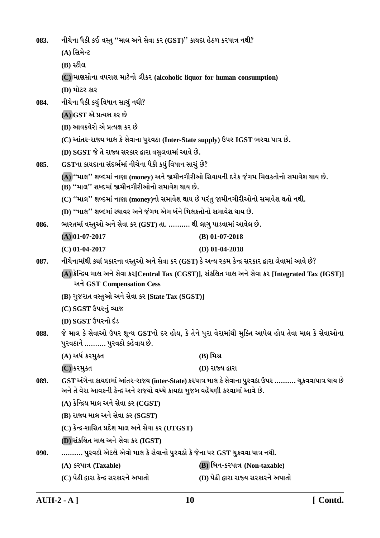નીચેના પૈકી કઈ વસ્તુ ''માલ અને સેવા કર (GST)'' કાયદા હેઠળ કરપાત્ર નથી? 083.

- (A) સિમેન્ટ
- (B) સ્ટીલ

(C) માણસોના વપરાશ માટેનો લીકર (alcoholic liquor for human consumption)

 $(D)$  મોટર કાર

- નીચેના પૈકી કયું વિધાન સાચું નથી? 084.
	- (A) GST એ પ્રત્યક્ષ કર છે
	- (B) આવકવેરો એ પ્રત્યક્ષ કર છે
	- (C) આંતર-રાજ્ય માલ કે સેવાના પુરવઠા (Inter-State supply) ઉપર IGST ભરવા પાત્ર છે.
	- (D) SGST જે તે રાજ્ય સરકાર દ્વારા વસુલવામાં આવે છે.
- GSTના કાયદાના સંદર્ભમાં નીચેના પૈકી કયું વિધાન સાચું છે? 085.
	- (A) "માલ" શબ્દમાં નાણા (money) અને જામીનગીરીઓ સિવાયની દરેક જંગમ મિલકતોનો સમાવેશ થાય છે.  $(\overline{B})$  "માલ" શબ્દમાં જામીનગીરીઓનો સમાવેશ થાય છે.
	- (C) ''માલ'' શબ્દમાં નાણા (monev)નો સમાવેશ થાય છે પરંત જામીનગીરીઓનો સમાવેશ થતો નથી.
	- (D) "માલ" શબ્દમાં સ્થાવર અને જંગમ એમ બંને મિલકતોનો સમાવેશ થાય છે.
- ભારતમાં વસ્તુઓ અને સેવા કર (GST) તા. ………. થી લાગુ પાડવામાં આવેલ છે. 086.

| $(A)$ 01-07-2017 | (B) $01-07-2018$ |
|------------------|------------------|
| $(C)$ 01-04-2017 | (D) $01-04-2018$ |

- નીચેનામાંથી ક્યાં પ્રકારના વસ્તુઓ અને સેવા કર (GST) કે અન્ય રકમ કેન્દ્ર સરકાર દ્વારા લેવામાં આવે છે? 087.
	- (A) કેન્દ્રિય માલ અને સેવા કર[Central Tax (CGST)], સંકલિત માલ અને સેવા કર [Integrated Tax (IGST)] અને GST Compensation Cess
		- (B) ગુજરાત વસ્તુઓ અને સેવા કર [State Tax (SGST)]
		- (C) SGST ઉપરનું વ્યાજ
		- (D) SGST ઉપરનો દંડ
- જે માલ કે સેવાઓ ઉપર શુન્ય GSTનો દર હોય, કે તેને પુરા વેરામાંથી મુક્તિ આપેલ હોય તેવા માલ કે સેવાઓના 088. પુરવઠાને .......... પુરવઠો કહેવાય છે.
	- (A) અર્ધ કરમુક્ત  $(B)$  મિશ્ર
	- (C) કરમુક્ત (D) રાજ્ય દ્વારા
- 089. GST અંગેના કાયદામાં આંતર-રાજ્ય (inter-State) કરપાત્ર માલ કે સેવાના પુરવઠા ઉપર ………. ચૂકવવાપાત્ર થાય છે અને તે વેરા આવકની કેન્દ્ર અને રાજ્યો વચ્ચે કાયદા મુજબ વહેંચણી કરવામાં આવે છે.
	- $(A)$  કેન્દ્રિય માલ અને સેવા કર  $(CGST)$
	- (B) રાજ્ય માલ અને સેવા કર (SGST)
	- $(C)$  કેન્દ્ર-શાસિત પ્રદેશ માલ અને સેવા કર  $(UTGST)$
	- (D) સંકલિત માલ અને સેવા કર (IGST)
- .......... પુરવઠો એટલે એવો માલ કે સેવાનો પુરવઠો કે જેના પર GST ચુકવવા પાત્ર નથી.  $090.$ 
	- (A) કરપાત્ર (Taxable) (B) બિન-કરપાત્ર (Non-taxable)
	- (C) પેઢી દ્વારા કેન્દ્ર સરકારને અપાતો (D) પેઢી દ્વારા રાજ્ય સરકારને અપાતો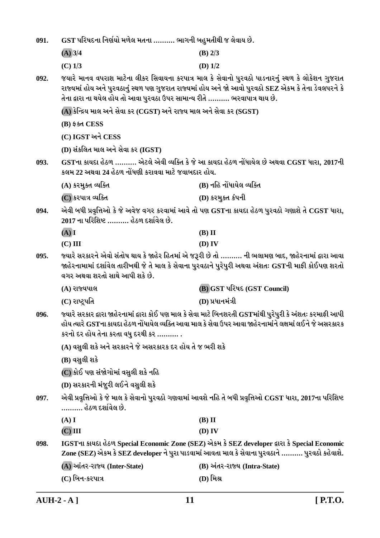| 091. | GST પરિષદના નિર્ણયો મળેલ મતના ………. ભાગની બહુમતીથી જ લેવાય છે.                                                                                                                                                                                                                              |                                                                                                                                                                                                             |  |
|------|--------------------------------------------------------------------------------------------------------------------------------------------------------------------------------------------------------------------------------------------------------------------------------------------|-------------------------------------------------------------------------------------------------------------------------------------------------------------------------------------------------------------|--|
|      | $(A)$ 3/4                                                                                                                                                                                                                                                                                  | $(B)$ 2/3                                                                                                                                                                                                   |  |
|      | $(C)$ 1/3                                                                                                                                                                                                                                                                                  | (D) $1/2$                                                                                                                                                                                                   |  |
| 092. | જયારે માનવ વપરાશ માટેના લીકર સિવાયના કરપાત્ર માલ કે સેવાનો પુરવઠો પાડનારનું સ્થળ કે લોકેશન ગુજરાત<br>રાજ્યમાં હોય અને પુરવઠાનું સ્થળ પણ ગુજરાત રાજ્યમાં હોય અને જો આવો પુરવઠો SEZ એકમ કે તેના ડેવલપરને કે<br>તેના દ્વારા ના થયેલ હોય તો આવા પુરવઠા ઉપર સામાન્ય રીતે ………. ભરવાપાત્ર થાય છે. |                                                                                                                                                                                                             |  |
|      | $(A)$ કેન્દ્રિય માલ અને સેવા કર (CGST) અને રાજ્ય માલ અને સેવા કર (SGST)                                                                                                                                                                                                                    |                                                                                                                                                                                                             |  |
|      | (B) ईक्ष्त CESS                                                                                                                                                                                                                                                                            |                                                                                                                                                                                                             |  |
|      | (C) IGST અને CESS                                                                                                                                                                                                                                                                          |                                                                                                                                                                                                             |  |
|      | $(D)$ સંકલિત માલ અને સેવા કર $(IGST)$                                                                                                                                                                                                                                                      |                                                                                                                                                                                                             |  |
| 093. | કલમ 22 અથવા 24 હેઠળ નોંધણી કરાવવા માટે જવાબદાર હોય.                                                                                                                                                                                                                                        | GSTના કાયદા હેઠળ  એટલે એવી વ્યક્તિ કે જે આ કાયદા હેઠળ નોંધાયેલ છે અથવા CGST ધારા, 2017ની                                                                                                                    |  |
|      | (A) કરમુક્ત વ્યક્તિ                                                                                                                                                                                                                                                                        | (B) નહિ નોંધાયેલ વ્યક્તિ                                                                                                                                                                                    |  |
|      | (C) કરપાત્ર વ્યક્તિ                                                                                                                                                                                                                                                                        | (D) કરમુક્ત કંપની                                                                                                                                                                                           |  |
| 094. | 2017 ના પરિશિષ્ટ ………. હેઠળ દર્શાવેલ છે.                                                                                                                                                                                                                                                    | એવી બધી પ્રવૃત્તિઓ કે જે અવેજ વગર કરવામાં આવે તો પણ GSTના કાયદા હેઠળ પુરવઠો ગણાશે તે CGST ધારા,                                                                                                             |  |
|      | (A)I                                                                                                                                                                                                                                                                                       | $(B)$ II                                                                                                                                                                                                    |  |
|      | $(C)$ III                                                                                                                                                                                                                                                                                  | $(D)$ IV                                                                                                                                                                                                    |  |
| 095. | વગર અથવા શરતો સાથે આપી શકે છે.                                                                                                                                                                                                                                                             | જ્યારે સરકારને એવો સંતોષ થાય કે જાહેર હિતમાં એ જરૂરી છે તો ………. ની ભલામણ બાદ, જાહેરનામાં દ્વારા આવા<br>જાહેરનામામાં દર્શાવેલ તારીખથી જે તે માલ કે સેવાના પુરવઠાને પુરેપુરી અથવા અંશતઃ GSTની માફી કોઈપણ શરતો |  |
|      | (A) રાજ્યપાલ                                                                                                                                                                                                                                                                               | <b>(B) GST પરિષદ (GST Council)</b>                                                                                                                                                                          |  |
|      | (C) રાષ્ટ્રપતિ                                                                                                                                                                                                                                                                             | (D) પ્રધાનમંત્રી                                                                                                                                                                                            |  |
| 096. | જ્યારે સરકાર દ્વારા જાહેરનામાં દ્વારા કોઈ પણ માલ કે સેવા માટે બિનશરતી GSTમાંથી પુરેપુરી કે અંશતઃ કરમાફી આપી<br>હોય ત્યારે GSTના કાયદા હેઠળ નોંધાયેલ વ્યક્તિ આવા માલ કે સેવા ઉપર આવા જાહેરનામાંને લક્ષમાં લઈને જે અસરકારક<br>કરનો દર હોય તેના કરતા વધુ દરથી કર ………. .                       |                                                                                                                                                                                                             |  |
|      | (A) વસુલી શકે અને સરકારને જે અસરકારક દર હોય તે જ ભરી શકે                                                                                                                                                                                                                                   |                                                                                                                                                                                                             |  |
|      | (B) વસુલી શકે                                                                                                                                                                                                                                                                              |                                                                                                                                                                                                             |  |
|      | (C) કોઈ પણ સંજોગોમાં વસુલી શકે નહિ                                                                                                                                                                                                                                                         |                                                                                                                                                                                                             |  |
|      | (D) સરકારની મંજૂરી લઈને વસુલી શકે                                                                                                                                                                                                                                                          |                                                                                                                                                                                                             |  |
| 097. | એવી પ્રવૃત્તિઓ કે જે માલ કે સેવાનો પુરવઠો ગણવામાં આવશે નહિ તે બધી પ્રવૃત્તિઓ CGST ધારા, 2017ના પરિશિષ્ટ<br>………. હેઠળ દર્શાવેલ છે.                                                                                                                                                          |                                                                                                                                                                                                             |  |
|      | (A) I                                                                                                                                                                                                                                                                                      | $(B)$ II                                                                                                                                                                                                    |  |
|      | $(C)$ III                                                                                                                                                                                                                                                                                  | (D) IV                                                                                                                                                                                                      |  |
| 098. |                                                                                                                                                                                                                                                                                            | IGSTના કાયદા હેઠળ Special Economic Zone (SEZ) એકમ કે SEZ developer દ્વારા કે Special Economic<br>Zone (SEZ) એકમ કે SEZ developer ને પુરા પાડવામાં આવતા માલ કે સેવાના પુરવઠાને ………. પુરવઠો કહેવાશે.          |  |
|      | (A) આંતર-રાજ્ય (Inter-State)                                                                                                                                                                                                                                                               | (B) અંતર-રાજ્ય (Intra-State)                                                                                                                                                                                |  |
|      | (C) બિન-કરપાત્ર                                                                                                                                                                                                                                                                            | (D) મિશ્ર                                                                                                                                                                                                   |  |

 $\overline{\text{AUH-2-A}}$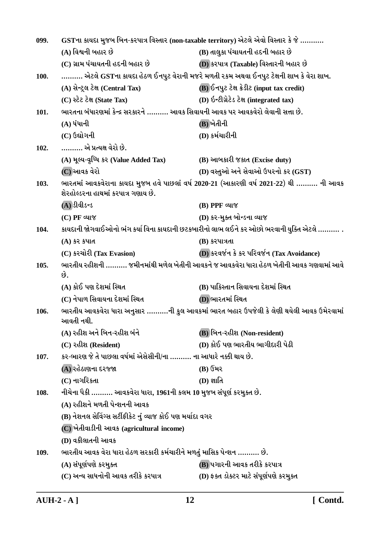| 099. | GSTના કાયદા મુજબ બિન-કરપાત્ર વિસ્તાર (non-taxable territory) એટલે એવો વિસ્તાર કે જે ……… |                                                                                              |
|------|-----------------------------------------------------------------------------------------|----------------------------------------------------------------------------------------------|
|      | (A) વિશ્વની બહાર છે                                                                     | (B) તાલુકા પંચાયતની હદની બહાર છે                                                             |
|      | (C) ગ્રામ પંચાયતની હદની બહાર છે                                                         | (D) કરપાત્ર (Taxable) વિસ્તારની બહાર છે                                                      |
| 100. |                                                                                         | ………. એટલે GSTના કાયદા હેઠળ ઈનપુટ વેરાની મજરે મળતી રકમ અથવા ઈનપુટ ટેક્ષની શાખ કે વેરા શાખ.    |
|      | (A) સેન્ટ્રલ ટેક્ષ (Central Tax)                                                        | (B) ઈનપુટ ટેક્ષ ક્રેડીટ (input tax credit)                                                   |
|      | (C) સ્ટેટ ટેક્ષ (State Tax)                                                             | (D) ઇન્ટીગ્રેટેડ ટેક્ષ (integrated tax)                                                      |
| 101. | ભારતના બંધારણમાં કેન્દ્ર સરકારને ………. આવક સિવાયની આવક પર આવકવેરો લેવાની સત્તા છે.       |                                                                                              |
|      | $(A)$ ધંધાની                                                                            | (B) ખેતીની                                                                                   |
|      | (C) ઉદ્યોગની                                                                            | (D) કર્મચારીની                                                                               |
| 102. | એ પ્રત્યક્ષ વેરો છે.                                                                    |                                                                                              |
|      | (A) મૂલ્ય-વૃધ્ધિ કર (Value Added Tax)                                                   | (B) આબકારી જકાત (Excise duty)                                                                |
|      | (C) આવક વેરો                                                                            | (D) વસ્તુઓ અને સેવાઓ ઉપરનો કર (GST)                                                          |
| 103. | શેરહોલ્ડરના હાથમાં કરપાત્ર ગણાય છે.                                                     | ભારતમાં આવકવેરાના કાયદા મુજબ હવે પાછલાં વર્ષ 2020-21 (આકારણી વર્ષ 2021-22) થી  ની આવક        |
|      | (A) ડીવીડન્ડ                                                                            | $(B)$ PPF $\alpha$ u $\gamma$                                                                |
|      | (C) PF વ્યાજ                                                                            | (D) કર-મુક્ત બોન્ડના વ્યાજ                                                                   |
| 104. |                                                                                         | કાયદાની જોગવાઈઓનો ભંગ કર્યા વિના કાયદાની છટકબારીનો લાભ લઈને કર ઓછો ભરવાની યુક્તિ એટલે ………. . |
|      | (A) કેર કપાત                                                                            | (B) કરપાત્રતા                                                                                |
|      | (C) કરચોરી (Tax Evasion)                                                                | (D) કરવર્જન કે કર પરિવર્જન (Tax Avoidance)                                                   |
| 105. | છે.                                                                                     | ભારતીય રહીશની ………. જમીનમાંથી મળેલ ખેતીની આવકને જ આવકવેરા ધારા હેઠળ ખેતીની આવક ગણવામાં આવે    |
|      | (A) કોઈ પણ દેશમાં સ્થિત                                                                 | (B) પાકિસ્તાન સિવાયના દેશમાં સ્થિત                                                           |
|      | (C) નેપાળ સિવાયના દેશમાં સ્થિત                                                          | (D) ભારતમાં સ્થિત                                                                            |
| 106. | આવતી નથી.                                                                               | ભારતીય આવકવેરા ધારા અનુસાર ……….ની કુલ આવકમાં ભારત બહાર ઉપજેલી કે લેણી થયેલી આવક ઉમેરવામાં    |
|      | (A) રહીશ અને બિન-રહીશ બંને                                                              | (B) બિન-રહીશ (Non-resident)                                                                  |
|      | (C) રહીશ (Resident)                                                                     | (D) કોઈ પણ ભારતીય ભાગીદારી પેઢી                                                              |
| 107. | કર-ભારણ જે તે પાછલા વર્ષમાં એસેસીની/ના ………. ના આધારે નક્કી થાય છે.                      |                                                                                              |
|      | (A) રહેઠાણના દરજ્જા                                                                     | (B) ઉંમર                                                                                     |
|      | (C) નાગરિકતા                                                                            | $(D)$ જ્ઞાતિ                                                                                 |
| 108. | નીચેના પૈકી  આવકવેરા ધારા, 1961ની કલમ 10 મુજબ સંપૂર્ણ કરમુક્ત છે.                       |                                                                                              |
|      | (A) રહીશને મળતી પેન્શનની આવક                                                            |                                                                                              |
|      | (B) નેશનલ સેવિંગ્સ સર્ટીફીકેટ નું વ્યાજ કોઈ પણ મર્યાદા વગર                              |                                                                                              |
|      | (C) ખેતીવાડીની આવક (agricultural income)                                                |                                                                                              |
|      | (D) વકીલાતની આવક                                                                        |                                                                                              |
| 109. | ભારતીય આવક વેરા ધારા હેઠળ સરકારી કર્મચારીને મળતું માસિક પેન્શન ………. છે.                 |                                                                                              |
|      | (A) સંપૂર્ણપણે કરમુક્ત                                                                  | (B) પગારની આવક તરીકે કરપાત્ર                                                                 |
|      | (C) અન્ય સાધનોની આવક તરીકે કરપાત્ર                                                      | (D) ફક્ત ડોક્ટર માટે સંપૂર્ણપણે કરમુક્ત                                                      |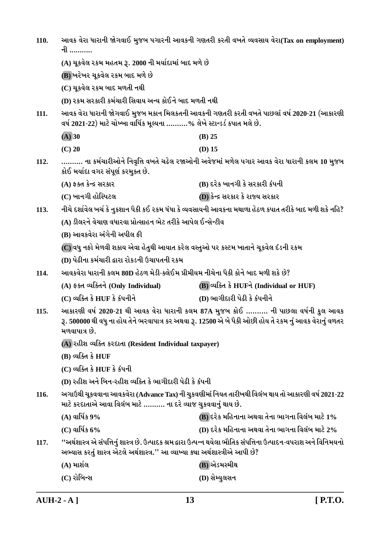| 110. | આવક વેરા ધારાની જોગવાઈ મુજબ પગારની આવકની ગણતરી કરતી વખતે વ્યવસાય વેરા(Tax on employment)<br>ની …………<br>(A) ચૂકવેલ રકમ મહતમ રૂ. 2000 ની મર્યાદામાં બાદ મળે છે                                                 |                                                                                                                     |
|------|--------------------------------------------------------------------------------------------------------------------------------------------------------------------------------------------------------------|---------------------------------------------------------------------------------------------------------------------|
|      |                                                                                                                                                                                                              |                                                                                                                     |
|      | (B) ખરેખર ચૂકવેલ રકમ બાદ મળે છે                                                                                                                                                                              |                                                                                                                     |
|      | (C) ચૂકવેલ રકમ બાદ મળતી નથી                                                                                                                                                                                  |                                                                                                                     |
|      | (D) રકમ સરકારી કર્મચારી સિવાય અન્ય કોઈને બાદ મળતી નથી                                                                                                                                                        |                                                                                                                     |
| 111. | આવક વેરા ધારાની જોગવાઈ મુજબ મકાન મિલકતની આવકની ગણતરી કરતી વખતે પાછલાં વર્ષ 2020-21 (આકારણી<br>વર્ષ 2021-22) માટે ચોખ્ખા વાર્ષિક મૂલ્યના ……….% લેખે સ્ટાન્ડર્ડ કપાત મલે છે.                                   |                                                                                                                     |
|      | $(A)$ 30                                                                                                                                                                                                     | $(B)$ 25                                                                                                            |
|      | $(C)$ 20                                                                                                                                                                                                     | $(D)$ 15                                                                                                            |
| 112. | કોઈ મર્યાદા વગર સંપૂર્ણ કરમુક્ત છે.                                                                                                                                                                          | ના કર્મચારીઓને નિવૃત્તિ વખતે ચઢેલ રજાઓની અવેજમાં મળેલ પગાર આવક વેરા ધારાની કલમ 10 મુજબ                              |
|      | (A) ફક્ત કેન્દ્ર સરકાર                                                                                                                                                                                       | (B) દરેક ખાનગી કે સરકારી કંપની                                                                                      |
|      | (C) ખાનગી હોસ્પિટલ                                                                                                                                                                                           | (D) કેન્દ્ર સરકાર કે રાજ્ય સરકાર                                                                                    |
| 113. |                                                                                                                                                                                                              | નીચે દર્શાવેલ ખર્ચ કે નુકશાન પૈકી કઈ રકમ ધંધા કે વ્યવસાયની આવકના મથાળા હેઠળ કપાત તરીકે બાદ મળી શકે નહિ?             |
|      | (A) ડીલરને વેચાણ વધારવા પ્રોત્સાહન ભેટ તરીકે આપેલ ઈન્સેન્ટીવ                                                                                                                                                 |                                                                                                                     |
|      | (B) આવકવેરા અંગેની અપીલ ફી                                                                                                                                                                                   |                                                                                                                     |
|      | (C) વધુ નફો મેળવી શકાય એવા હેતુથી આયાત કરેલ વસ્તુઓ પર કસ્ટમ ખાતાને ચૂકવેલ દંડની રકમ                                                                                                                          |                                                                                                                     |
|      | (D) પેઢીના કર્મચારી દ્વારા રોકડની ઉચાપતની રકમ                                                                                                                                                                |                                                                                                                     |
| 114. | આવકવેરા ધારાની કલમ 80D હેઠળ મેડી-ક્લેઈમ પ્રીમીયમ નીચેના પૈકી કોને બાદ મળી શકે છે?                                                                                                                            |                                                                                                                     |
|      | (A) ફક્ત વ્યક્તિને (Only Individual)                                                                                                                                                                         | (B) વ્યક્તિ કે HUFને (Individual or HUF)                                                                            |
|      | (C) વ્યક્તિ કે HUF કે કંપનીને                                                                                                                                                                                | (D) ભાગીદારી પેઢી કે કંપનીને                                                                                        |
| 115. | આકારણી વર્ષ 2020-21 થી આવક વેરા ધારાની કલમ 87A મુજબ કોઈ  ની પાછલા વર્ષની કુલ આવક<br>રૂ. 500000 થી વધુ ના હોય તેને ભરવાપાત્ર કર અથવા રૂ. 12500 એ બે પૈકી ઓછી હોય તે રકમ નું આવક વેરાનું વળતર<br>મળવાપાત્ર છે. |                                                                                                                     |
|      | (A) રહીશ વ્યક્તિ કરદાતા (Resident Individual taxpayer)                                                                                                                                                       |                                                                                                                     |
|      | $(B)$ વ્યક્તિ કે $HUF$                                                                                                                                                                                       |                                                                                                                     |
|      | (C) વ્યક્તિ કે HUF કે કંપની                                                                                                                                                                                  |                                                                                                                     |
|      | (D) રહીશ અને બિન-રહીશ વ્યક્તિ કે ભાગીદારી પેઢી કે કંપની                                                                                                                                                      |                                                                                                                     |
| 116. | માટે કરદાતાએ આવા વિલંબ માટે ………. ના દરે વ્યાજ ચુકવવાનું થાય છે.                                                                                                                                              | અગાઉથી ચૂકવવાના આવકવેરા (Advance Tax) ની ચુકવણીમાં નિયત તારીખથી વિલંબ થાય તો આકારણી વર્ષ 2021-22                    |
|      | $(A)$ વાર્ષિક 9%                                                                                                                                                                                             | (B) દરેક મહિનાના અથવા તેના ભાગના વિલંબ માટે 1%                                                                      |
|      | $(C)$ વાર્ષિક 6%                                                                                                                                                                                             | (D) દરેક મહિનાના અથવા તેના ભાગના વિલંબ માટે 2%                                                                      |
| 117. | અભ્યાસ કરતું શાસ્ત્ર એટલે અર્થશાસ્ત્ર.'' આ વ્યાખ્યા ક્વા અર્થશાસ્ત્રીએ આપી છે?                                                                                                                               | ''અર્થશાસ્ત્ર એ સંપત્તિનું શાસ્ત્ર છે. ઉત્પાદક શ્રમ દ્વારા ઉત્પન્ન થયેલા ભૌતિક સંપત્તિના ઉત્પાદન-વપરાશ અને વિનિમયનો |
|      | $(A)$ માર્શલ                                                                                                                                                                                                 | (B) એડમસ્મીથ                                                                                                        |
|      | (C) રોબિન્સ                                                                                                                                                                                                  | (D) સેમ્યુલસન                                                                                                       |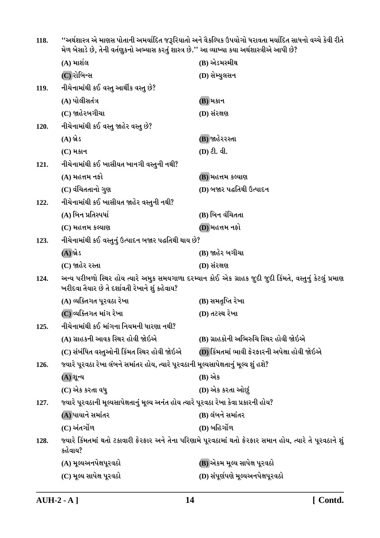''અર્થશાસ્ત્ર એ માણસ પોતાની અમર્યાદિત જરૂરિયાતો અને વૈકલ્પિક ઉપયોગો ધરાવતા મર્યાદિત સાધનો વચ્ચે કેવી રીતે<br>મેળ બેસાડે છે, તેની વર્તણુકનો અભ્યાસ કરતું શાસ્ત્ર છે.'' આ વ્યાખ્યા કયા અર્થશાસ્ત્રીએ આપી છે? 118.

|      | (A) માર્શલ                                                                                                                                                 | (B) એડમસ્મીથ                                                                                              |
|------|------------------------------------------------------------------------------------------------------------------------------------------------------------|-----------------------------------------------------------------------------------------------------------|
|      | (C) રોબિન્સ                                                                                                                                                | (D) સેમ્યુલસન                                                                                             |
| 119. | નીચેનામાંથી કઈ વસ્તુ આર્થીક વસ્તુ છે?                                                                                                                      |                                                                                                           |
|      | (A) પોલીસતંત્ર                                                                                                                                             | (B) મકાન                                                                                                  |
|      | (C) જાહેરબગીચા                                                                                                                                             | (D) સંરક્ષણ                                                                                               |
| 120. | નીચેનામાંથી કઈ વસ્તુ જાહેર વસ્તુ છે?                                                                                                                       |                                                                                                           |
|      | (A) બ્રેડ                                                                                                                                                  | (B) જાહેરરસ્તા                                                                                            |
|      | $(C)$ મકાન                                                                                                                                                 | $(D)$ ટી. વી.                                                                                             |
| 121. | નીચેનામાંથી કઈ ખાસીયત ખાનગી વસ્તુની નથી?                                                                                                                   |                                                                                                           |
|      | (A) મહત્તમ નફો                                                                                                                                             | (B) મહત્તમ કલ્યાણ                                                                                         |
|      | (C) વંચિતતાનો ગુણ                                                                                                                                          | (D) બજાર પદ્ધતિથી ઉત્પાદન                                                                                 |
| 122. | નીચેનામાંથી કઈ ખાસીયત જાહેર વસ્તુની નથી?                                                                                                                   |                                                                                                           |
|      | (A) બિન પ્રતિસ્પર્ધા                                                                                                                                       | (B) બિન વંચિતતા                                                                                           |
|      | $(C)$ મહત્તમ કલ્યાણ                                                                                                                                        | (D) મહત્તમ નફો                                                                                            |
| 123. | નીચેનામાંથી કઈ વસ્તુનું ઉત્પાદન બજાર પદ્ધતિથી થાય છે?                                                                                                      |                                                                                                           |
|      | (A) બ્રેડ                                                                                                                                                  | (B) જાહેર બગીચા                                                                                           |
|      | (C) જાહેર રસ્તા                                                                                                                                            | (D) સંરક્ષણ                                                                                               |
| 124. | અન્ય પરીબળો સ્થિર હોય ત્યારે અમુક સમયગાળા દરમ્યાન કોઈ એક ગ્રાહક જુદી જુદી કિંમતે, વસ્તુનું કેટલું પ્રમાણ<br>ખરીદવા તૈયાર છે તે દર્શાવતી રેખાને શું કહેવાય? |                                                                                                           |
|      | (A) વ્યક્તિગત પૂરવઠા રેખા                                                                                                                                  | (B) સમતૃપ્તિ રેખા                                                                                         |
|      | (C) વ્યક્તિગત માંગ રેખા                                                                                                                                    | (D) તટસ્થ રેખા                                                                                            |
| 125. | નીચેનામાંથી કઈ માંગના નિયમની ધારણા નથી?                                                                                                                    |                                                                                                           |
|      | (A) ગ્રાહકની આવક સ્થિર હોવી જોઇએ                                                                                                                           | (B) ગ્રાહકોની અભિરુચિ સ્થિર હોવી જોઇએ                                                                     |
|      | (C) સંબંધિત વસ્તુઓની કિંમત સ્થિર હોવી જોઇએ                                                                                                                 | (D) કિંમતમાં ભાવી ફેરફારની અપેક્ષા હોવી જોઇએ                                                              |
| 126. | જ્યારે પૂરવઠા રેખા લંબને સમાંતર હોય, ત્યારે પૂરવઠાની મૂલ્યસાપેક્ષતાનું મૂલ્ય શું હશે?                                                                      |                                                                                                           |
|      | (A) શૂન્ય                                                                                                                                                  | (B) એક                                                                                                    |
|      | (C) એક કરતા વધુ                                                                                                                                            | (D) એક કરતા ઓછું                                                                                          |
| 127. | જ્યારે પૂરવઠાની મૂલ્યસાપેક્ષતાનું મૂલ્ય અનંત હોય ત્યારે પૂરવઠા રેખા કેવા પ્રકારની હોય?                                                                     |                                                                                                           |
|      | (A) પાયાને સમાંતર                                                                                                                                          | (B) લંબને સમાંતર                                                                                          |
|      | (C) અંતર્ગોળ                                                                                                                                               | (D) બહિર્ગોળ                                                                                              |
| 128. | કહેવાય?                                                                                                                                                    | જ્યારે કિંમતમાં થતો ટકાવારી ફેરફાર અને તેના પરિણામે પૂરવઠામાં થતો ફેરફાર સમાન હોય, ત્યારે તે પૂરવઠાને શું |
|      | (A) મૂલ્યઅનપેક્ષપૂરવઠો                                                                                                                                     | (B) એકમ મૂલ્ય સાપેક્ષ પૂરવઠો                                                                              |
|      | (C) મૂલ્ય સાપેક્ષ પૂરવઠો                                                                                                                                   | (D) સંપૂર્ણપણે મૂલ્યઅનપેક્ષપૂરવઠો                                                                         |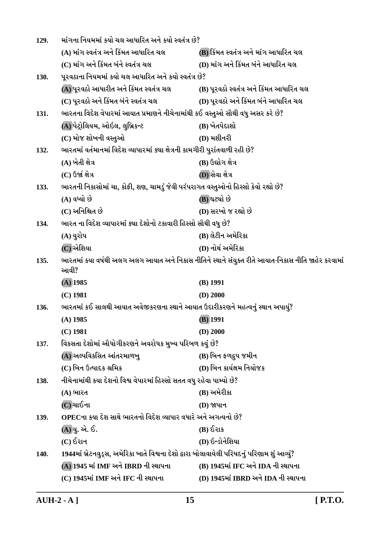| 129.                                                                                                               | માંગના નિયમમાં કયો ચલ આધારિત અને કયો સ્વતંત્ર છે?                                            |                                         |
|--------------------------------------------------------------------------------------------------------------------|----------------------------------------------------------------------------------------------|-----------------------------------------|
|                                                                                                                    | (A) માંગ સ્વતંત્ર અને કિંમત આધારિત ચલ                                                        | (B) કિંમત સ્વતંત્ર અને માંગ આધારિત ચલ   |
|                                                                                                                    | (C) માંગ અને કિંમત બંને સ્વતંત્ર ચલ                                                          | (D) માંગ અને કિંમત બંને આધારિત ચલ       |
| 130.                                                                                                               | પૂરવઠાના નિયમમાં કયો ચલ આધારિત અને કયો સ્વતંત્ર છે?                                          |                                         |
|                                                                                                                    | (A)પૂરવઠો આધારીત અને કિંમત સ્વતંત્ર ચલ                                                       | (B) પૂરવઠો સ્વતંત્ર અને કિંમત આધારિત ચલ |
|                                                                                                                    | (C) પૂરવઠો અને કિંમત બંને સ્વતંત્ર ચલ                                                        | (D) પૂરવઠો અને કિંમત બંને આધારિત ચલ     |
| 131.                                                                                                               | ભારતના વિદેશ વેપારમાં આયાત પ્રમાણને નીચેનામાંથી કઈ વસ્તુઓ સૌથી વધુ અસર કરે છે?               |                                         |
|                                                                                                                    | (A) પેટ્રોલિયમ, ઓઇલ, લુબ્રિકન્ટ                                                              | (B) ખેતપેદાશો                           |
|                                                                                                                    | (C) મોજ શોખની વસ્તુઓ                                                                         | $(D)$ મશીનરી                            |
| 132.                                                                                                               | ભારતમાં વર્તમાનમાં વિદેશ વ્યાપારમાં ક્યા ક્ષેત્રની કામગીરી પુરાંતવાળી રહી છે?                |                                         |
|                                                                                                                    | (A) ખેતી ક્ષેત્ર                                                                             | (B) ઉદ્યોગ ક્ષેત્ર                      |
|                                                                                                                    | $(C)$ ઉર્જા ક્ષેત્ર                                                                          | (D) સેવા ક્ષેત્ર                        |
| 133.                                                                                                               | ભારતની નિકાસોમાં ચા, કોફી, શણ, ચામડું જેવી પરંપરાગત વસ્તુઓનો હિસ્સો કેવો રહ્યો છે?           |                                         |
|                                                                                                                    | (A) વધ્યો છે                                                                                 | (B) ઘટ્યો છે                            |
|                                                                                                                    | (C) અનિશ્ચિત છે                                                                              | (D) સરખો જ રહ્યો છે                     |
| 134.                                                                                                               | ભારત ના વિદેશ વ્યાપારમાં ક્યા દેશોનો ટકાવારી હિસ્સો સૌથી વધુ છે?                             |                                         |
|                                                                                                                    | (A) યુરોપ                                                                                    | (B) લેટીન અમેરિકા                       |
|                                                                                                                    | (C) એશિયા                                                                                    | (D) નોર્થ અમેરિકા                       |
| ભારતમાં કયા વર્ષથી અલગ અલગ આયાત અને નિકાસ નીતિને સ્થાને સંયુક્ત રીતે આયાત-નિકાસ નીતિ જાહેર કરવામાં<br>135.<br>આવી? |                                                                                              |                                         |
|                                                                                                                    | $(A)$ 1985                                                                                   | $(B)$ 1991                              |
|                                                                                                                    | $(C)$ 1981                                                                                   | $(D)$ 2000                              |
| ભારતમાં કઈ સાલથી આયાત અવેજીકરણના સ્થાને આયાત ઉદારીકરણને મહત્વનું સ્થાન અપાયું?<br>136.                             |                                                                                              |                                         |
|                                                                                                                    | $(A)$ 1985                                                                                   | $(B)$ 1991                              |
|                                                                                                                    | $(C)$ 1981                                                                                   | $(D)$ 2000                              |
| 137.                                                                                                               | વિકસતા દેશોમાં ઔધોગીકરણને અવરોધક મુખ્ય પરિબળ કયું છે?                                        |                                         |
|                                                                                                                    | (A) અલ્પવિકસિત આંતરમાળખુ                                                                     | (B) બિન ફળદ્રુપ જમીન                    |
|                                                                                                                    | (C) બિન ઉત્પાદક શ્રમિક                                                                       | (D) બિન કાર્યક્ષમ નિયોજક                |
| 138.                                                                                                               | નીચેનામાંથી કયા દેશનો વિશ્વ વેપારમાં હિસ્સો સતત વધુ રહેવા પામ્યો છે?                         |                                         |
|                                                                                                                    | (A) ભારત                                                                                     | (B) અમેરીકા                             |
|                                                                                                                    | (C) ચાઈના                                                                                    | D) જાપાન                                |
| 139.                                                                                                               | OPECના કયા દેશ સાથે ભારતનો વિદેશ વ્યાપાર વધારે અને અગત્યનો છે?                               |                                         |
|                                                                                                                    | (A)યુ. એ. ઈ.                                                                                 | (B) ઈરાક                                |
|                                                                                                                    | $(C)$ ઈરાન                                                                                   | (D) ઇન્ડોનેશિયા                         |
| 140.                                                                                                               | 1944માં બ્રેટનવુડ્સ, અમેરિકા ખાતે વિશ્વના દેશો દ્વારા બોલાવાયેલી પરિષદનું પરિણામ શું આવ્યું? |                                         |
|                                                                                                                    | (A) 1945 માં IMF અને IBRD ની સ્થાપના                                                         | (B) 1945માં IFC અને IDA ની સ્થાપના      |
|                                                                                                                    | (C) 1945માં IMF અને IFC ની સ્થાપના                                                           | (D) 1945માં IBRD અને IDA ની સ્થાપના     |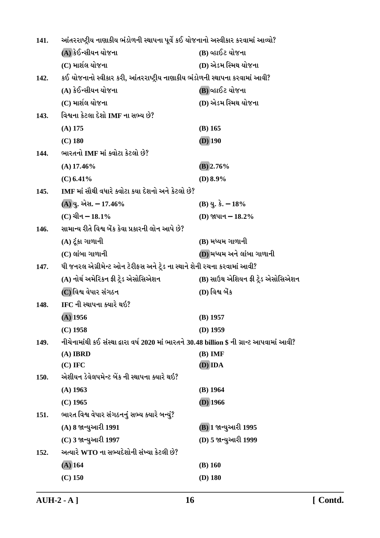| 141. | આંતરરાષ્ટ્રીય નાણાકીય ભંડોળની સ્થાપના પૂર્વે કઈ યોજનાનો અસ્વીકાર કરવામાં આવ્યો?            |                                    |
|------|--------------------------------------------------------------------------------------------|------------------------------------|
|      | (A) કેઈન્સીયન યોજના                                                                        | (B) વ્હાઈટ યોજના                   |
|      | (C) માર્શલ યોજના                                                                           | (D) એડમ સ્મિથ યોજના                |
| 142. | કઈ યોજનાનો સ્વીકાર કરી, આંતરરાષ્ટ્રીય નાણાકીય ભંડોળની સ્થાપના કરવામાં આવી?                 |                                    |
|      | (A) કેઈન્સીયન યોજના                                                                        | (B) વ્હાઈટ યોજના                   |
|      | (C) માર્શલ યોજના                                                                           | (D) એડમ સ્મિથ યોજના                |
| 143. | વિશ્વના કેટલા દેશો IMF ના સભ્ય છે?                                                         |                                    |
|      | $(A)$ 175                                                                                  | $(B)$ 165                          |
|      | $(C)$ 180                                                                                  | $(D)$ 190                          |
| 144. | ભારતનો IMF માં ક્વોટા કેટલો છે?                                                            |                                    |
|      | $(A)$ 17.46%                                                                               | $(B)$ 2.76%                        |
|      | $(C)$ 6.41%                                                                                | (D) $8.9\%$                        |
| 145. | IMF માં સૌથી વધારે ક્વોટા કયા દેશનો અને કેટલો છે?                                          |                                    |
|      | (A) યુ. એસ. – 17.46%                                                                       | $(B)$ યુ. કે. $-18%$               |
|      | (C) ચીન $-18.1\%$                                                                          | (D) જાપાન - 18.2%                  |
| 146. | સામાન્ય રીતે વિશ્વ બેંક કેવા પ્રકારની લોન આપે છે?                                          |                                    |
|      | (A) ટૂંકા ગાળાની                                                                           | (B) મધ્યમ ગાળાની                   |
|      | $(C)$ લાંબા ગાળાની                                                                         | (D) મધ્યમ અને લાંબા ગાળાની         |
| 147. | ધી જનરલ એગ્રીમેન્ટ ઓન ટેરીફસ અને ટ્રેડ ના સ્થાને શેની રચના કરવામાં આવી?                    |                                    |
|      | (A) નોર્થ અમેરિકન ફ્રી ટ્રેડ એસોસિએશન                                                      | (B) સાઉથ એશિયન ફ્રી ટ્રેડ એસોસિએશન |
|      | (C)વિશ્વ વેપાર સંગઠન                                                                       | (D) વિશ્વ બેંક                     |
| 148. | IFC ની સ્થાપના ક્યારે થઇ?                                                                  |                                    |
|      | $(A)$ 1956                                                                                 | $(B)$ 1957                         |
|      | $(C)$ 1958                                                                                 | $(D)$ 1959                         |
| 149. | નીચેનામાંથી કઈ સંસ્થા દ્વારા વર્ષ 2020 માં ભારતને 30.48 billion \$ ની ગ્રાન્ટ આપવામાં આવી? |                                    |
|      | $(A)$ IBRD                                                                                 | $(B)$ IMF                          |
|      | $(C)$ IFC                                                                                  | (D) IDA                            |
| 150. | એશીયન ડેવેલપમેન્ટ બેંક ની સ્થાપના ક્યારે થઇ?                                               |                                    |
|      | $(A)$ 1963                                                                                 | $(B)$ 1964                         |
|      | $(C)$ 1965                                                                                 | $(D)$ 1966                         |
| 151. | ભારત વિશ્વ વેપાર સંગઠનનું સભ્ય ક્યારે બન્યું?                                              |                                    |
|      | (A) 8 જાન્યુઆરી 1991                                                                       | (B) 1 જાન્યુઆરી 1995               |
|      | (C) 3 જાન્યુઆરી 1997                                                                       | (D) 5 જાન્યુઆરી 1999               |
| 152. | અત્યારે WTO ના સભ્યદેશોની સંખ્યા કેટલી છે?                                                 |                                    |
|      | $(A)$ 164                                                                                  | $(B)$ 160                          |
|      | $(C)$ 150                                                                                  | $(D)$ 180                          |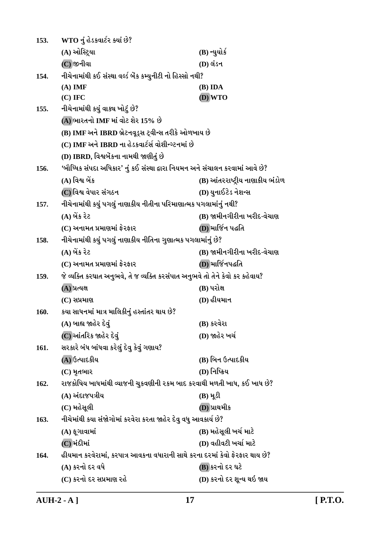| 153. | WTO નું હેડકવાર્ટર ક્યાં છે?                                                 |                                 |
|------|------------------------------------------------------------------------------|---------------------------------|
|      | (A) ઓસ્ટ્રિયા                                                                | (B) ન્યુયોર્ક                   |
|      | $(C)$ જીનીવા                                                                 | (D) લંડન                        |
| 154. | નીચેનામાંથી કઈ સંસ્થા વર્લ્ડ બેંક કમ્યુનીટી નો હિસ્સો નથી?                   |                                 |
|      | $(A)$ IMF                                                                    | (B) IDA                         |
|      | $(C)$ IFC                                                                    | (D) WTO                         |
| 155. | નીચેનામાંથી કયું વાક્ય ખોટું છે?                                             |                                 |
|      | (A) ભારતનો IMF માં વોટ શેર 15% છે                                            |                                 |
|      | (B) IMF અને IBRD બ્રેટનવૂડ્સ ટ્વીન્સ તરીકે ઓળખાય છે                          |                                 |
|      | (C) IMF અને IBRD ના હેડકવાર્ટર્સ વોશીન્ગ્ટનમાં છે                            |                                 |
|      | (D) IBRD, વિશ્વબેંકના નામથી જાણીતું છે                                       |                                 |
| 156. | 'બૌધ્ધિક સંપદા અધિકાર' નું કઈ સંસ્થા દ્વારા નિયમન અને સંચાલન કરવામાં આવે છે? |                                 |
|      | (A) વિશ્વ બેંક                                                               | (B) આંતરરાષ્ટ્રીય નાણાકીય ભંડોળ |
|      | (C)વિશ્વ વેપાર સંગઠન                                                         | (D) યુનાઈટેડ નેશન્સ             |
| 157. | નીચેનામાંથી કયું પગલું નાણાકીય નીતીના પરિમાણાત્મક પગલામાંનું નથી?            |                                 |
|      | (A) બેંક રેટ                                                                 | (B) જામીનગીરીના ખરીદ-વેચાણ      |
|      | (C) અનામત પ્રમાણમાં ફેરફાર                                                   | (D) માર્જિન પદ્ધતિ              |
| 158. | નીચેનામાંથી કયું પગલું નાણાકીય નીતિના ગુણાત્મક પગલામાંનું છે?                |                                 |
|      | (A) બેંક રેટ                                                                 | (B) જામીનગીરીના ખરીદ-વેચાણ      |
|      | (C) અનામત પ્રમાણમાં ફેરફાર                                                   | (D) માર્જિનપદ્ધતિ               |
| 159. | જે વ્યક્તિ કરઘાત અનુભવે, તે જ વ્યક્તિ કરસંપાત અનુભવે તો તેને કેવો કર કહેવાય? |                                 |
|      | (A) પ્રત્યક્ષ                                                                | (B) પરોક્ષ                      |
|      | $(C)$ સપ્રમાણ                                                                | (D) હીયમાન                      |
| 160. | કયા સાધનમાં માત્ર માલિકીનું હસ્તાંતર થાય છે?                                 |                                 |
|      | (A) બાહ્ય જાહેર દેવું                                                        | (B) કરવેરા                      |
|      | (C) આંતરિક જાહેર દેવું                                                       | (D) જાહેર ખર્ચ                  |
| 161. | સરકારે બંધ બાંધવા કરેલું દેવુ કેવું ગણાય?                                    |                                 |
|      | (A) ઉત્પાદકીય                                                                | (B) બિન ઉત્પાદકીય               |
|      | $(C)$ મૃતભાર                                                                 | (D) નિષ્ક્રિય                   |
| 162. | રાજકોષિય ખાધમાંથી વ્યાજની ચુકવણીની ૨કમ બાદ કરવાથી મળતી ખાધ, કઈ ખાધ છે?       |                                 |
|      | (A) અંદાજપત્રીય                                                              | $(B) \mathcal{H}$ ડી            |
|      | (C) મહેસૂલી                                                                  | (D) પ્રાથમીક                    |
| 163. | નીચેમાંથી કયા સંજોગોમાં કરવેરા કરતા જાહેર દેવુ વધુ આવકાર્ય છે?               |                                 |
|      | $(A)$ ફૂગાવામાં                                                              | (B) મહેસૂલી ખર્ચ માટે           |
|      | (C) મંદીમાં                                                                  | (D) વહીવટી ખર્ચા માટે           |
| 164. | હીયમાન કરવેરામાં, કરપાત્ર આવકના વધારાની સાથે કરના દરમાં કેવો ફેરફાર થાય છે?  |                                 |
|      | (A) કરનો દર વધે                                                              | (B) કરનો દર ઘટે                 |
|      | (C) કરનો દર સપ્રમાણ રહે                                                      | (D) કરનો દર શૂન્ય થઇ જાય        |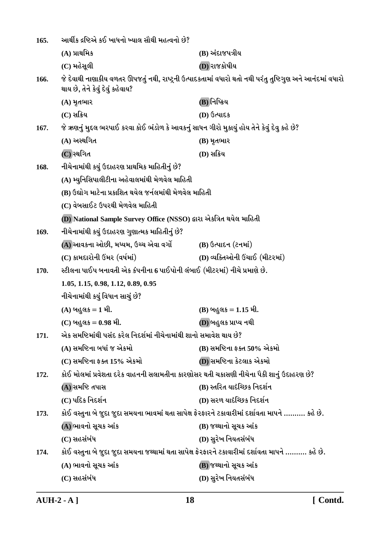| 165. | આર્થીક દ્રષ્ટિએ કઈ ખાધનો ખ્યાલ સૌથી મહત્વનો છે?                                                   |                                                                                                           |
|------|---------------------------------------------------------------------------------------------------|-----------------------------------------------------------------------------------------------------------|
|      | $(A)$ પ્રાથમિક                                                                                    | (B) અંદાજપત્રીય                                                                                           |
|      | (C) મહેસૂલી                                                                                       | (D) રાજકોષીય                                                                                              |
| 166. | થાય છે, તેને કેવું દેવું કહેવાય?                                                                  | જે દેવાથી નાણાકીય વળતર ઊપજતું નથી, રાષ્ટ્રની ઉત્પાદકતામાં વધારો થતો નથી પરંતુ તુષ્ટિગુણ અને આનંદમાં વધારો |
|      | $(A)$ મૃતભાર                                                                                      | (B)નિષ્ક્રિય                                                                                              |
|      | $(C)$ સક્રિય                                                                                      | (D) ઉત્પાદક                                                                                               |
| 167. | જે ઋણનું મુદ્દલ ભરપાઈ કરવા કોઈ ભંડોળ કે આવકનું સાધન ગીરો મુકાયું હોય તેને કેવું દેવુ કહે છે?      |                                                                                                           |
|      | (A) અસ્થગિત                                                                                       | (B) મૃતભાર                                                                                                |
|      | (C) સ્થગિત                                                                                        | (D) સક્રિય                                                                                                |
| 168. | નીચેનામાંથી કયું ઉદાહરણ પ્રાથમિક માહિતીનું છે?                                                    |                                                                                                           |
|      | (A) મ્યુનિસિપાલીટીના અહેવાલમાંથી મેળવેલ માહિતી                                                    |                                                                                                           |
|      | (B) ઉદ્યોગ માટેના પ્રકાશિત થયેલ જર્નલમાંથી મેળવેલ માહિતી                                          |                                                                                                           |
|      | (C) વેબસાઈટ ઉપરથી મેળવેલ માહિતી                                                                   |                                                                                                           |
|      | (D) National Sample Survey Office (NSSO) દ્વારા એકત્રિત થયેલ માહિતી                               |                                                                                                           |
| 169. | નીચેનામાંથી કયું ઉદાહરણ ગુણાત્મક માહિતીનું છે?                                                    |                                                                                                           |
|      | (A) આવકના ઓછી, મધ્યમ, ઉચ્ચ એવા વર્ગો                                                              | $(B)$ ઉત્પાદન (ટનમાં)                                                                                     |
|      | (C) કામદારોની ઉંમર (વર્ષમાં)                                                                      | (D) વ્યક્તિઓની ઉંચાઈ (મીટરમાં)                                                                            |
| 170. | સ્ટીલના પાઈપ બનાવતી એક કંપનીના 6 પાઈપોની લંબાઈ (મીટરમાં) નીચે પ્રમાણે છે.                         |                                                                                                           |
|      | 1.05, 1.15, 0.98, 1.12, 0.89, 0.95                                                                |                                                                                                           |
|      | નીચેનામાંથી કયું વિધાન સાચું છે?                                                                  |                                                                                                           |
|      | $(A)$ બહુલક = 1 મી.                                                                               | (B) બહુલક = 1.15 મી.                                                                                      |
|      | (C) બહુલક = 0.98 મી.                                                                              | (D) બહુલક પ્રાપ્ય નથી                                                                                     |
| 171. | એક સમષ્ટિમાંથી પસંદ કરેલ નિદર્શમાં નીચેનામાંથી શાનો સમાવેશ થાય છે?                                |                                                                                                           |
|      | (A) સમષ્ટિના બધાં જ એકમો                                                                          | (B) સમષ્ટિના ફક્ત 50% એકમો                                                                                |
|      | (C) સમષ્ટિના ફક્ત 15% એકમો                                                                        | (D) સમષ્ટિના કેટલાક એકમો                                                                                  |
| 172. | કોઈ મોલમાં પ્રવેશતા દરેક વાહનની સલામતીના કારણોસર થતી ચકાસણી નીચેના પૈકી શાનું ઉદાહરણ છે?          |                                                                                                           |
|      | (A) સમષ્ટિ તપાસ                                                                                   | (B) સ્તરિત યાદેચ્છિક નિદર્શન                                                                              |
|      | (C) પદિક નિદર્શન                                                                                  | (D) સરળ યાદેચ્છિક નિદર્શન                                                                                 |
| 173. | કોઈ વસ્તુના બે જુદા જુદા સમયના ભાવમાં થતા સાપેક્ષ ફેરફારને ટકાવારીમાં દર્શાવતા માપને ………. કહે છે. |                                                                                                           |
|      | (A) ભાવનો સૂચક આંક                                                                                | (B) જથ્થાનો સૂચક આંક                                                                                      |
|      | (C) સહસંબંધ                                                                                       | (D) સુરેખ નિયતસંબંધ                                                                                       |
| 174. | કોઈ વસ્તુના બે જુદા જુદા સમયના જથ્થામાં થતા સાપેક્ષ ફેરફારને ટકાવારીમાં દર્શાવતા માપને  કહે છે.   |                                                                                                           |
|      | (A) ભાવનો સૂચક આંક                                                                                | (B) જથ્થાનો સૂચક આંક                                                                                      |
|      | (C) સહસંબંધ                                                                                       | (D) સુરેખ નિયતસંબંધ                                                                                       |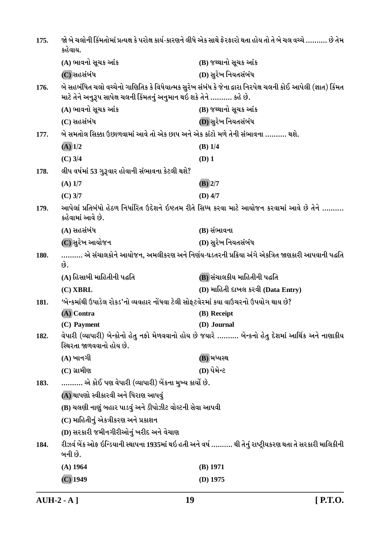| 175. | કહેવાય.                                                                                                                                                                                 | જો બે ચલોની કિંમતોમાં પ્રત્યક્ષ કે પરોક્ષ કાર્ય-કારણને લીધે એક સાથે ફેરફારો થતા હોય તો તે બે ચલ વચ્ચે ………. છે તેમ |  |
|------|-----------------------------------------------------------------------------------------------------------------------------------------------------------------------------------------|-------------------------------------------------------------------------------------------------------------------|--|
|      | (A) ભાવનો સૂચક આંક                                                                                                                                                                      | (B) જથ્થાનો સૂચક આંક                                                                                              |  |
|      | (C) સહસંબંધ                                                                                                                                                                             | (D) સુરેખ નિયતસંબંધ                                                                                               |  |
| 176. | બે સહબંધિત ચલો વચ્ચેનો ગાણિતિક કે વિધેયાત્મક સુરેખ સંબંધ કે જેના દ્વારા નિરપેક્ષ ચલની કોઈ આપેલી (જ્ઞાત) કિંમત<br>માટે તેને અનુરૂપ સાપેક્ષ ચલની કિંમતનું અનુમાન થઇ શકે તેને ………. કહે છે. |                                                                                                                   |  |
|      | (A) ભાવનો સૂચક આંક                                                                                                                                                                      | (B) જથ્થાનો સૂચક આંક                                                                                              |  |
|      | (C) સહસંબંધ                                                                                                                                                                             | (D) સુરેખ નિયતસંબંધ                                                                                               |  |
| 177. | બે સમતોલ સિક્કા ઉછાળવામાં આવે તો એક છાપ અને એક કાંટો મળે તેની સંભાવના ………. થશે.                                                                                                         |                                                                                                                   |  |
|      | $(A)$ 1/2                                                                                                                                                                               | $(B)$ 1/4                                                                                                         |  |
|      | $(C)$ 3/4                                                                                                                                                                               | $(D)$ 1                                                                                                           |  |
| 178. | લીપ વર્ષમાં 53 ગુરૂવાર હોવાની સંભાવના કેટલી થશે?                                                                                                                                        |                                                                                                                   |  |
|      | $(A)$ 1/7                                                                                                                                                                               | $(B)$ 2/7                                                                                                         |  |
|      | $(C)$ 3/7                                                                                                                                                                               | $(D)$ 4/7                                                                                                         |  |
| 179. | આપેલાં પ્રતિબંધો હેઠળ નિર્ધારિત ઉદેશને ઇષ્ટતમ રીતે સિધ્ધ કરવા માટે આયોજન કરવામાં આવે છે તેને<br>કહેવામાં આવે છે.                                                                        |                                                                                                                   |  |
|      | (A) સહસંબંધ                                                                                                                                                                             | (B) સંભાવના                                                                                                       |  |
|      | (C) સુરેખ આયોજન                                                                                                                                                                         | (D) સુરેખ નિયતસંબંધ                                                                                               |  |
| 180. | છે.                                                                                                                                                                                     | એ સંચાલકોને આયોજન, અમલીકરણ અને નિર્ણય-ઘડતરની પ્રક્રિયા અંગે એકત્રિત જાણકારી આપવાની પદ્ધતિ                         |  |
|      | (A) હિસાબી માહિતીની પહ્રતિ                                                                                                                                                              | (B) સંચાલકીય માહિતીની પદ્ધતિ                                                                                      |  |
|      | (C) XBRL                                                                                                                                                                                | (D) માહિતી દાખલ કરવી (Data Entry)                                                                                 |  |
| 181. | 'બેન્કમાંથી ઉપાડેલ રોકડ'નો વ્યવહાર નોંધવા ટેલી સોફ્ટવેરમાં કયા વાઉચરનો ઉપયોગ થાય છે?                                                                                                    |                                                                                                                   |  |
|      | (A) Contra                                                                                                                                                                              | (B) Receipt                                                                                                       |  |
|      | (C) Payment                                                                                                                                                                             | (D) Journal                                                                                                       |  |
| 182. | સ્થિરતા જાળવવાનો હોય છે.                                                                                                                                                                | વેપારી (વ્યાપારી) બેન્કોનો હેતુ નફો મેળવવાનો હોય છે જયારે  બેન્કનો હેતુ દેશમાં આર્થિક અને નાણાકીય                 |  |
|      | $(A)$ ખાનગી                                                                                                                                                                             | (B) મધ્યસ્થ                                                                                                       |  |
|      | $(C)$ ગ્રામીણ                                                                                                                                                                           | (D) પેમેન્ટ                                                                                                       |  |
| 183. | ………. એ કોઈ પણ વેપારી (વ્યાપારી) બેંકના મુખ્ય કાર્યો છે.                                                                                                                                 |                                                                                                                   |  |
|      | (A) થાપણો સ્વીકારવી અને ધિરાણ આપવું                                                                                                                                                     |                                                                                                                   |  |
|      | (B) ચલણી નાણું બહાર પાડવું અને ડીપોઝીટ વોલ્ટની સેવા આપવી                                                                                                                                |                                                                                                                   |  |
|      | (C) માહિતીનું એકત્રીકરણ અને પ્રકાશન                                                                                                                                                     |                                                                                                                   |  |
|      | (D) સરકારી જમીનગીરીઓનું ખરીદ અને વેચાણ                                                                                                                                                  |                                                                                                                   |  |
| 184. | બની છે.                                                                                                                                                                                 | રીઝર્વ બેંક ઓફ ઇન્ડિયાની સ્થાપના 1935માં થઇ હતી અને વર્ષ ………. થી તેનું રાષ્ટ્રીયકરણ થતા તે સરકારી માલિકીની        |  |
|      | $(A)$ 1964                                                                                                                                                                              | $(B)$ 1971                                                                                                        |  |
|      | $(C)$ 1949                                                                                                                                                                              | $(D)$ 1975                                                                                                        |  |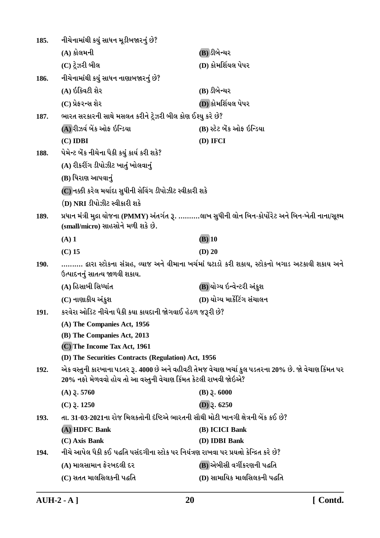| 185.        | નીચેનામાંથી કયું સાધન મૂડીબજારનું છે?                                                                                                                                 |                              |  |
|-------------|-----------------------------------------------------------------------------------------------------------------------------------------------------------------------|------------------------------|--|
|             | (A) કોલમની                                                                                                                                                            | (B) ડીબેન્ચર                 |  |
|             | (C) ટ્રેઝરી બીલ                                                                                                                                                       | (D) કોમર્શિયલ પેપર           |  |
| 186.        | નીચેનામાંથી કયું સાધન નાણાબજારનું છે?                                                                                                                                 |                              |  |
|             | (A) ઇક્વિટી શેર                                                                                                                                                       | (B) ડીબેન્ચર                 |  |
|             | (C) પ્રેફરન્સ શેર                                                                                                                                                     | (D) કોમર્શિયલ પેપર           |  |
| 187.        | ભારત સરકારની સાથે મસલત કરીને ટ્રેઝરી બીલ કોણ ઈશ્યુ કરે છે?                                                                                                            |                              |  |
|             | (A) રીઝર્વ બેંક ઓફ ઇન્ડિયા                                                                                                                                            | (B) સ્ટેટ બેંક ઓફ ઇન્ડિયા    |  |
|             | $(C)$ IDBI                                                                                                                                                            | (D) IFCI                     |  |
| 188.        | પેમેન્ટ બેંક નીચેના પૈકી કયું કાર્ય કરી શકે?                                                                                                                          |                              |  |
|             | (A) રીકરીંગ ડીપોઝીટ ખાતું ખોલવાનું                                                                                                                                    |                              |  |
|             | (B) ધિરાણ આપવાનું                                                                                                                                                     |                              |  |
|             | (C) નક્કી કરેલ મર્યાદા સુધીની સેવિંગ ડીપોઝીટ સ્વીકારી શકે                                                                                                             |                              |  |
|             | (D) NRI ડીપોઝીટ સ્વીકારી શકે                                                                                                                                          |                              |  |
| 189.        | પ્રધાન મંત્રી મુદ્રા યોજના (PMMY) અંતર્ગત રૂ. લાખ સુધીની લોન બિન-કોર્પોરેટ અને બિન-ખેતી નાના/સૂક્ષ્મ<br>(small/micro) સાહસોને મળી શકે છે.                             |                              |  |
|             | $(A)$ 1                                                                                                                                                               | $(B)$ 10                     |  |
|             | $(C)$ 15                                                                                                                                                              | $(D)$ 20                     |  |
| <b>190.</b> | દ્વારા સ્ટોકના સંગ્રહ, વ્યાજ અને વીમાના ખર્ચમાં ઘટાડો કરી શકાય, સ્ટોકનો બગાડ અટકાવી શકાય અને<br>ઉત્પાદનનું સાતત્ય જાળવી શકાય.                                         |                              |  |
|             | (A) હિસાબી સિધ્ધાંત                                                                                                                                                   | (B) યોગ્ય ઇન્વેન્ટરી અંકુશ   |  |
|             | (C) નાણાકીય અંકુશ                                                                                                                                                     | (D) યોગ્ય માર્કેટિંગ સંચાલન  |  |
| 191.        | કરવેરા ઓડિટ નીચેના પૈકી કયા કાયદાની જોગવાઈ હેઠળ જરૂરી છે?                                                                                                             |                              |  |
|             | (A) The Companies Act, 1956                                                                                                                                           |                              |  |
|             | (B) The Companies Act, 2013                                                                                                                                           |                              |  |
|             | (C) The Income Tax Act, 1961                                                                                                                                          |                              |  |
|             | (D) The Securities Contracts (Regulation) Act, 1956                                                                                                                   |                              |  |
| 192.        | એક વસ્તુની કારખાના પડતર રૂ. 4000 છે અને વહીવટી તેમજ વેચાણ ખર્ચા કુલ પડતરના 20% છે. જો વેચાણ કિંમત પર<br>20% નફો મેળવવો હોય તો આ વસ્તુની વેચાણ કિંમત કેટલી રાખવી જોઇએ? |                              |  |
|             | $(A)$ 3.5760                                                                                                                                                          | $(B)$ $\bar{z}$ . 6000       |  |
|             | $(C)$ $\bar{z}$ . 1250                                                                                                                                                | (D) $3.6250$                 |  |
| 193.        | તા. 31-03-2021ના રોજ મિલકતોની દંષ્ટિએ ભારતની સૌથી મોટી ખાનગી ક્ષેત્રની બેંક કઈ છે?                                                                                    |                              |  |
|             | (A) HDFC Bank                                                                                                                                                         | (B) ICICI Bank               |  |
|             | (C) Axis Bank                                                                                                                                                         | (D) IDBI Bank                |  |
| 194.        | નીચે આપેલ પૈકી કઈ પદ્ધતિ પસંદગીના સ્ટોક પર નિયંત્રણ રાખવા પર પ્રયત્નો કેન્દ્રિત કરે છે?                                                                               |                              |  |
|             | (A) માલસામાન ફેરબદલી દર                                                                                                                                               | (B) એબીસી વર્ગીકરણની પદ્ધતિ  |  |
|             | (C) સતત માલસિલકની પદ્ધતિ                                                                                                                                              | (D) સામાયિક માલસિલકની પદ્ધતિ |  |